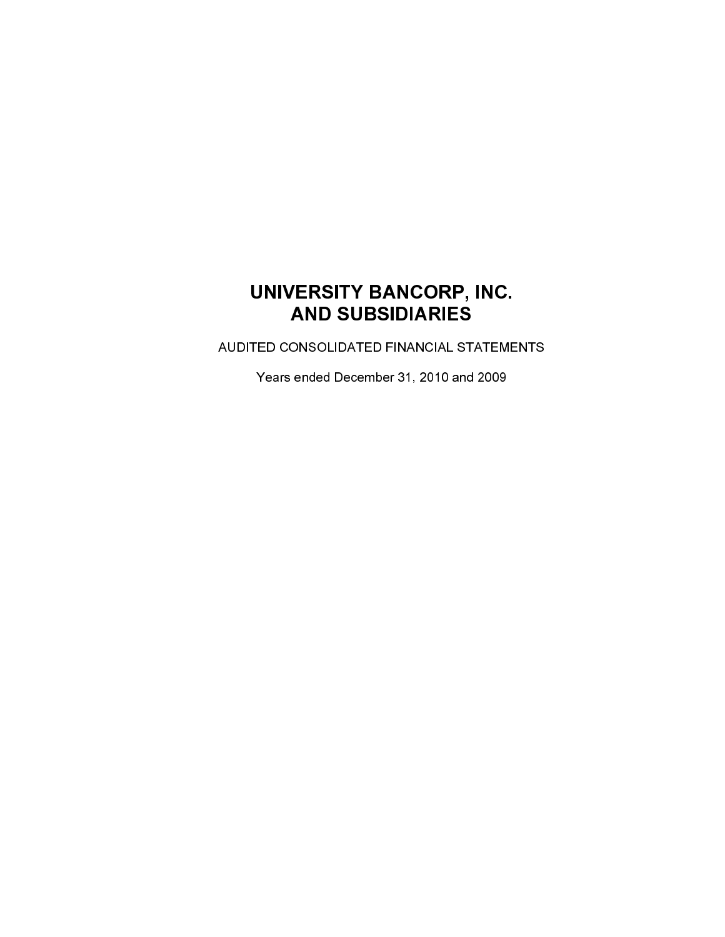# UNIVERSITY BANCORP, INC. **AND SUBSIDIARIES**

AUDITED CONSOLIDATED FINANCIAL STATEMENTS

Years ended December 31, 2010 and 2009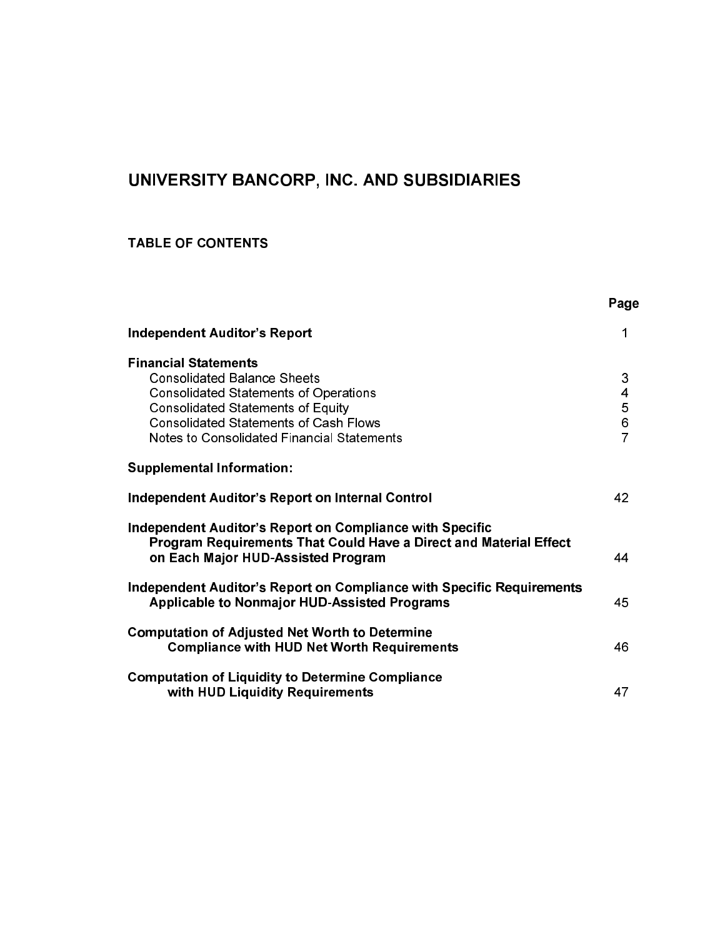# UNIVERSITY BANCORP, INC. AND SUBSIDIARIES

# **TABLE OF CONTENTS**

|                                                                                                                                                                                                                                                             | Page                               |
|-------------------------------------------------------------------------------------------------------------------------------------------------------------------------------------------------------------------------------------------------------------|------------------------------------|
| <b>Independent Auditor's Report</b>                                                                                                                                                                                                                         | 1                                  |
| <b>Financial Statements</b><br><b>Consolidated Balance Sheets</b><br><b>Consolidated Statements of Operations</b><br><b>Consolidated Statements of Equity</b><br><b>Consolidated Statements of Cash Flows</b><br>Notes to Consolidated Financial Statements | 3<br>4<br>5<br>6<br>$\overline{7}$ |
| <b>Supplemental Information:</b>                                                                                                                                                                                                                            |                                    |
| Independent Auditor's Report on Internal Control                                                                                                                                                                                                            | 42                                 |
| Independent Auditor's Report on Compliance with Specific<br>Program Requirements That Could Have a Direct and Material Effect<br>on Each Major HUD-Assisted Program                                                                                         | 44                                 |
| Independent Auditor's Report on Compliance with Specific Requirements<br><b>Applicable to Nonmajor HUD-Assisted Programs</b>                                                                                                                                | 45                                 |
| <b>Computation of Adjusted Net Worth to Determine</b><br><b>Compliance with HUD Net Worth Requirements</b>                                                                                                                                                  | 46                                 |
| <b>Computation of Liquidity to Determine Compliance</b><br>with HUD Liquidity Requirements                                                                                                                                                                  | 47                                 |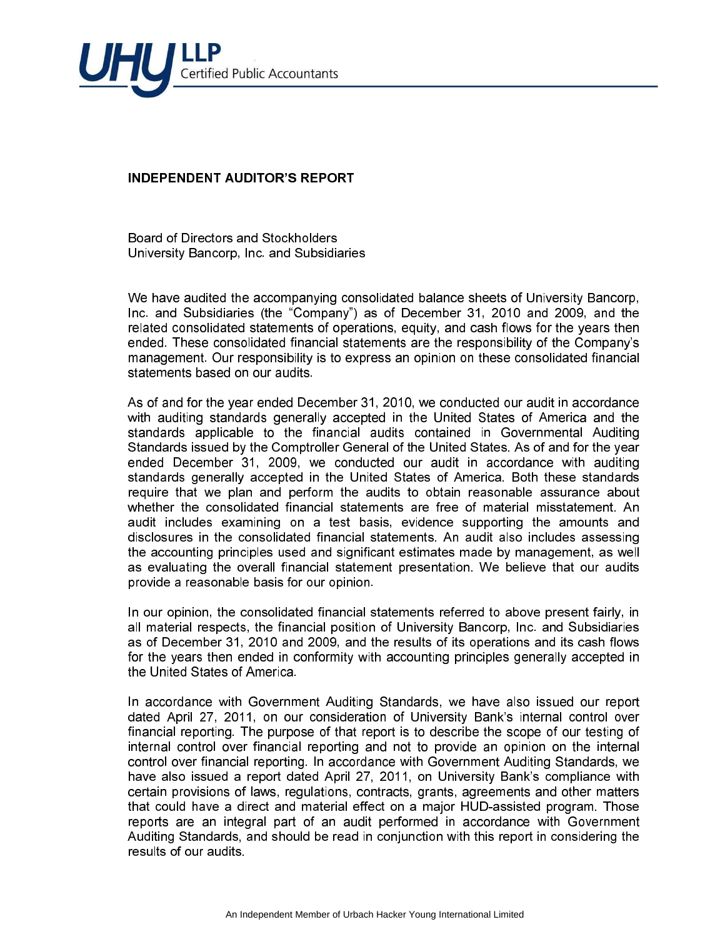

#### **INDEPENDENT AUDITOR'S REPORT**

Board of Directors and Stockholders University Bancorp, Inc. and Subsidiaries

We have audited the accompanying consolidated balance sheets of University Bancorp. Inc. and Subsidiaries (the "Company") as of December 31, 2010 and 2009, and the related consolidated statements of operations, equity, and cash flows for the years then ended. These consolidated financial statements are the responsibility of the Company's management. Our responsibility is to express an opinion on these consolidated financial statements based on our audits.

As of and for the year ended December 31, 2010, we conducted our audit in accordance with auditing standards generally accepted in the United States of America and the standards applicable to the financial audits contained in Governmental Auditing Standards issued by the Comptroller General of the United States. As of and for the year ended December 31, 2009, we conducted our audit in accordance with auditing standards generally accepted in the United States of America. Both these standards require that we plan and perform the audits to obtain reasonable assurance about whether the consolidated financial statements are free of material misstatement. An audit includes examining on a test basis, evidence supporting the amounts and disclosures in the consolidated financial statements. An audit also includes assessing the accounting principles used and significant estimates made by management, as well as evaluating the overall financial statement presentation. We believe that our audits provide a reasonable basis for our opinion.

In our opinion, the consolidated financial statements referred to above present fairly, in all material respects, the financial position of University Bancorp, Inc. and Subsidiaries as of December 31, 2010 and 2009, and the results of its operations and its cash flows for the years then ended in conformity with accounting principles generally accepted in the United States of America.

In accordance with Government Auditing Standards, we have also issued our report dated April 27, 2011, on our consideration of University Bank's internal control over financial reporting. The purpose of that report is to describe the scope of our testing of internal control over financial reporting and not to provide an opinion on the internal control over financial reporting. In accordance with Government Auditing Standards, we have also issued a report dated April 27, 2011, on University Bank's compliance with certain provisions of laws, regulations, contracts, grants, agreements and other matters that could have a direct and material effect on a major HUD-assisted program. Those reports are an integral part of an audit performed in accordance with Government Auditing Standards, and should be read in conjunction with this report in considering the results of our audits.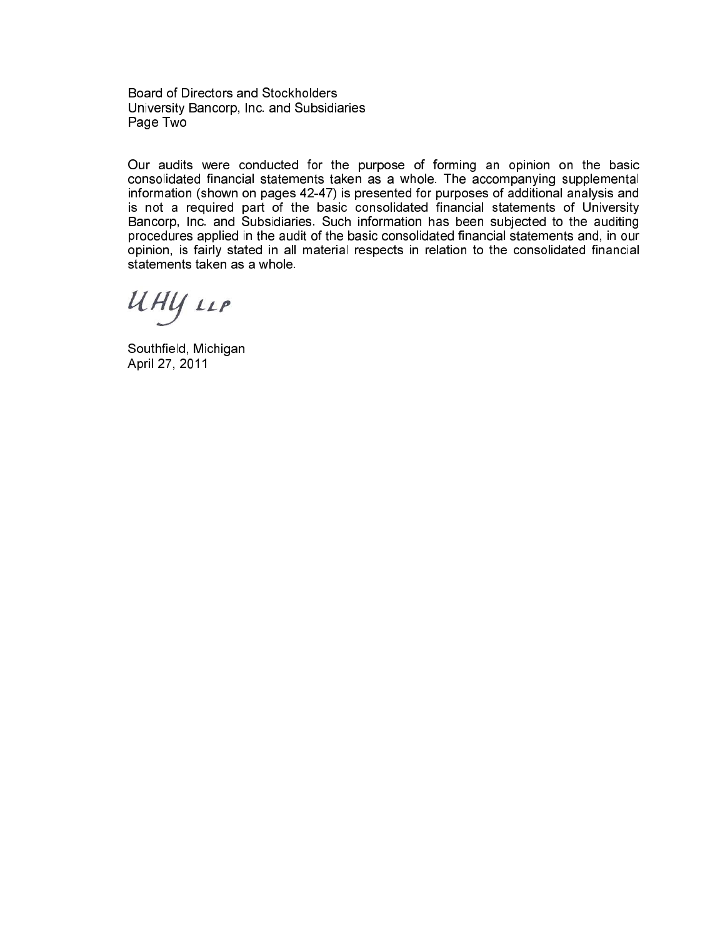Board of Directors and Stockholders University Bancorp, Inc. and Subsidiaries Page Two

Our audits were conducted for the purpose of forming an opinion on the basic consolidated financial statements taken as a whole. The accompanying supplemental information (shown on pages 42-47) is presented for purposes of additional analysis and is not a required part of the basic consolidated financial statements of University Bancorp, Inc. and Subsidiaries. Such information has been subjected to the auditing procedures applied in the audit of the basic consolidated financial statements and, in our opinion, is fairly stated in all material respects in relation to the consolidated financial statements taken as a whole.

UHY LLP

Southfield, Michigan April 27, 2011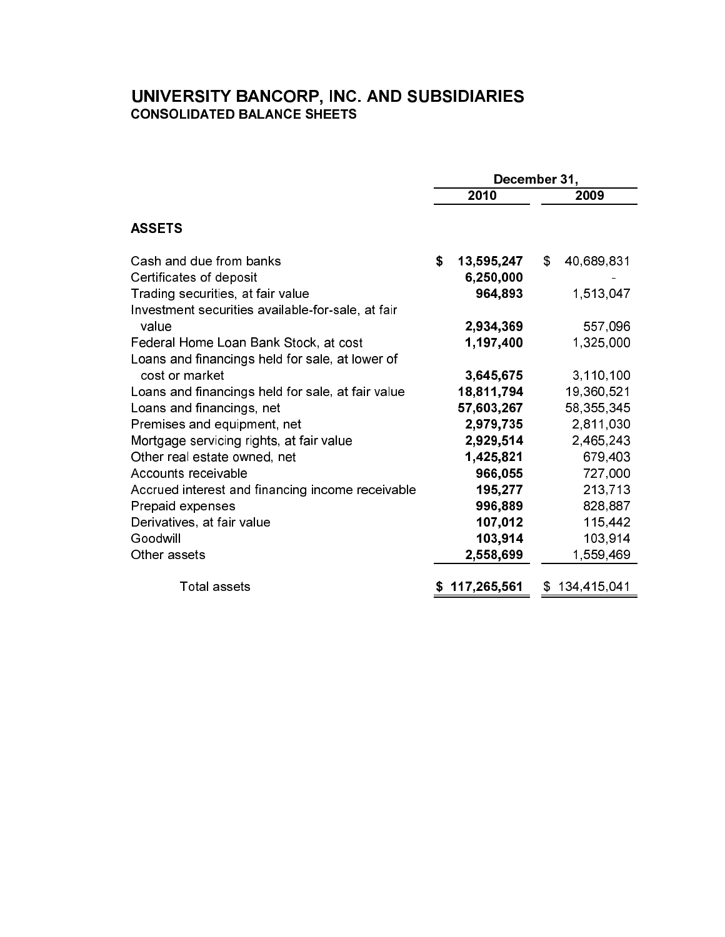# **UNIVERSITY BANCORP, INC. AND SUBSIDIARIES**<br>CONSOLIDATED BALANCE SHEETS

|                                                   | December 31,     |                    |  |  |
|---------------------------------------------------|------------------|--------------------|--|--|
|                                                   | 2010             | 2009               |  |  |
| <b>ASSETS</b>                                     |                  |                    |  |  |
| Cash and due from banks                           | \$<br>13,595,247 | \$<br>40,689,831   |  |  |
| Certificates of deposit                           | 6,250,000        |                    |  |  |
| Trading securities, at fair value                 | 964,893          | 1,513,047          |  |  |
| Investment securities available-for-sale, at fair |                  |                    |  |  |
| value                                             | 2,934,369        | 557,096            |  |  |
| Federal Home Loan Bank Stock, at cost             | 1,197,400        | 1,325,000          |  |  |
| Loans and financings held for sale, at lower of   |                  |                    |  |  |
| cost or market                                    | 3,645,675        | 3,110,100          |  |  |
| Loans and financings held for sale, at fair value | 18,811,794       | 19,360,521         |  |  |
| Loans and financings, net                         | 57,603,267       | 58,355,345         |  |  |
| Premises and equipment, net                       | 2,979,735        | 2,811,030          |  |  |
| Mortgage servicing rights, at fair value          | 2,929,514        | 2,465,243          |  |  |
| Other real estate owned, net                      | 1,425,821        | 679,403            |  |  |
| Accounts receivable                               | 966,055          | 727,000            |  |  |
| Accrued interest and financing income receivable  | 195,277          | 213,713            |  |  |
| Prepaid expenses                                  | 996,889          | 828,887            |  |  |
| Derivatives, at fair value                        | 107,012          | 115,442            |  |  |
| Goodwill                                          | 103,914          | 103,914            |  |  |
| Other assets                                      | 2,558,699        | 1,559,469          |  |  |
| <b>Total assets</b>                               | 117,265,561      | 134,415,041<br>\$. |  |  |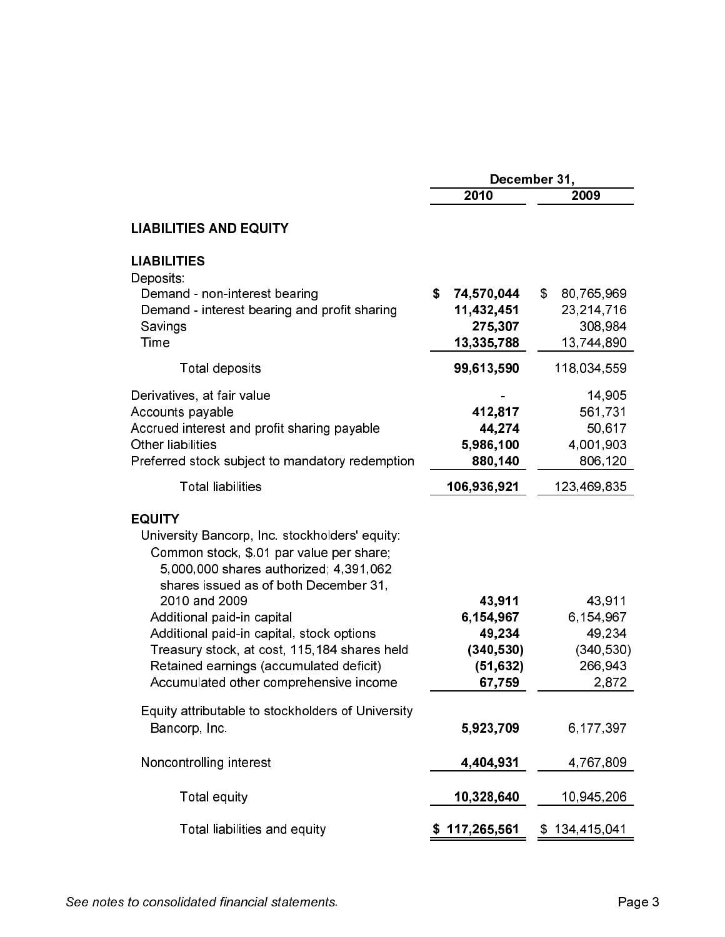|                                                                                                                                                                                                | December 31,     |                  |  |  |
|------------------------------------------------------------------------------------------------------------------------------------------------------------------------------------------------|------------------|------------------|--|--|
|                                                                                                                                                                                                | 2010             | 2009             |  |  |
| <b>LIABILITIES AND EQUITY</b>                                                                                                                                                                  |                  |                  |  |  |
| <b>LIABILITIES</b>                                                                                                                                                                             |                  |                  |  |  |
| Deposits:<br>Demand - non-interest bearing                                                                                                                                                     | \$<br>74,570,044 | 80,765,969<br>\$ |  |  |
| Demand - interest bearing and profit sharing                                                                                                                                                   | 11,432,451       | 23,214,716       |  |  |
| Savings                                                                                                                                                                                        | 275,307          | 308,984          |  |  |
| Time                                                                                                                                                                                           | 13,335,788       | 13,744,890       |  |  |
| <b>Total deposits</b>                                                                                                                                                                          | 99,613,590       | 118,034,559      |  |  |
| Derivatives, at fair value                                                                                                                                                                     |                  | 14,905           |  |  |
| Accounts payable                                                                                                                                                                               | 412,817          | 561,731          |  |  |
| Accrued interest and profit sharing payable                                                                                                                                                    | 44,274           | 50,617           |  |  |
| <b>Other liabilities</b>                                                                                                                                                                       | 5,986,100        | 4,001,903        |  |  |
| Preferred stock subject to mandatory redemption                                                                                                                                                | 880,140          | 806,120          |  |  |
| <b>Total liabilities</b>                                                                                                                                                                       | 106,936,921      | 123,469,835      |  |  |
| <b>EQUITY</b><br>University Bancorp, Inc. stockholders' equity:<br>Common stock, \$.01 par value per share;<br>5,000,000 shares authorized, 4,391,062<br>shares issued as of both December 31, |                  |                  |  |  |
| 2010 and 2009                                                                                                                                                                                  | 43,911           | 43,911           |  |  |
| Additional paid-in capital                                                                                                                                                                     | 6,154,967        | 6,154,967        |  |  |
| Additional paid-in capital, stock options                                                                                                                                                      | 49,234           | 49,234           |  |  |
| Treasury stock, at cost, 115,184 shares held                                                                                                                                                   | (340, 530)       | (340, 530)       |  |  |
| Retained earnings (accumulated deficit)                                                                                                                                                        | (51, 632)        | 266,943          |  |  |
| Accumulated other comprehensive income                                                                                                                                                         | 67,759           | 2,872            |  |  |
| Equity attributable to stockholders of University                                                                                                                                              |                  |                  |  |  |
| Bancorp, Inc.                                                                                                                                                                                  | 5,923,709        | 6,177,397        |  |  |
| Noncontrolling interest                                                                                                                                                                        | 4,404,931        | 4,767,809        |  |  |
| Total equity                                                                                                                                                                                   | 10,328,640       | 10,945,206       |  |  |
| Total liabilities and equity                                                                                                                                                                   | \$117,265,561    | \$134,415,041    |  |  |

# See notes to consolidated financial statements.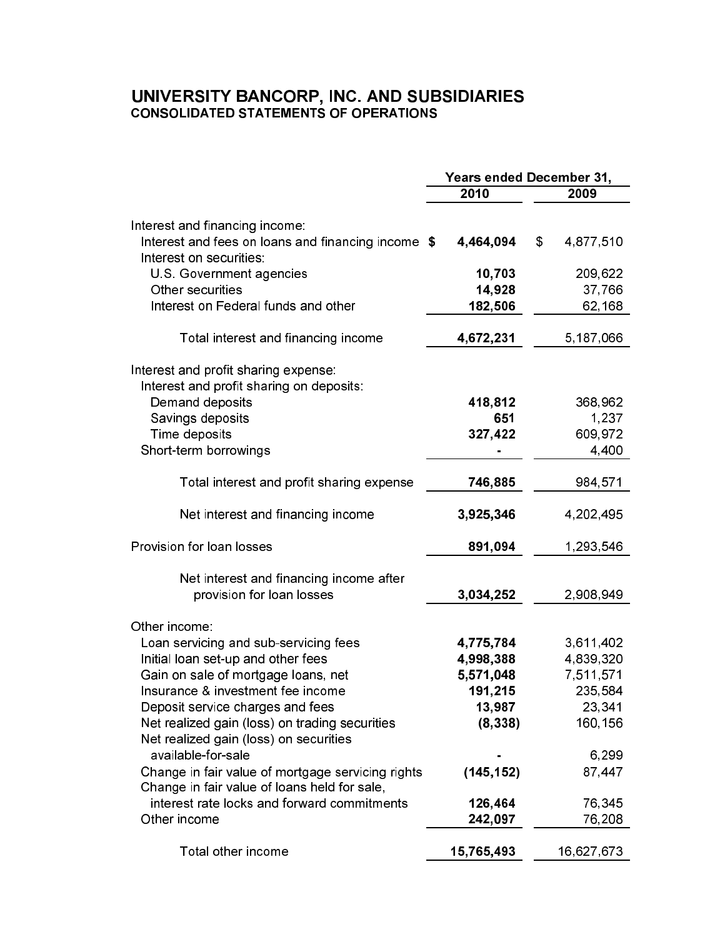# UNIVERSITY BANCORP, INC. AND SUBSIDIARIES<br>CONSOLIDATED STATEMENTS OF OPERATIONS

|                                                                                                                 | <b>Years ended December 31,</b> |                             |  |  |
|-----------------------------------------------------------------------------------------------------------------|---------------------------------|-----------------------------|--|--|
|                                                                                                                 | 2010                            | 2009                        |  |  |
|                                                                                                                 |                                 |                             |  |  |
| Interest and financing income:<br>Interest and fees on loans and financing income \$<br>Interest on securities: | 4,464,094                       | $\mathfrak{S}$<br>4,877,510 |  |  |
| U.S. Government agencies                                                                                        | 10,703                          | 209,622                     |  |  |
| Other securities                                                                                                | 14,928                          | 37,766                      |  |  |
| Interest on Federal funds and other                                                                             | 182,506                         | 62,168                      |  |  |
| Total interest and financing income                                                                             | 4,672,231                       | 5,187,066                   |  |  |
| Interest and profit sharing expense:<br>Interest and profit sharing on deposits:                                |                                 |                             |  |  |
| Demand deposits                                                                                                 | 418,812                         | 368,962                     |  |  |
| Savings deposits                                                                                                | 651                             | 1,237                       |  |  |
| Time deposits                                                                                                   | 327,422                         | 609,972                     |  |  |
| Short-term borrowings                                                                                           |                                 | 4,400                       |  |  |
| Total interest and profit sharing expense                                                                       | 746,885                         | 984,571                     |  |  |
| Net interest and financing income                                                                               | 3,925,346                       | 4,202,495                   |  |  |
| Provision for loan losses                                                                                       | 891,094                         | 1,293,546                   |  |  |
| Net interest and financing income after<br>provision for loan losses                                            | 3,034,252                       | 2,908,949                   |  |  |
| Other income:                                                                                                   |                                 |                             |  |  |
| Loan servicing and sub-servicing fees                                                                           | 4,775,784                       | 3,611,402                   |  |  |
| Initial loan set-up and other fees                                                                              | 4,998,388                       | 4,839,320                   |  |  |
| Gain on sale of mortgage loans, net                                                                             | 5,571,048                       | 7,511,571                   |  |  |
| Insurance & investment fee income                                                                               | 191,215                         | 235,584                     |  |  |
| Deposit service charges and fees                                                                                | 13,987                          | 23,341                      |  |  |
| Net realized gain (loss) on trading securities                                                                  | (8, 338)                        | 160,156                     |  |  |
| Net realized gain (loss) on securities                                                                          |                                 |                             |  |  |
| available-for-sale                                                                                              |                                 | 6,299                       |  |  |
| Change in fair value of mortgage servicing rights                                                               | (145, 152)                      | 87,447                      |  |  |
| Change in fair value of loans held for sale,                                                                    |                                 |                             |  |  |
| interest rate locks and forward commitments                                                                     | 126,464                         | 76,345                      |  |  |
| Other income                                                                                                    | 242,097                         | 76,208                      |  |  |
| Total other income                                                                                              | 15,765,493                      | 16,627,673                  |  |  |
|                                                                                                                 |                                 |                             |  |  |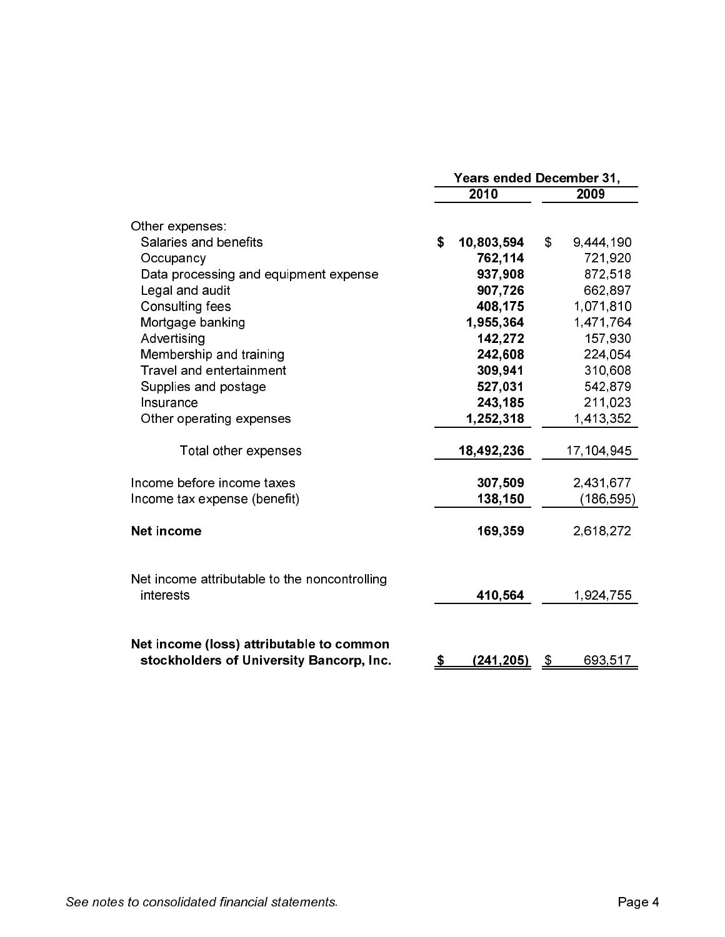|                                                                                      | <b>Years ended December 31,</b> |                  |    |            |
|--------------------------------------------------------------------------------------|---------------------------------|------------------|----|------------|
|                                                                                      | 2010                            |                  |    | 2009       |
| Other expenses:                                                                      |                                 |                  |    |            |
| Salaries and benefits                                                                | \$                              | 10,803,594       | \$ | 9,444,190  |
| Occupancy                                                                            |                                 | 762,114          |    | 721,920    |
| Data processing and equipment expense                                                |                                 | 937,908          |    | 872,518    |
| Legal and audit                                                                      |                                 | 907,726          |    | 662,897    |
| Consulting fees                                                                      |                                 | 408,175          |    | 1,071,810  |
| Mortgage banking                                                                     |                                 | 1,955,364        |    | 1,471,764  |
| Advertising                                                                          |                                 | 142,272          |    | 157,930    |
| Membership and training                                                              |                                 | 242,608          |    | 224,054    |
| Travel and entertainment                                                             |                                 | 309,941          |    | 310,608    |
| Supplies and postage                                                                 |                                 | 527,031          |    | 542,879    |
| Insurance                                                                            |                                 | 243,185          |    | 211,023    |
| Other operating expenses                                                             |                                 | 1,252,318        |    | 1,413,352  |
| Total other expenses                                                                 |                                 | 18,492,236       |    | 17,104,945 |
| Income before income taxes                                                           |                                 | 307,509          |    | 2,431,677  |
| Income tax expense (benefit)                                                         |                                 | 138,150          |    | (186, 595) |
| <b>Net income</b>                                                                    |                                 | 169,359          |    | 2,618,272  |
| Net income attributable to the noncontrolling<br>interests                           |                                 | 410,564          |    | 1,924,755  |
| Net income (loss) attributable to common<br>stockholders of University Bancorp, Inc. | S                               | <u>(241,205)</u> | \$ | 693,517    |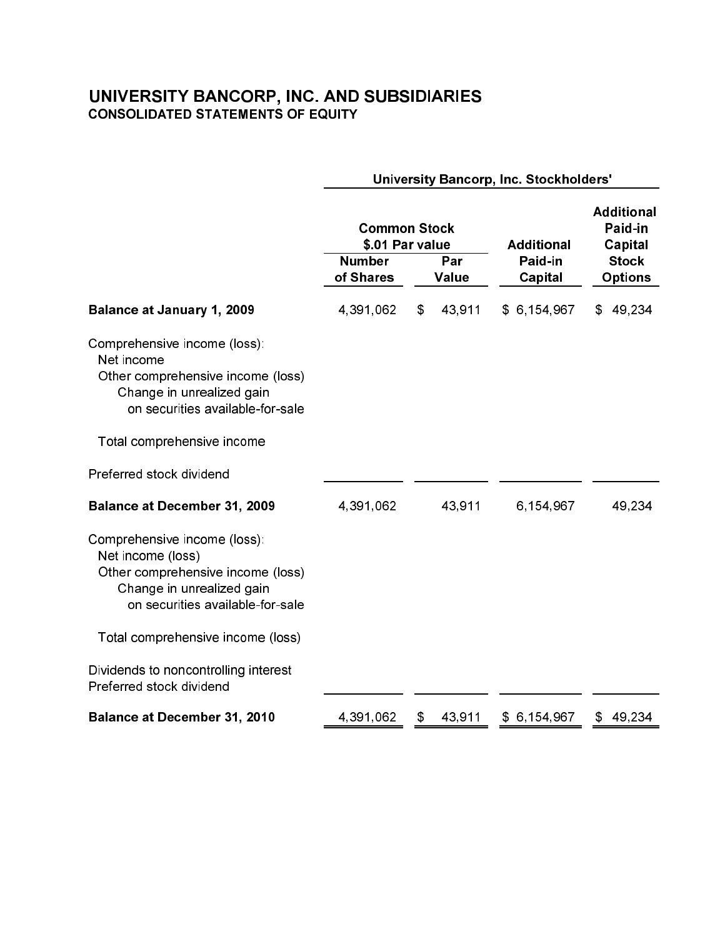# UNIVERSITY BANCORP, INC. AND SUBSIDIARIES<br>CONSOLIDATED STATEMENTS OF EQUITY

|                                                                                                                                                         | <b>University Bancorp, Inc. Stockholders'</b> |                                                               |                                         |                                                                           |  |  |
|---------------------------------------------------------------------------------------------------------------------------------------------------------|-----------------------------------------------|---------------------------------------------------------------|-----------------------------------------|---------------------------------------------------------------------------|--|--|
| <b>Number</b><br>of Shares                                                                                                                              |                                               | <b>Common Stock</b><br>\$.01 Par value<br>Par<br><b>Value</b> | <b>Additional</b><br>Paid-in<br>Capital | <b>Additional</b><br>Paid-in<br>Capital<br><b>Stock</b><br><b>Options</b> |  |  |
| <b>Balance at January 1, 2009</b>                                                                                                                       | 4,391,062                                     | 43,911<br>$\mathfrak{S}$                                      | \$6,154,967                             | 49,234<br>$\mathfrak{S}$                                                  |  |  |
| Comprehensive income (loss):<br>Net income<br>Other comprehensive income (loss)<br>Change in unrealized gain<br>on securities available-for-sale        |                                               |                                                               |                                         |                                                                           |  |  |
| Total comprehensive income                                                                                                                              |                                               |                                                               |                                         |                                                                           |  |  |
| Preferred stock dividend                                                                                                                                |                                               |                                                               |                                         |                                                                           |  |  |
| <b>Balance at December 31, 2009</b>                                                                                                                     | 4,391,062                                     | 43.911                                                        | 6,154,967                               | 49.234                                                                    |  |  |
| Comprehensive income (loss):<br>Net income (loss)<br>Other comprehensive income (loss)<br>Change in unrealized gain<br>on securities available-for-sale |                                               |                                                               |                                         |                                                                           |  |  |
| Total comprehensive income (loss)                                                                                                                       |                                               |                                                               |                                         |                                                                           |  |  |
| Dividends to noncontrolling interest<br>Preferred stock dividend                                                                                        |                                               |                                                               |                                         |                                                                           |  |  |
| <b>Balance at December 31, 2010</b>                                                                                                                     | 4,391,062                                     | 43,911<br>\$                                                  | \$6,154,967                             | 49,234<br>\$                                                              |  |  |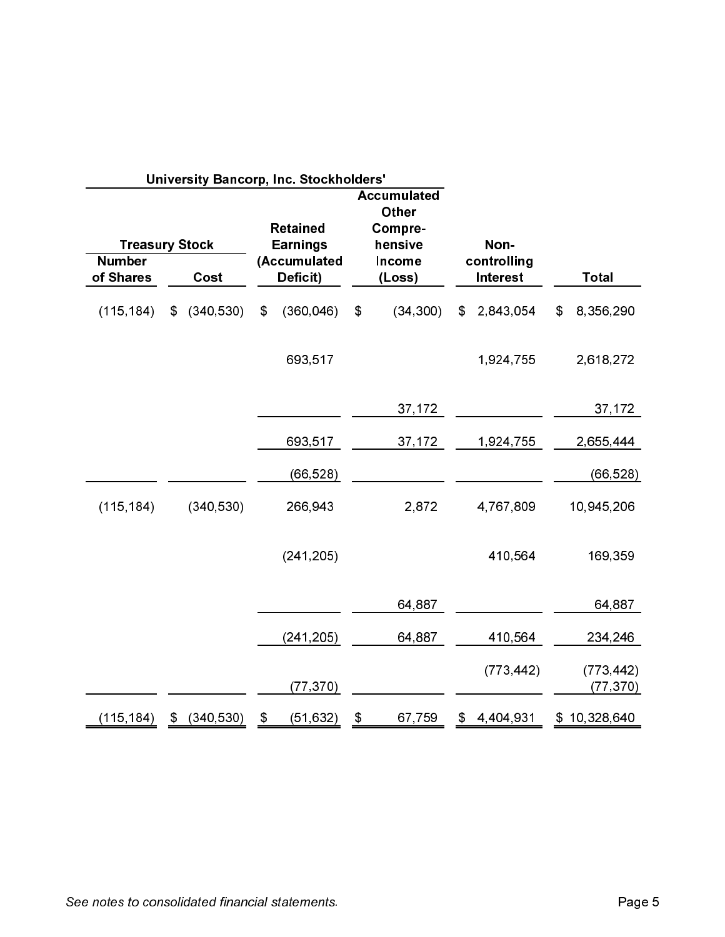|                            |                       | <b>University Bancorp, Inc. Stockholders'</b> |                                                   |                                |                         |
|----------------------------|-----------------------|-----------------------------------------------|---------------------------------------------------|--------------------------------|-------------------------|
|                            | <b>Treasury Stock</b> | <b>Retained</b><br><b>Earnings</b>            | <b>Accumulated</b><br>Other<br>Compre-<br>hensive | Non-                           |                         |
| <b>Number</b><br>of Shares | Cost                  | (Accumulated<br>Deficit)                      | Income<br>(Loss)                                  | controlling<br><b>Interest</b> | <b>Total</b>            |
| (115, 184)                 | (340, 530)<br>\$      | \$<br>(360, 046)                              | (34, 300)<br>\$                                   | 2,843,054<br>\$                | 8,356,290<br>\$         |
|                            |                       | 693,517                                       |                                                   | 1,924,755                      | 2,618,272               |
|                            |                       |                                               | 37,172                                            |                                | 37,172                  |
|                            |                       | 693,517                                       | 37,172                                            | 1,924,755                      | 2,655,444               |
|                            |                       | (66, 528)                                     |                                                   |                                | (66, 528)               |
| (115, 184)                 | (340, 530)            | 266,943                                       | 2,872                                             | 4,767,809                      | 10,945,206              |
|                            |                       | (241, 205)                                    |                                                   | 410,564                        | 169,359                 |
|                            |                       |                                               | 64,887                                            |                                | 64,887                  |
|                            |                       | (241, 205)                                    | 64,887                                            | 410,564                        | 234,246                 |
|                            |                       | (77, 370)                                     |                                                   | (773, 442)                     | (773, 442)<br>(77, 370) |
| (115, 184)                 | (340, 530)<br>\$      | \$<br>(51, 632)                               | 67,759<br>\$                                      | 4,404,931<br>\$                | \$10,328,640            |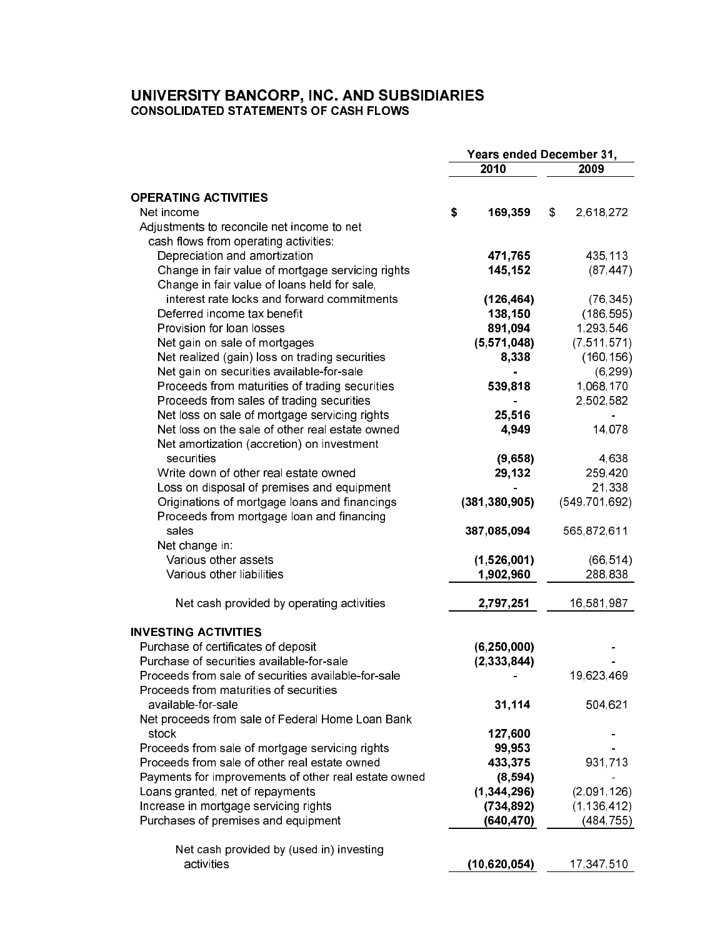# UNIVERSITY BANCORP, INC. AND SUBSIDIARIES<br>CONSOLIDATED STATEMENTS OF CASH FLOWS

|                                                      | <b>Years ended December 31,</b> |                 |  |
|------------------------------------------------------|---------------------------------|-----------------|--|
|                                                      | 2010                            | 2009            |  |
| <b>OPERATING ACTIVITIES</b>                          |                                 |                 |  |
| Net income                                           | \$<br>169,359                   | 2,618,272<br>\$ |  |
| Adjustments to reconcile net income to net           |                                 |                 |  |
| cash flows from operating activities:                |                                 |                 |  |
| Depreciation and amortization                        | 471,765                         | 435,113         |  |
| Change in fair value of mortgage servicing rights    | 145,152                         | (87, 447)       |  |
| Change in fair value of loans held for sale,         |                                 |                 |  |
| interest rate locks and forward commitments          | (126, 464)                      | (76, 345)       |  |
| Deferred income tax benefit                          | 138,150                         | (186, 595)      |  |
| Provision for loan losses                            | 891,094                         | 1,293,546       |  |
| Net gain on sale of mortgages                        | (5,571,048)                     | (7, 511, 571)   |  |
| Net realized (gain) loss on trading securities       | 8,338                           | (160, 156)      |  |
| Net gain on securities available-for-sale            |                                 | (6, 299)        |  |
| Proceeds from maturities of trading securities       | 539,818                         | 1,068,170       |  |
| Proceeds from sales of trading securities            |                                 | 2 502 582       |  |
| Net loss on sale of mortgage servicing rights        | 25,516                          |                 |  |
| Net loss on the sale of other real estate owned      | 4,949                           | 14,078          |  |
| Net amortization (accretion) on investment           |                                 |                 |  |
| securities                                           | (9,658)                         | 4,638           |  |
| Write down of other real estate owned                | 29,132                          | 259,420         |  |
| Loss on disposal of premises and equipment           |                                 | 21,338          |  |
| Originations of mortgage loans and financings        | (381, 380, 905)                 | (549, 701, 692) |  |
| Proceeds from mortgage loan and financing            |                                 |                 |  |
| sales                                                | 387,085,094                     | 565,872,611     |  |
| Net change in:                                       |                                 |                 |  |
| Various other assets                                 | (1,526,001)                     | (66, 514)       |  |
| Various other liabilities                            | 1,902,960                       | 288,838         |  |
|                                                      |                                 |                 |  |
| Net cash provided by operating activities            | 2,797,251                       | 16,581,987      |  |
| <b>INVESTING ACTIVITIES</b>                          |                                 |                 |  |
| Purchase of certificates of deposit                  | (6, 250, 000)                   |                 |  |
| Purchase of securities available-for-sale            | (2, 333, 844)                   |                 |  |
| Proceeds from sale of securities available-for-sale  |                                 | 19,623,469      |  |
| Proceeds from maturities of securities               |                                 |                 |  |
| available-for-sale                                   | 31,114                          | 504,621         |  |
| Net proceeds from sale of Federal Home Loan Bank     |                                 |                 |  |
| stock                                                | 127,600                         |                 |  |
| Proceeds from sale of mortgage servicing rights      | 99,953                          |                 |  |
| Proceeds from sale of other real estate owned        | 433,375                         | 931,713         |  |
| Payments for improvements of other real estate owned | (8, 594)                        |                 |  |
| Loans granted, net of repayments                     | (1,344,296)                     | (2,091,126)     |  |
| Increase in mortgage servicing rights                | (734, 892)                      | (1, 136, 412)   |  |
| Purchases of premises and equipment                  | (640,470)                       | (484, 755)      |  |
|                                                      |                                 |                 |  |
| Net cash provided by (used in) investing             |                                 |                 |  |
| activities                                           | (10,620,054)                    | 17,347,510      |  |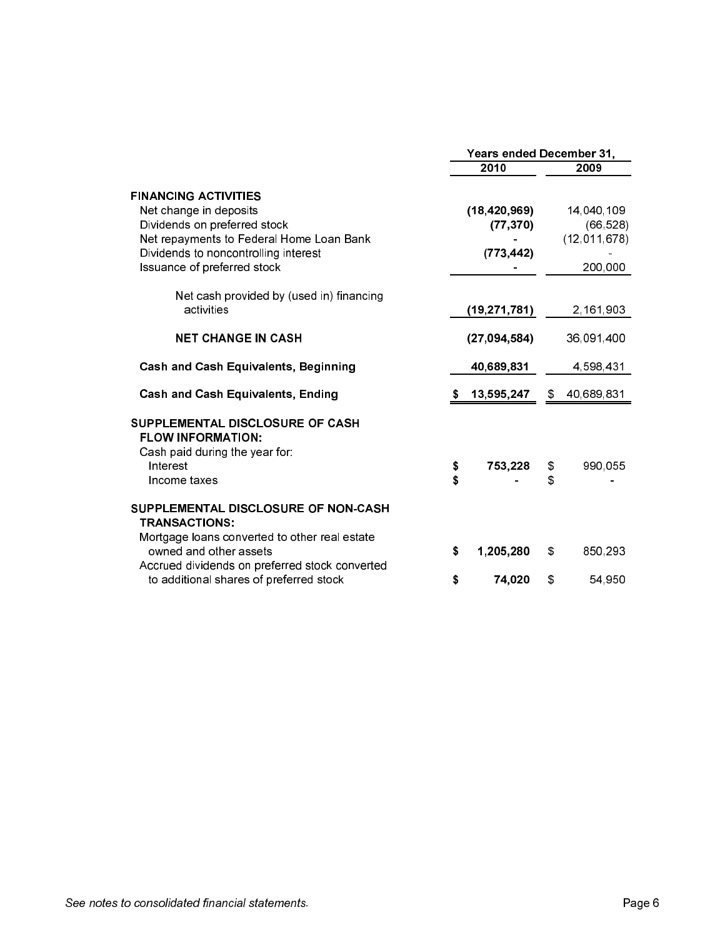|                                                                                                                           | <b>Years ended December 31,</b> |                |          |                |
|---------------------------------------------------------------------------------------------------------------------------|---------------------------------|----------------|----------|----------------|
|                                                                                                                           |                                 | 2010           |          | 2009           |
| <b>FINANCING ACTIVITIES</b>                                                                                               |                                 |                |          |                |
| Net change in deposits                                                                                                    |                                 | (18, 420, 969) |          | 14,040,109     |
| Dividends on preferred stock                                                                                              |                                 | (77, 370)      |          | (66, 528)      |
| Net repayments to Federal Home Loan Bank                                                                                  |                                 |                |          | (12, 011, 678) |
| Dividends to noncontrolling interest                                                                                      |                                 | (773, 442)     |          |                |
| Issuance of preferred stock                                                                                               |                                 |                |          | 200,000        |
| Net cash provided by (used in) financing                                                                                  |                                 |                |          |                |
| activities                                                                                                                |                                 | (19, 271, 781) |          | 2,161,903      |
| <b>NET CHANGE IN CASH</b>                                                                                                 |                                 | (27,094,584)   |          | 36,091,400     |
| <b>Cash and Cash Equivalents, Beginning</b>                                                                               |                                 | 40,689,831     |          | 4,598,431      |
| <b>Cash and Cash Equivalents, Ending</b>                                                                                  |                                 | 13,595,247     | S.       | 40,689,831     |
| SUPPLEMENTAL DISCLOSURE OF CASH<br><b>FLOW INFORMATION:</b><br>Cash paid during the year for:<br>Interest<br>Income taxes | \$<br>\$                        | 753,228        | \$<br>\$ | 990,055        |
| SUPPLEMENTAL DISCLOSURE OF NON-CASH<br><b>TRANSACTIONS:</b><br>Mortgage loans converted to other real estate              |                                 |                |          |                |
| owned and other assets                                                                                                    | \$                              | 1,205,280      | \$       | 850,293        |
| Accrued dividends on preferred stock converted<br>to additional shares of preferred stock                                 | \$                              | 74,020         | \$       | 54,950         |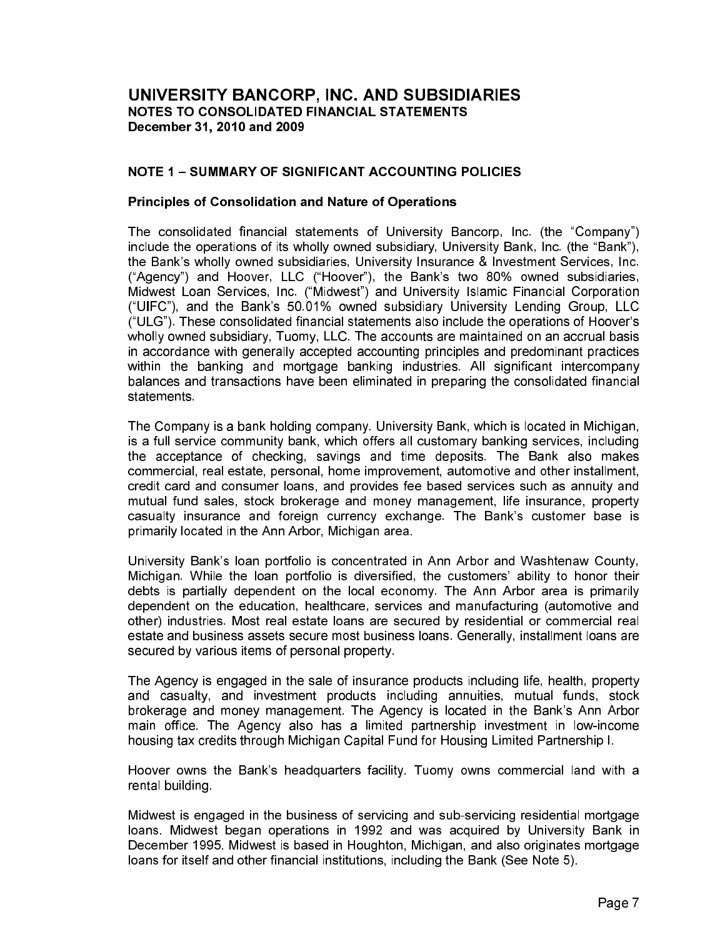#### **NOTE 1 - SUMMARY OF SIGNIFICANT ACCOUNTING POLICIES**

#### **Principles of Consolidation and Nature of Operations**

The consolidated financial statements of University Bancorp, Inc. (the "Company") include the operations of its wholly owned subsidiary, University Bank, Inc. (the "Bank"), the Bank's wholly owned subsidiaries. University Insurance & Investment Services, Inc. ("Agency") and Hoover, LLC ("Hoover"), the Bank's two 80% owned subsidiaries, Midwest Loan Services, Inc. ("Midwest") and University Islamic Financial Corporation ("UIFC"), and the Bank's 50.01% owned subsidiary University Lending Group, LLC ("ULG"). These consolidated financial statements also include the operations of Hoover's wholly owned subsidiary, Tuomy, LLC. The accounts are maintained on an accrual basis in accordance with generally accepted accounting principles and predominant practices within the banking and mortgage banking industries. All significant intercompany balances and transactions have been eliminated in preparing the consolidated financial statements

The Company is a bank holding company. University Bank, which is located in Michigan. is a full service community bank, which offers all customary banking services, including the acceptance of checking, savings and time deposits. The Bank also makes commercial, real estate, personal, home improvement, automotive and other installment, credit card and consumer loans, and provides fee based services such as annuity and mutual fund sales, stock brokerage and money management, life insurance, property casualty insurance and foreign currency exchange. The Bank's customer base is primarily located in the Ann Arbor, Michigan area.

University Bank's loan portfolio is concentrated in Ann Arbor and Washtenaw County, Michigan. While the loan portfolio is diversified, the customers' ability to honor their debts is partially dependent on the local economy. The Ann Arbor area is primarily dependent on the education, healthcare, services and manufacturing (automotive and other) industries. Most real estate loans are secured by residential or commercial real estate and business assets secure most business loans. Generally, installment loans are secured by various items of personal property

The Agency is engaged in the sale of insurance products including life, health, property and casualty, and investment products including annuities, mutual funds, stock brokerage and money management. The Agency is located in the Bank's Ann Arbor main office. The Agency also has a limited partnership investment in low-income housing tax credits through Michigan Capital Fund for Housing Limited Partnership I.

Hoover owns the Bank's headquarters facility. Tuomy owns commercial land with a rental building.

Midwest is engaged in the business of servicing and sub-servicing residential mortgage loans. Midwest began operations in 1992 and was acquired by University Bank in December 1995. Midwest is based in Houghton, Michigan, and also originates mortgage loans for itself and other financial institutions, including the Bank (See Note 5).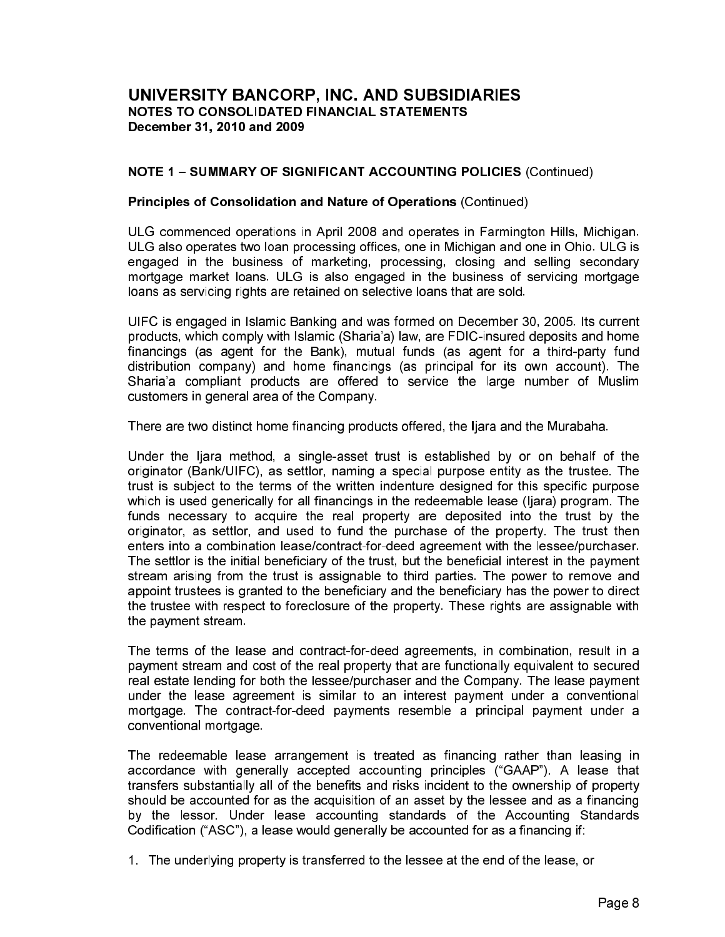#### NOTE 1 - SUMMARY OF SIGNIFICANT ACCOUNTING POLICIES (Continued)

#### Principles of Consolidation and Nature of Operations (Continued)

ULG commenced operations in April 2008 and operates in Farmington Hills, Michigan. ULG also operates two loan processing offices, one in Michigan and one in Ohio. ULG is engaged in the business of marketing, processing, closing and selling secondary mortgage market loans. ULG is also engaged in the business of servicing mortgage loans as servicing rights are retained on selective loans that are sold.

UIFC is engaged in Islamic Banking and was formed on December 30, 2005. Its current products, which comply with Islamic (Sharia'a) law, are FDIC-insured deposits and home financings (as agent for the Bank), mutual funds (as agent for a third-party fund distribution company) and home financings (as principal for its own account). The Sharia'a compliant products are offered to service the large number of Muslim customers in general area of the Company.

There are two distinct home financing products offered, the liara and the Murabaha.

Under the liara method, a single-asset trust is established by or on behalf of the originator (Bank/UIFC), as settlor, naming a special purpose entity as the trustee. The trust is subject to the terms of the written indenture designed for this specific purpose which is used generically for all financings in the redeemable lease (ljara) program. The funds necessary to acquire the real property are deposited into the trust by the originator, as settlor, and used to fund the purchase of the property. The trust then enters into a combination lease/contract-for-deed agreement with the lessee/purchaser. The settlor is the initial beneficiary of the trust, but the beneficial interest in the payment stream arising from the trust is assignable to third parties. The power to remove and appoint trustees is granted to the beneficiary and the beneficiary has the power to direct the trustee with respect to foreclosure of the property. These rights are assignable with the payment stream.

The terms of the lease and contract-for-deed agreements, in combination, result in a payment stream and cost of the real property that are functionally equivalent to secured real estate lending for both the lessee/purchaser and the Company. The lease payment under the lease agreement is similar to an interest payment under a conventional mortgage. The contract-for-deed payments resemble a principal payment under a conventional mortgage

The redeemable lease arrangement is treated as financing rather than leasing in accordance with generally accepted accounting principles ("GAAP"). A lease that transfers substantially all of the benefits and risks incident to the ownership of property should be accounted for as the acquisition of an asset by the lessee and as a financing by the lessor. Under lease accounting standards of the Accounting Standards Codification ("ASC"), a lease would generally be accounted for as a financing if:

1. The underlying property is transferred to the lessee at the end of the lease, or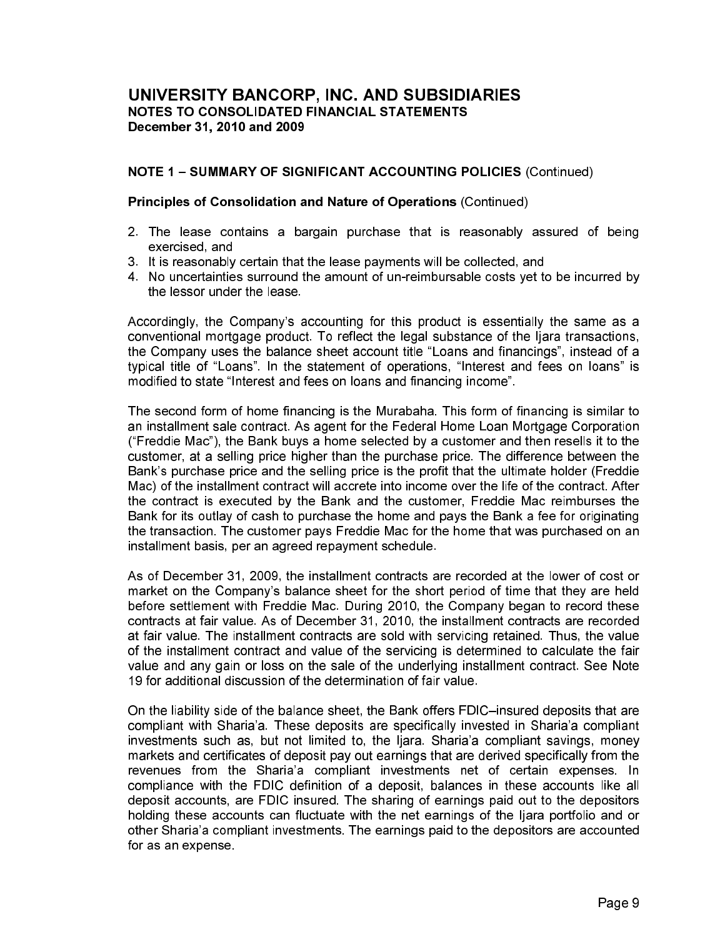#### **NOTE 1 - SUMMARY OF SIGNIFICANT ACCOUNTING POLICIES (Continued)**

#### Principles of Consolidation and Nature of Operations (Continued)

- 2. The lease contains a bargain purchase that is reasonably assured of being exercised and
- 3. It is reasonably certain that the lease payments will be collected, and
- 4. No uncertainties surround the amount of un-reimbursable costs yet to be incurred by the lessor under the lease

Accordingly, the Company's accounting for this product is essentially the same as a conventional mortgage product. To reflect the legal substance of the liara transactions, the Company uses the balance sheet account title "Loans and financings", instead of a typical title of "Loans". In the statement of operations, "Interest and fees on loans" is modified to state "Interest and fees on loans and financing income".

The second form of home financing is the Murabaha. This form of financing is similar to an installment sale contract. As agent for the Federal Home Loan Mortgage Corporation ("Freddie Mac"), the Bank buys a home selected by a customer and then resells it to the customer, at a selling price higher than the purchase price. The difference between the Bank's purchase price and the selling price is the profit that the ultimate holder (Freddie Mac) of the installment contract will accrete into income over the life of the contract. After the contract is executed by the Bank and the customer, Freddie Mac reimburses the Bank for its outlay of cash to purchase the home and pays the Bank a fee for originating the transaction. The customer pays Freddie Mac for the home that was purchased on an installment basis, per an agreed repayment schedule.

As of December 31, 2009, the installment contracts are recorded at the lower of cost or market on the Company's balance sheet for the short period of time that they are held before settlement with Freddie Mac. During 2010, the Company began to record these contracts at fair value. As of December 31, 2010, the installment contracts are recorded at fair value. The installment contracts are sold with servicing retained. Thus, the value of the installment contract and value of the servicing is determined to calculate the fair value and any gain or loss on the sale of the underlying installment contract. See Note 19 for additional discussion of the determination of fair value.

On the liability side of the balance sheet, the Bank offers FDIC-insured deposits that are compliant with Sharia'a. These deposits are specifically invested in Sharia'a compliant investments such as, but not limited to, the liara. Sharia'a compliant savings, money markets and certificates of deposit pay out earnings that are derived specifically from the revenues from the Sharia'a compliant investments net of certain expenses. In compliance with the FDIC definition of a deposit, balances in these accounts like all deposit accounts, are FDIC insured. The sharing of earnings paid out to the depositors holding these accounts can fluctuate with the net earnings of the ljara portfolio and or other Sharia'a compliant investments. The earnings paid to the depositors are accounted for as an expense.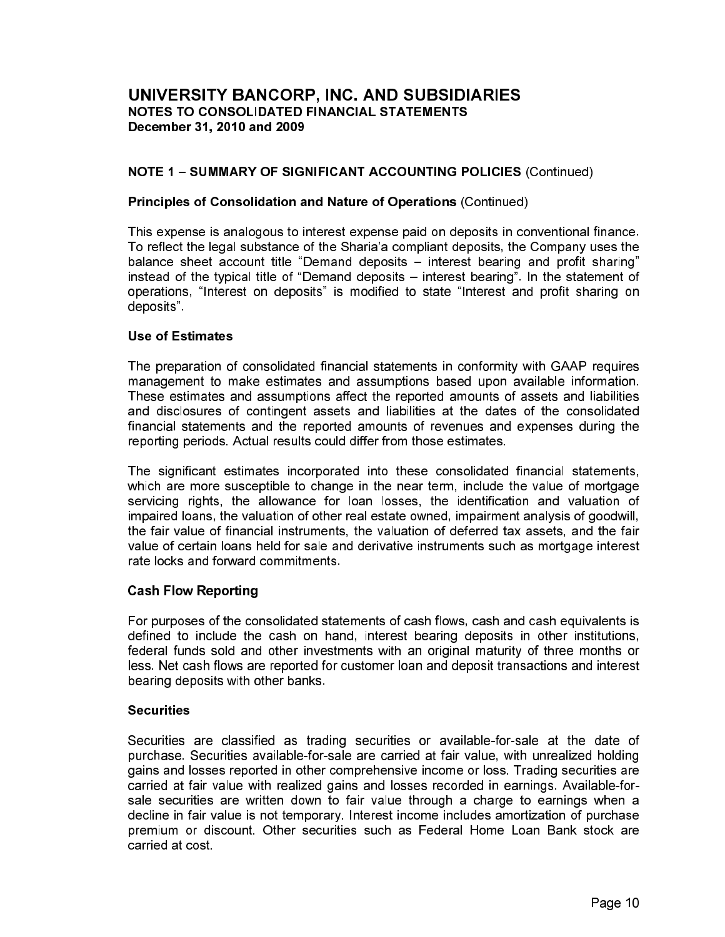#### **NOTE 1 - SUMMARY OF SIGNIFICANT ACCOUNTING POLICIES (Continued)**

#### Principles of Consolidation and Nature of Operations (Continued)

This expense is analogous to interest expense paid on deposits in conventional finance. To reflect the legal substance of the Sharia'a compliant deposits, the Company uses the balance sheet account title "Demand deposits – interest bearing and profit sharing" instead of the typical title of "Demand deposits – interest bearing". In the statement of operations, "Interest on deposits" is modified to state "Interest and profit sharing on deposits"

#### **Use of Estimates**

The preparation of consolidated financial statements in conformity with GAAP requires management to make estimates and assumptions based upon available information. These estimates and assumptions affect the reported amounts of assets and liabilities and disclosures of contingent assets and liabilities at the dates of the consolidated financial statements and the reported amounts of revenues and expenses during the reporting periods. Actual results could differ from those estimates.

The significant estimates incorporated into these consolidated financial statements. which are more susceptible to change in the near term, include the value of mortgage servicing rights, the allowance for loan losses, the identification and valuation of impaired loans, the valuation of other real estate owned, impairment analysis of goodwill, the fair value of financial instruments, the valuation of deferred tax assets, and the fair value of certain loans held for sale and derivative instruments such as mortgage interest rate locks and forward commitments.

#### **Cash Flow Reporting**

For purposes of the consolidated statements of cash flows, cash and cash equivalents is defined to include the cash on hand, interest bearing deposits in other institutions. federal funds sold and other investments with an original maturity of three months or less. Net cash flows are reported for customer loan and deposit transactions and interest bearing deposits with other banks.

#### **Securities**

Securities are classified as trading securities or available-for-sale at the date of purchase. Securities available-for-sale are carried at fair value, with unrealized holding gains and losses reported in other comprehensive income or loss. Trading securities are carried at fair value with realized gains and losses recorded in earnings. Available-forsale securities are written down to fair value through a charge to earnings when a decline in fair value is not temporary. Interest income includes amortization of purchase premium or discount. Other securities such as Federal Home Loan Bank stock are carried at cost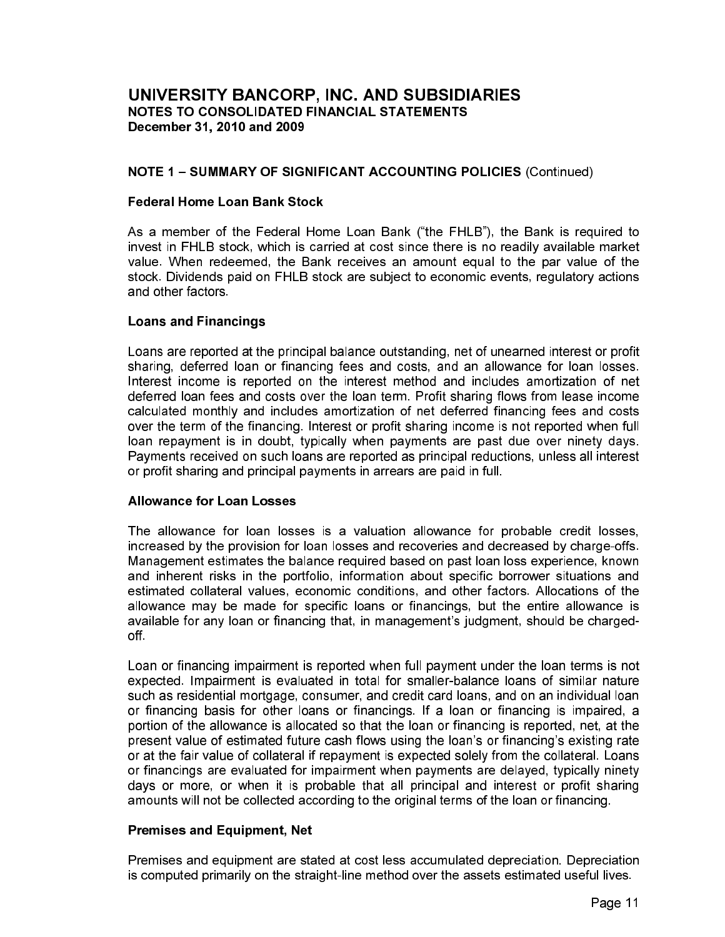#### NOTE 1 - SUMMARY OF SIGNIFICANT ACCOUNTING POLICIES (Continued)

#### **Federal Home Loan Bank Stock**

As a member of the Federal Home Loan Bank ("the FHLB"), the Bank is required to invest in FHLB stock, which is carried at cost since there is no readily available market value. When redeemed, the Bank receives an amount equal to the par value of the stock. Dividends paid on FHLB stock are subject to economic events, regulatory actions and other factors

#### **Loans and Financings**

Loans are reported at the principal balance outstanding, net of unearned interest or profit sharing, deferred loan or financing fees and costs, and an allowance for loan losses. Interest income is reported on the interest method and includes amortization of net deferred loan fees and costs over the loan term. Profit sharing flows from lease income calculated monthly and includes amortization of net deferred financing fees and costs over the term of the financing. Interest or profit sharing income is not reported when full loan repayment is in doubt, typically when payments are past due over ninety days. Payments received on such loans are reported as principal reductions, unless all interest or profit sharing and principal payments in arrears are paid in full.

#### **Allowance for Loan Losses**

The allowance for loan losses is a valuation allowance for probable credit losses. increased by the provision for loan losses and recoveries and decreased by charge-offs. Management estimates the balance required based on past loan loss experience, known and inherent risks in the portfolio, information about specific borrower situations and estimated collateral values, economic conditions, and other factors. Allocations of the allowance may be made for specific loans or financings, but the entire allowance is available for any loan or financing that, in management's judgment, should be chargedoff.

Loan or financing impairment is reported when full payment under the loan terms is not expected. Impairment is evaluated in total for smaller-balance loans of similar nature such as residential mortgage, consumer, and credit card loans, and on an individual loan or financing basis for other loans or financings. If a loan or financing is impaired, a portion of the allowance is allocated so that the loan or financing is reported, net, at the present value of estimated future cash flows using the loan's or financing's existing rate or at the fair value of collateral if repayment is expected solely from the collateral. Loans or financings are evaluated for impairment when payments are delayed, typically ninety days or more, or when it is probable that all principal and interest or profit sharing amounts will not be collected according to the original terms of the loan or financing.

#### **Premises and Equipment, Net**

Premises and equipment are stated at cost less accumulated depreciation. Depreciation is computed primarily on the straight-line method over the assets estimated useful lives.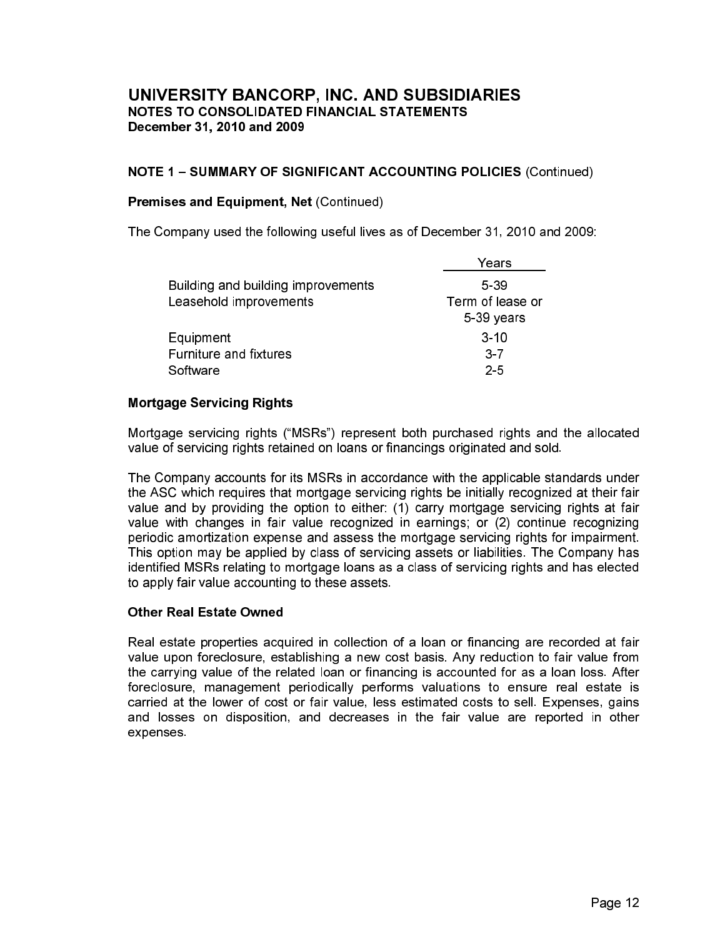#### NOTE 1 - SUMMARY OF SIGNIFICANT ACCOUNTING POLICIES (Continued)

#### **Premises and Equipment, Net (Continued)**

The Company used the following useful lives as of December 31, 2010 and 2009:

|                                    | Years            |
|------------------------------------|------------------|
| Building and building improvements | 5-39             |
| Leasehold improvements             | Term of lease or |
|                                    | 5-39 years       |
| Equipment                          | $3 - 10$         |
| Furniture and fixtures             | $3 - 7$          |
| Software                           | 2.5              |
|                                    |                  |

#### **Mortgage Servicing Rights**

Mortgage servicing rights ("MSRs") represent both purchased rights and the allocated value of servicing rights retained on loans or financings originated and sold.

The Company accounts for its MSRs in accordance with the applicable standards under the ASC which requires that mortgage servicing rights be initially recognized at their fair value and by providing the option to either: (1) carry mortgage servicing rights at fair value with changes in fair value recognized in earnings; or (2) continue recognizing periodic amortization expense and assess the mortgage servicing rights for impairment. This option may be applied by class of servicing assets or liabilities. The Company has identified MSRs relating to mortgage loans as a class of servicing rights and has elected to apply fair value accounting to these assets.

#### **Other Real Estate Owned**

Real estate properties acquired in collection of a loan or financing are recorded at fair value upon foreclosure, establishing a new cost basis. Any reduction to fair value from the carrying value of the related loan or financing is accounted for as a loan loss. After foreclosure, management periodically performs valuations to ensure real estate is carried at the lower of cost or fair value, less estimated costs to sell. Expenses, gains and losses on disposition, and decreases in the fair value are reported in other expenses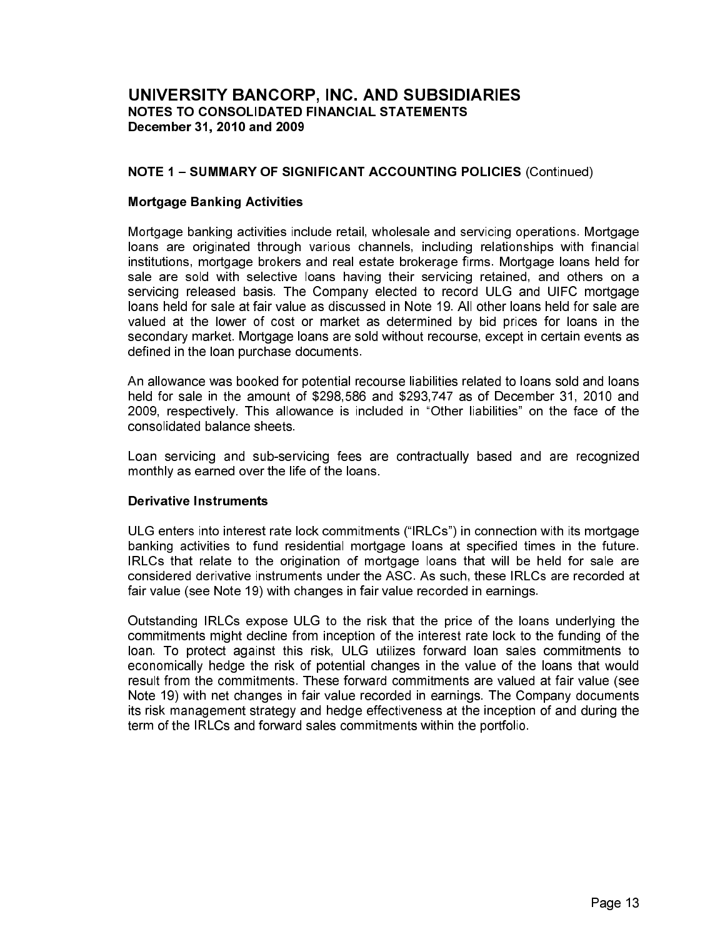#### **NOTE 1 - SUMMARY OF SIGNIFICANT ACCOUNTING POLICIES (Continued)**

#### **Mortgage Banking Activities**

Mortgage banking activities include retail, wholesale and servicing operations. Mortgage loans are originated through various channels, including relationships with financial institutions, mortgage brokers and real estate brokerage firms. Mortgage loans held for sale are sold with selective loans having their servicing retained, and others on a servicing released basis. The Company elected to record ULG and UIFC mortgage loans held for sale at fair value as discussed in Note 19. All other loans held for sale are valued at the lower of cost or market as determined by bid prices for loans in the secondary market. Mortgage loans are sold without recourse, except in certain events as defined in the loan purchase documents.

An allowance was booked for potential recourse liabilities related to loans sold and loans held for sale in the amount of \$298,586 and \$293,747 as of December 31, 2010 and 2009, respectively. This allowance is included in "Other liabilities" on the face of the consolidated balance sheets.

Loan servicing and sub-servicing fees are contractually based and are recognized monthly as earned over the life of the loans.

#### **Derivative Instruments**

ULG enters into interest rate lock commitments ("IRLCs") in connection with its mortgage banking activities to fund residential mortgage loans at specified times in the future. IRLCs that relate to the origination of mortgage loans that will be held for sale are considered derivative instruments under the ASC. As such, these IRLCs are recorded at fair value (see Note 19) with changes in fair value recorded in earnings.

Outstanding IRLCs expose ULG to the risk that the price of the loans underlying the commitments might decline from inception of the interest rate lock to the funding of the loan. To protect against this risk, ULG utilizes forward loan sales commitments to economically hedge the risk of potential changes in the value of the loans that would result from the commitments. These forward commitments are valued at fair value (see Note 19) with net changes in fair value recorded in earnings. The Company documents its risk management strategy and hedge effectiveness at the inception of and during the term of the IRLCs and forward sales commitments within the portfolio.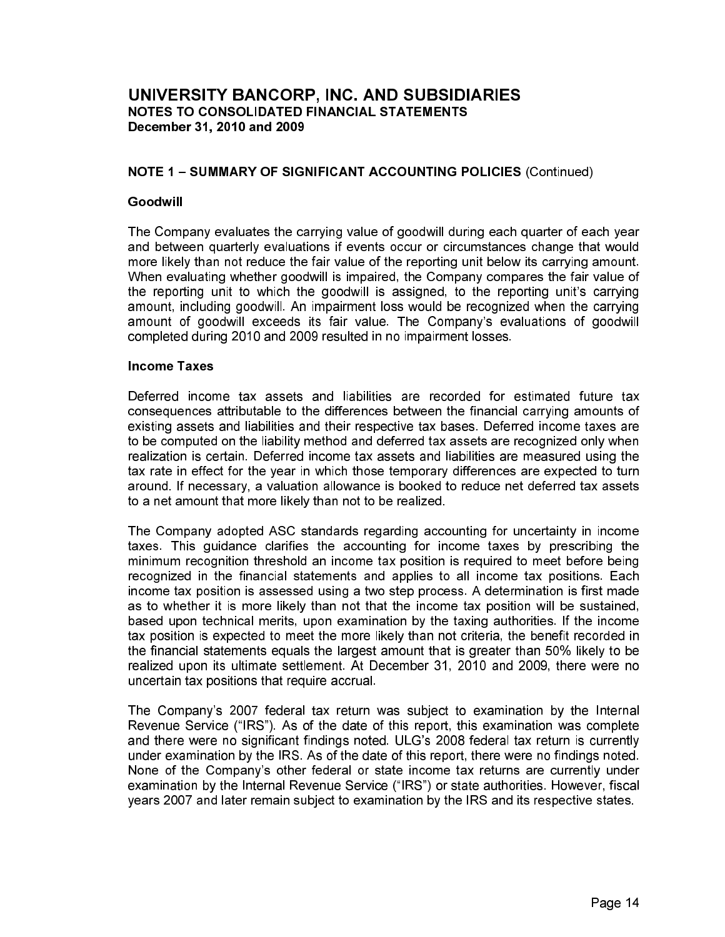#### **NOTE 1 - SUMMARY OF SIGNIFICANT ACCOUNTING POLICIES (Continued)**

#### Goodwill

The Company evaluates the carrying value of goodwill during each quarter of each year and between quarterly evaluations if events occur or circumstances change that would more likely than not reduce the fair value of the reporting unit below its carrying amount. When evaluating whether goodwill is impaired, the Company compares the fair value of the reporting unit to which the goodwill is assigned, to the reporting unit's carrying amount, including goodwill. An impairment loss would be recognized when the carrying amount of goodwill exceeds its fair value. The Company's evaluations of goodwill completed during 2010 and 2009 resulted in no impairment losses.

#### **Income Taxes**

Deferred income tax assets and liabilities are recorded for estimated future tax consequences attributable to the differences between the financial carrying amounts of existing assets and liabilities and their respective tax bases. Deferred income taxes are to be computed on the liability method and deferred tax assets are recognized only when realization is certain. Deferred income tax assets and liabilities are measured using the tax rate in effect for the year in which those temporary differences are expected to turn around. If necessary, a valuation allowance is booked to reduce net deferred tax assets to a net amount that more likely than not to be realized.

The Company adopted ASC standards regarding accounting for uncertainty in income taxes. This guidance clarifies the accounting for income taxes by prescribing the minimum recognition threshold an income tax position is required to meet before being recognized in the financial statements and applies to all income tax positions. Each income tax position is assessed using a two step process. A determination is first made as to whether it is more likely than not that the income tax position will be sustained, based upon technical merits, upon examination by the taxing authorities. If the income tax position is expected to meet the more likely than not criteria, the benefit recorded in the financial statements equals the largest amount that is greater than 50% likely to be realized upon its ultimate settlement. At December 31, 2010 and 2009, there were no uncertain tax positions that require accrual.

The Company's 2007 federal tax return was subject to examination by the Internal Revenue Service ("IRS"). As of the date of this report, this examination was complete and there were no significant findings noted. ULG's 2008 federal tax return is currently under examination by the IRS. As of the date of this report, there were no findings noted. None of the Company's other federal or state income tax returns are currently under examination by the Internal Revenue Service ("IRS") or state authorities. However, fiscal years 2007 and later remain subject to examination by the IRS and its respective states.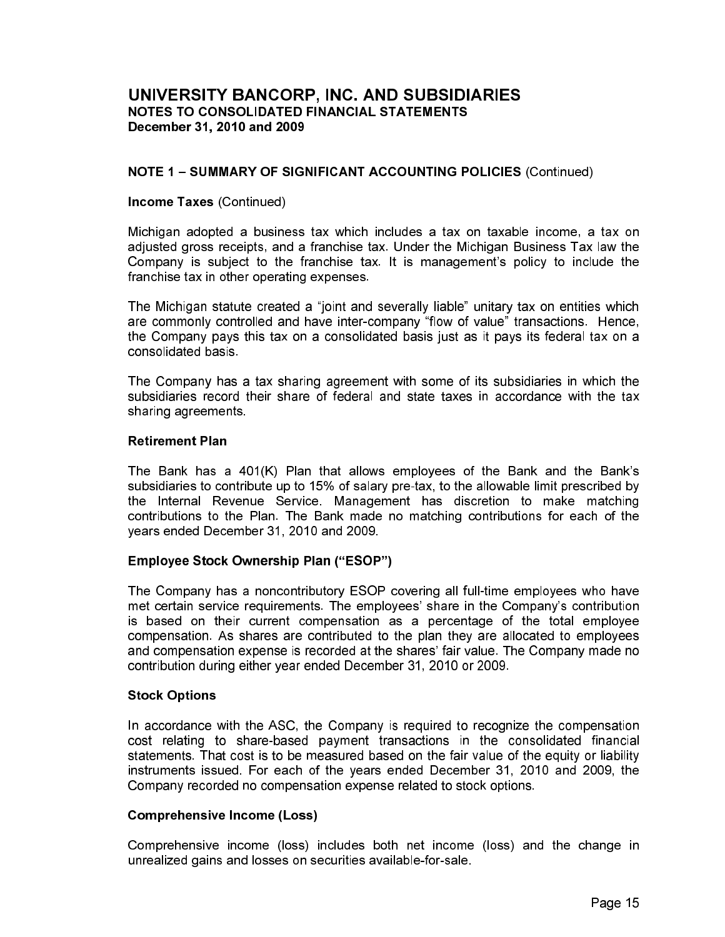#### **NOTE 1 - SUMMARY OF SIGNIFICANT ACCOUNTING POLICIES (Continued)**

#### **Income Taxes (Continued)**

Michigan adopted a business tax which includes a tax on taxable income, a tax on adjusted gross receipts, and a franchise tax. Under the Michigan Business Tax law the Company is subject to the franchise tax. It is management's policy to include the franchise tax in other operating expenses.

The Michigan statute created a "joint and severally liable" unitary tax on entities which are commonly controlled and have inter-company "flow of value" transactions. Hence, the Company pays this tax on a consolidated basis just as it pays its federal tax on a consolidated basis.

The Company has a tax sharing agreement with some of its subsidiaries in which the subsidiaries record their share of federal and state taxes in accordance with the tax sharing agreements.

#### **Retirement Plan**

The Bank has a 401(K) Plan that allows employees of the Bank and the Bank's subsidiaries to contribute up to 15% of salary pre-tax, to the allowable limit prescribed by the Internal Revenue Service. Management has discretion to make matching contributions to the Plan. The Bank made no matching contributions for each of the years ended December 31, 2010 and 2009.

#### **Employee Stock Ownership Plan ("ESOP")**

The Company has a noncontributory ESOP covering all full-time employees who have met certain service requirements. The employees' share in the Company's contribution is based on their current compensation as a percentage of the total employee compensation. As shares are contributed to the plan they are allocated to employees and compensation expense is recorded at the shares' fair value. The Company made no contribution during either vear ended December 31, 2010 or 2009.

#### **Stock Options**

In accordance with the ASC, the Company is required to recognize the compensation cost relating to share-based payment transactions in the consolidated financial statements. That cost is to be measured based on the fair value of the equity or liability instruments issued. For each of the years ended December 31, 2010 and 2009, the Company recorded no compensation expense related to stock options.

#### **Comprehensive Income (Loss)**

Comprehensive income (loss) includes both net income (loss) and the change in unrealized gains and losses on securities available-for-sale.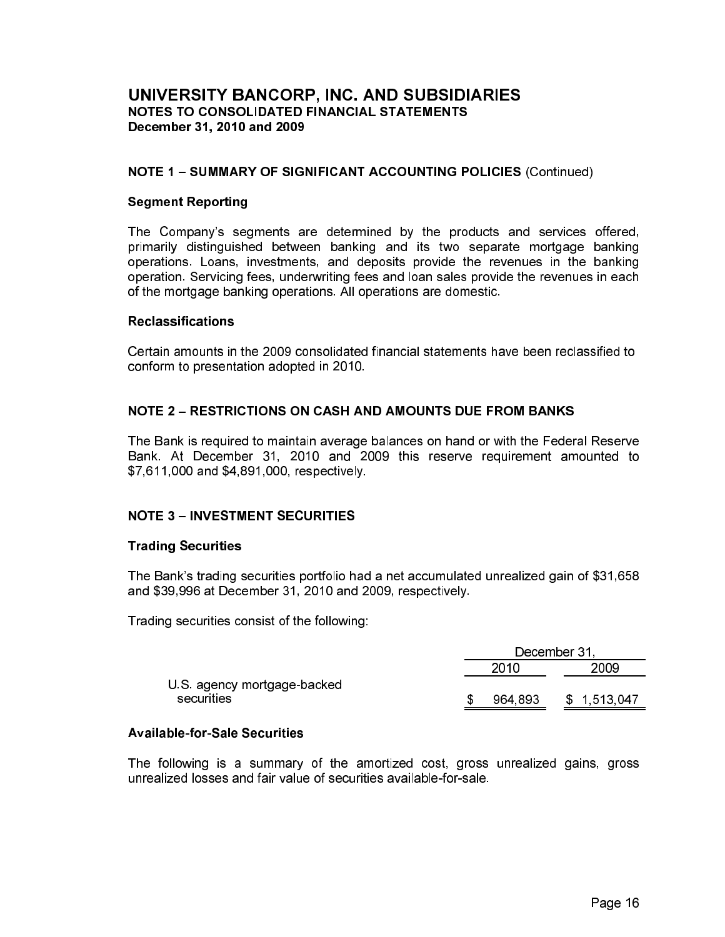#### **NOTE 1 - SUMMARY OF SIGNIFICANT ACCOUNTING POLICIES (Continued)**

#### **Segment Reporting**

The Company's segments are determined by the products and services offered, primarily distinguished between banking and its two separate mortgage banking operations. Loans, investments, and deposits provide the revenues in the banking operation. Servicing fees, underwriting fees and loan sales provide the revenues in each of the mortgage banking operations. All operations are domestic.

#### **Reclassifications**

Certain amounts in the 2009 consolidated financial statements have been reclassified to conform to presentation adopted in 2010.

#### **NOTE 2 – RESTRICTIONS ON CASH AND AMOUNTS DUE FROM BANKS**

The Bank is required to maintain average balances on hand or with the Federal Reserve Bank. At December 31, 2010 and 2009 this reserve requirement amounted to \$7,611,000 and \$4,891,000, respectively.

#### **NOTE 3 - INVESTMENT SECURITIES**

#### **Trading Securities**

The Bank's trading securities portfolio had a net accumulated unrealized gain of \$31,658 and \$39,996 at December 31, 2010 and 2009, respectively.

Trading securities consist of the following:

|                             | December 31. |            |  |
|-----------------------------|--------------|------------|--|
|                             | 2010         | 2009       |  |
| U.S. agency mortgage-backed |              |            |  |
| securities                  | 964 893      | \$1513,047 |  |

#### **Available-for-Sale Securities**

The following is a summary of the amortized cost, gross unrealized gains, gross unrealized losses and fair value of securities available-for-sale.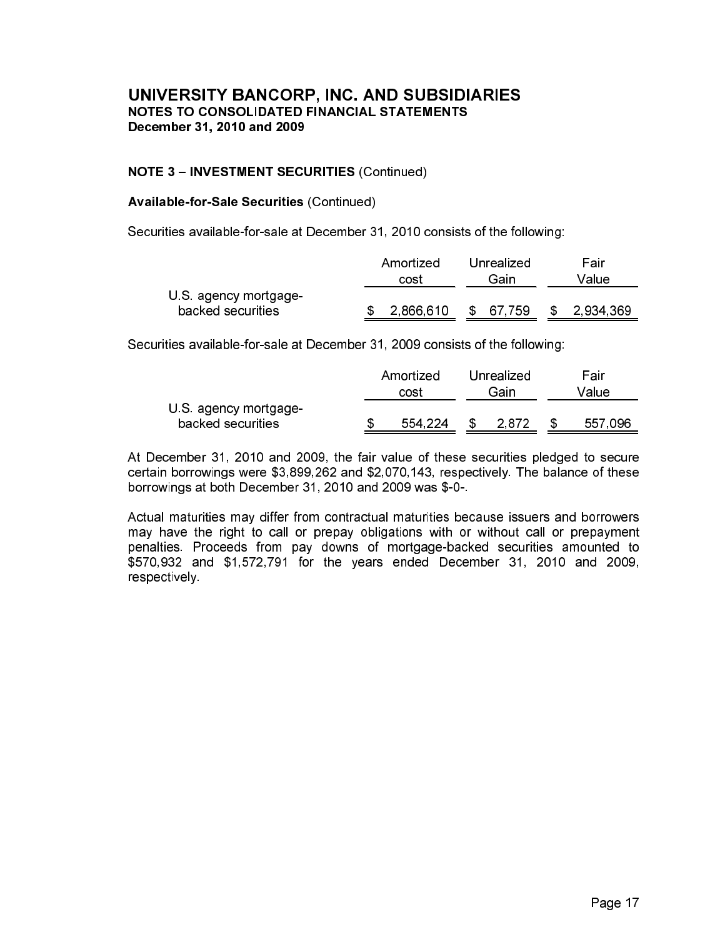#### **NOTE 3 - INVESTMENT SECURITIES (Continued)**

#### Available-for-Sale Securities (Continued)

Securities available-for-sale at December 31, 2010 consists of the following:

|                                            | Amortized<br>cost |     | Unrealized<br>Gain | Fair<br>Value |
|--------------------------------------------|-------------------|-----|--------------------|---------------|
| U.S. agency mortgage-<br>backed securities | 2 866 610         | \$. | 67.759             | 2 934 369     |

Securities available-for-sale at December 31, 2009 consists of the following:

|                                            | Amortized<br>cost |         | Unrealized<br>Gain |  | Fair<br>Value |  |
|--------------------------------------------|-------------------|---------|--------------------|--|---------------|--|
| U.S. agency mortgage-<br>backed securities |                   | 554 224 | 2.872              |  | 557 096       |  |

At December 31, 2010 and 2009, the fair value of these securities pledged to secure certain borrowings were \$3,899,262 and \$2,070,143, respectively. The balance of these borrowings at both December 31, 2010 and 2009 was \$-0-.

Actual maturities may differ from contractual maturities because issuers and borrowers may have the right to call or prepay obligations with or without call or prepayment penalties. Proceeds from pay downs of mortgage-backed securities amounted to \$570,932 and \$1,572,791 for the years ended December 31, 2010 and 2009, respectively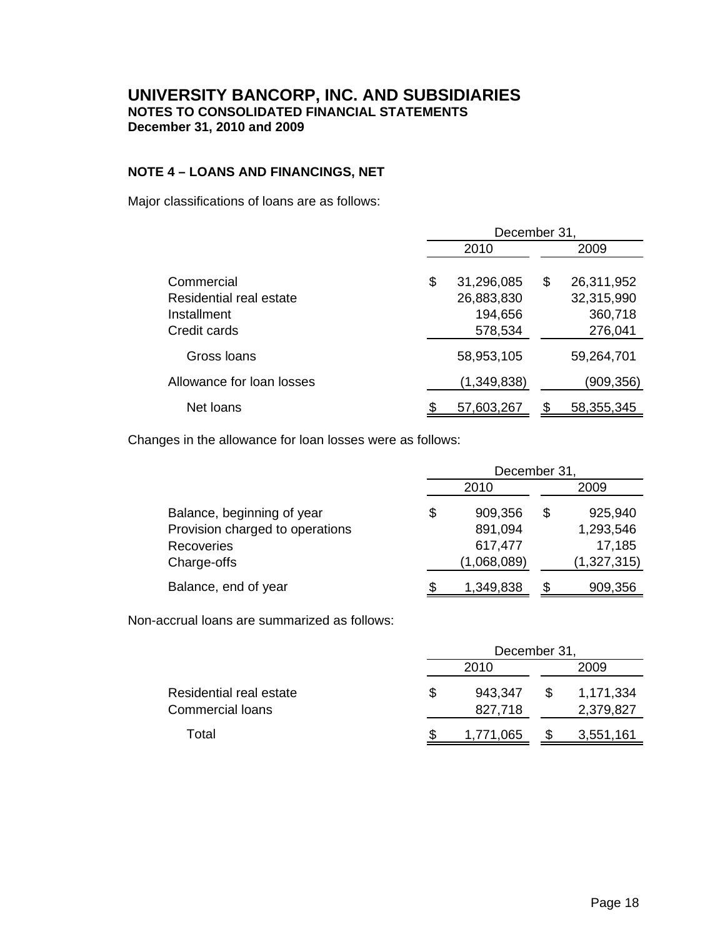#### **NOTE 4 – LOANS AND FINANCINGS, NET**

Major classifications of loans are as follows:

|                                                                            | December 31, |                                                |    |                                                |  |
|----------------------------------------------------------------------------|--------------|------------------------------------------------|----|------------------------------------------------|--|
|                                                                            |              | 2010                                           |    | 2009                                           |  |
| \$<br>Commercial<br>Residential real estate<br>Installment<br>Credit cards |              | 31,296,085<br>26,883,830<br>194,656<br>578,534 | \$ | 26,311,952<br>32,315,990<br>360,718<br>276,041 |  |
| Gross Ioans                                                                |              | 58,953,105                                     |    | 59,264,701                                     |  |
| Allowance for loan losses                                                  |              | (1,349,838)                                    |    | (909,356)                                      |  |
| Net loans                                                                  |              | 57,603,267                                     |    | 58,355,345                                     |  |

Changes in the allowance for loan losses were as follows:

|                                 | December 31, |             |   |             |
|---------------------------------|--------------|-------------|---|-------------|
|                                 |              | 2010        |   | 2009        |
| Balance, beginning of year      | \$           | 909,356     | S | 925,940     |
| Provision charged to operations |              | 891,094     |   | 1,293,546   |
| Recoveries                      |              | 617,477     |   | 17,185      |
| Charge-offs                     |              | (1,068,089) |   | (1,327,315) |
| Balance, end of year            |              | 1,349,838   |   | 909,356     |

Non-accrual loans are summarized as follows:

|                                             |   | December 31.       |      |                        |  |
|---------------------------------------------|---|--------------------|------|------------------------|--|
|                                             |   | 2010               | 2009 |                        |  |
| Residential real estate<br>Commercial loans | S | 943,347<br>827,718 |      | 1,171,334<br>2,379,827 |  |
| Total                                       |   | 1,771,065          |      | 3,551,161              |  |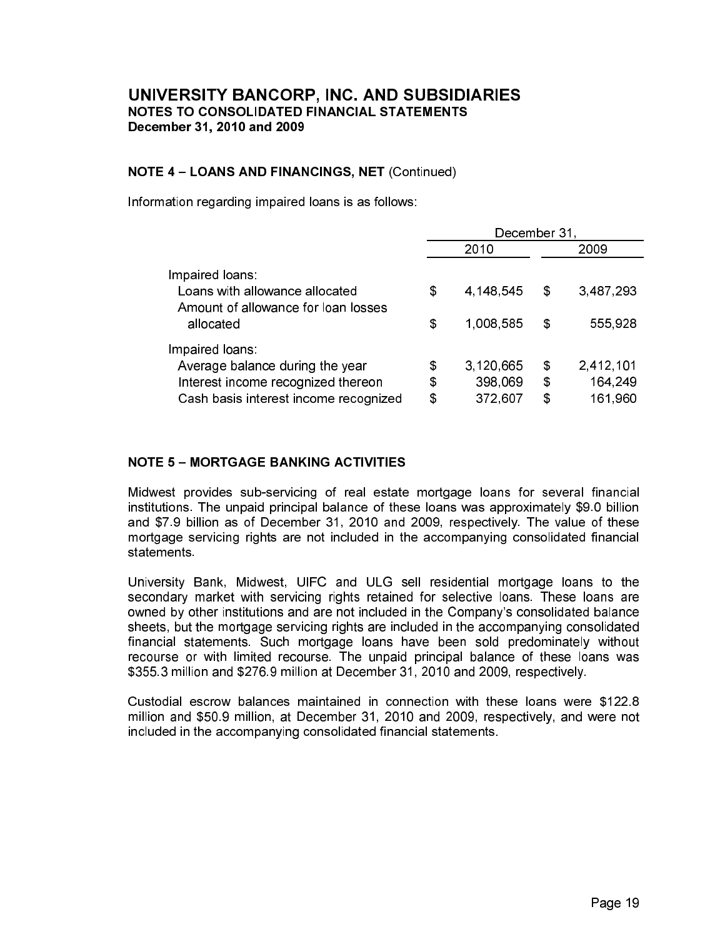#### **NOTE 4 - LOANS AND FINANCINGS, NET (Continued)**

Information regarding impaired loans is as follows:

|                                                                       | December 31 |             |    |           |
|-----------------------------------------------------------------------|-------------|-------------|----|-----------|
|                                                                       |             | 2010        |    | 2009      |
| Impaired loans:                                                       |             |             |    |           |
| Loans with allowance allocated<br>Amount of allowance for loan losses | \$          | 4, 148, 545 | \$ | 3,487,293 |
| allocated                                                             | \$          | 1,008,585   | \$ | 555,928   |
| Impaired loans:                                                       |             |             |    |           |
| Average balance during the year                                       | \$          | 3,120,665   | \$ | 2,412,101 |
| Interest income recognized thereon                                    | \$          | 398,069     | \$ | 164 249   |
| Cash basis interest income recognized                                 | \$          | 372,607     | \$ | 161,960   |

#### **NOTE 5 - MORTGAGE BANKING ACTIVITIES**

Midwest provides sub-servicing of real estate mortgage loans for several financial institutions. The unpaid principal balance of these loans was approximately \$9.0 billion and \$7.9 billion as of December 31, 2010 and 2009, respectively. The value of these mortgage servicing rights are not included in the accompanying consolidated financial statements.

University Bank, Midwest, UIFC and ULG sell residential mortgage loans to the secondary market with servicing rights retained for selective loans. These loans are owned by other institutions and are not included in the Company's consolidated balance sheets, but the mortgage servicing rights are included in the accompanying consolidated financial statements. Such mortgage loans have been sold predominately without recourse or with limited recourse. The unpaid principal balance of these loans was \$355.3 million and \$276.9 million at December 31, 2010 and 2009, respectively.

Custodial escrow balances maintained in connection with these loans were \$122.8 million and \$50.9 million, at December 31, 2010 and 2009, respectively, and were not included in the accompanying consolidated financial statements.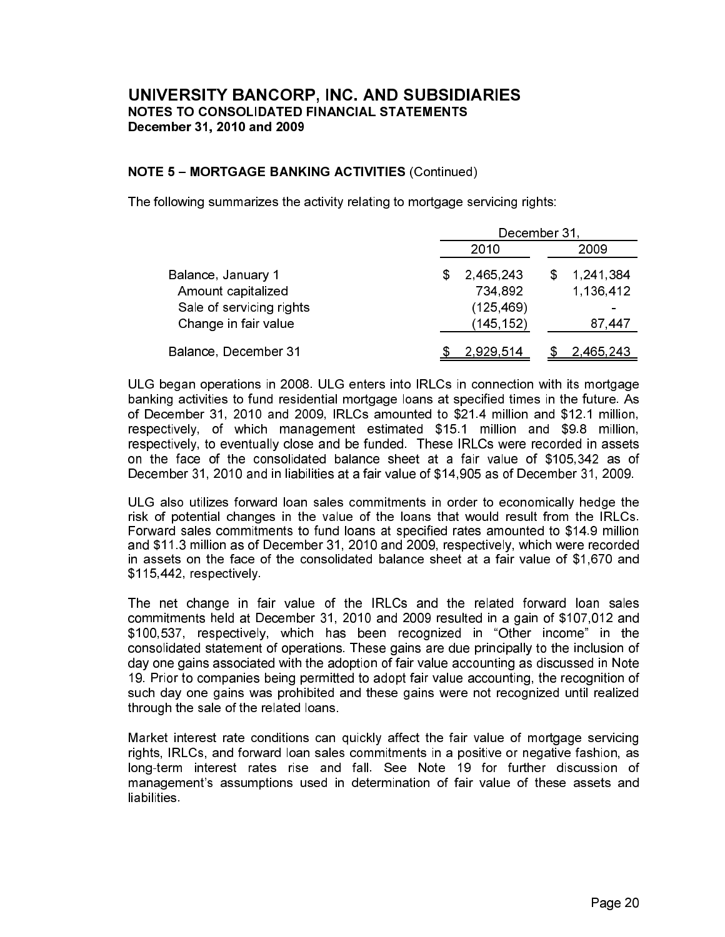#### **NOTE 5-MORTGAGE BANKING ACTIVITIES (Continued)**

The following summarizes the activity relating to mortgage servicing rights:

|                          | December 31     |           |  |  |
|--------------------------|-----------------|-----------|--|--|
|                          | 2010            | 2009      |  |  |
| Balance, January 1       | 2,465,243<br>\$ | 1,241,384 |  |  |
| Amount capitalized       | 734.892         | 1,136,412 |  |  |
| Sale of servicing rights | (125, 469)      |           |  |  |
| Change in fair value     | (145, 152)      | 87447     |  |  |
| Balance, December 31     | 2,929,514       | 2 465 243 |  |  |

ULG began operations in 2008. ULG enters into IRLCs in connection with its mortgage banking activities to fund residential mortgage loans at specified times in the future. As of December 31, 2010 and 2009, IRLCs amounted to \$21.4 million and \$12.1 million, respectively, of which management estimated \$15.1 million and \$9.8 million, respectively, to eventually close and be funded. These IRLCs were recorded in assets on the face of the consolidated balance sheet at a fair value of \$105,342 as of December 31, 2010 and in liabilities at a fair value of \$14,905 as of December 31, 2009.

ULG also utilizes forward loan sales commitments in order to economically hedge the risk of potential changes in the value of the loans that would result from the IRLCs. Forward sales commitments to fund loans at specified rates amounted to \$14.9 million and \$11.3 million as of December 31, 2010 and 2009, respectively, which were recorded in assets on the face of the consolidated balance sheet at a fair value of \$1,670 and \$115,442, respectively.

The net change in fair value of the IRLCs and the related forward loan sales commitments held at December 31, 2010 and 2009 resulted in a gain of \$107,012 and \$100,537, respectively, which has been recognized in "Other income" in the consolidated statement of operations. These gains are due principally to the inclusion of day one gains associated with the adoption of fair value accounting as discussed in Note 19. Prior to companies being permitted to adopt fair value accounting, the recognition of such day one gains was prohibited and these gains were not recognized until realized through the sale of the related loans.

Market interest rate conditions can quickly affect the fair value of mortgage servicing rights, IRLCs, and forward loan sales commitments in a positive or negative fashion, as long-term interest rates rise and fall. See Note 19 for further discussion of management's assumptions used in determination of fair value of these assets and **liabilities**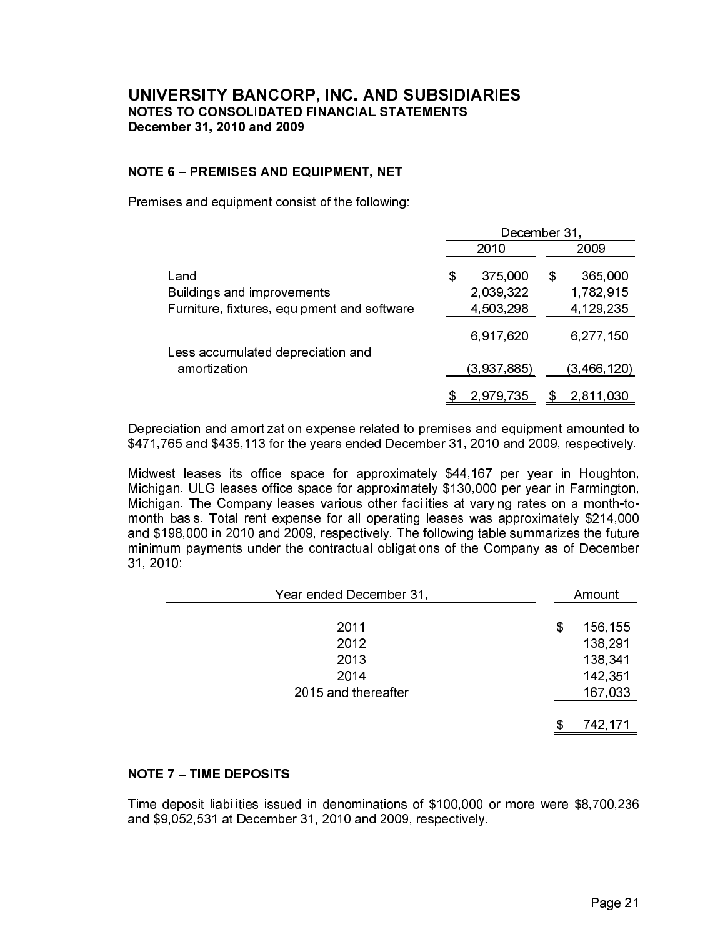#### **NOTE 6 - PREMISES AND EQUIPMENT, NET**

Premises and equipment consist of the following:

|                                             | December 31 |             |   |             |  |  |
|---------------------------------------------|-------------|-------------|---|-------------|--|--|
|                                             | 2010        |             |   | 2009        |  |  |
| Land                                        | \$          | 375,000     | S | 365,000     |  |  |
| Buildings and improvements                  |             | 2,039,322   |   | 1,782,915   |  |  |
| Furniture, fixtures, equipment and software |             | 4,503,298   |   | 4.129,235   |  |  |
| Less accumulated depreciation and           |             | 6,917,620   |   | 6,277,150   |  |  |
| amortization                                |             | (3,937,885) |   | (3,466,120) |  |  |
|                                             |             | 2,979,735   |   | 2811030     |  |  |

Depreciation and amortization expense related to premises and equipment amounted to \$471,765 and \$435,113 for the years ended December 31, 2010 and 2009, respectively.

Midwest leases its office space for approximately \$44,167 per year in Houghton, Michigan. ULG leases office space for approximately \$130,000 per year in Farmington, Michigan. The Company leases various other facilities at varying rates on a month-tomonth basis. Total rent expense for all operating leases was approximately \$214,000 and \$198,000 in 2010 and 2009, respectively. The following table summarizes the future minimum payments under the contractual obligations of the Company as of December 31, 2010.

| Year ended December 31 |    | Amount  |
|------------------------|----|---------|
| 2011                   | \$ | 156,155 |
| 2012                   |    | 138,291 |
| 2013                   |    | 138,341 |
| 2014                   |    | 142,351 |
| 2015 and thereafter    |    | 167,033 |
|                        |    |         |
|                        | S  | 742,171 |

#### **NOTE 7 - TIME DEPOSITS**

Time deposit liabilities issued in denominations of \$100,000 or more were \$8,700,236 and \$9,052,531 at December 31, 2010 and 2009, respectively.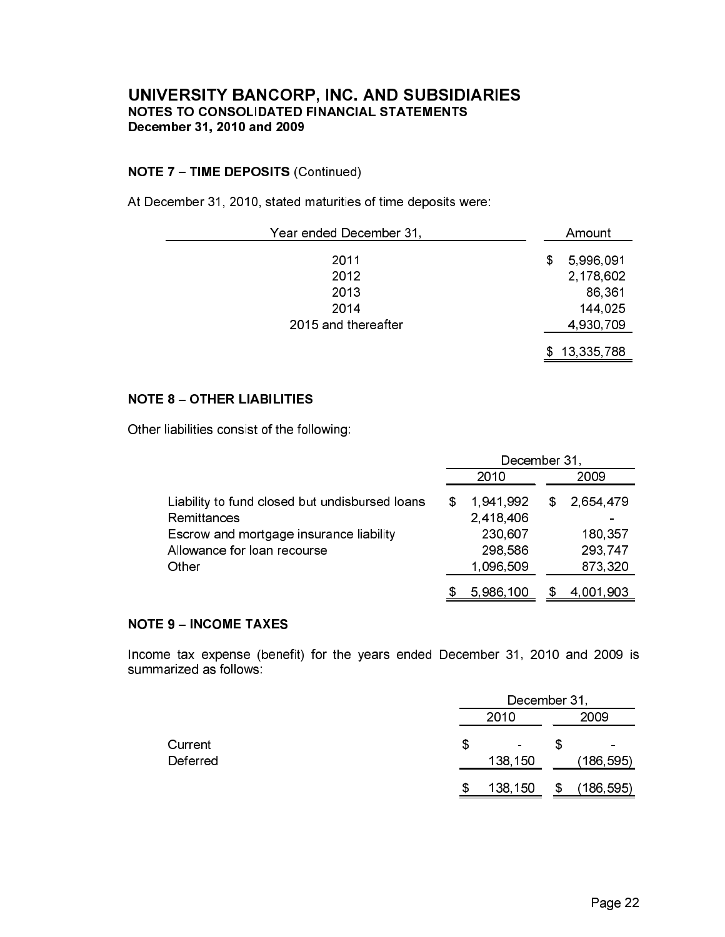#### **NOTE 7 - TIME DEPOSITS (Continued)**

At December 31, 2010, stated maturities of time deposits were:

| Year ended December 31       |    | Amount                                      |  |  |
|------------------------------|----|---------------------------------------------|--|--|
| 2011<br>2012<br>2013<br>2014 | \$ | 5,996,091<br>2,178,602<br>86,361<br>144,025 |  |  |
| 2015 and thereafter          |    | 4 930 709                                   |  |  |
|                              |    | 13,335,788                                  |  |  |

#### **NOTE 8 - OTHER LIABILITIES**

Other liabilities consist of the following:

|                                                | December 31 |           |   |           |  |
|------------------------------------------------|-------------|-----------|---|-----------|--|
|                                                |             | 2010      |   | 2009      |  |
| Liability to fund closed but undisbursed loans | S           | 1,941,992 | S | 2 654 479 |  |
| Remittances                                    |             | 2,418,406 |   |           |  |
| Escrow and mortgage insurance liability        |             | 230,607   |   | 180,357   |  |
| Allowance for loan recourse                    |             | 298,586   |   | 293,747   |  |
| Other                                          |             | 1,096,509 |   | 873,320   |  |
|                                                |             | 5,986,100 |   | 4,001,903 |  |

#### **NOTE 9 - INCOME TAXES**

Income tax expense (benefit) for the years ended December 31, 2010 and 2009 is summarized as follows

|                     | December 31                     |  |                             |  |
|---------------------|---------------------------------|--|-----------------------------|--|
|                     | 2010                            |  | 2009                        |  |
| Current<br>Deferred | \$<br>$\blacksquare$<br>138,150 |  | $\blacksquare$<br>(186,595) |  |
|                     | 138,150                         |  | (186,595)                   |  |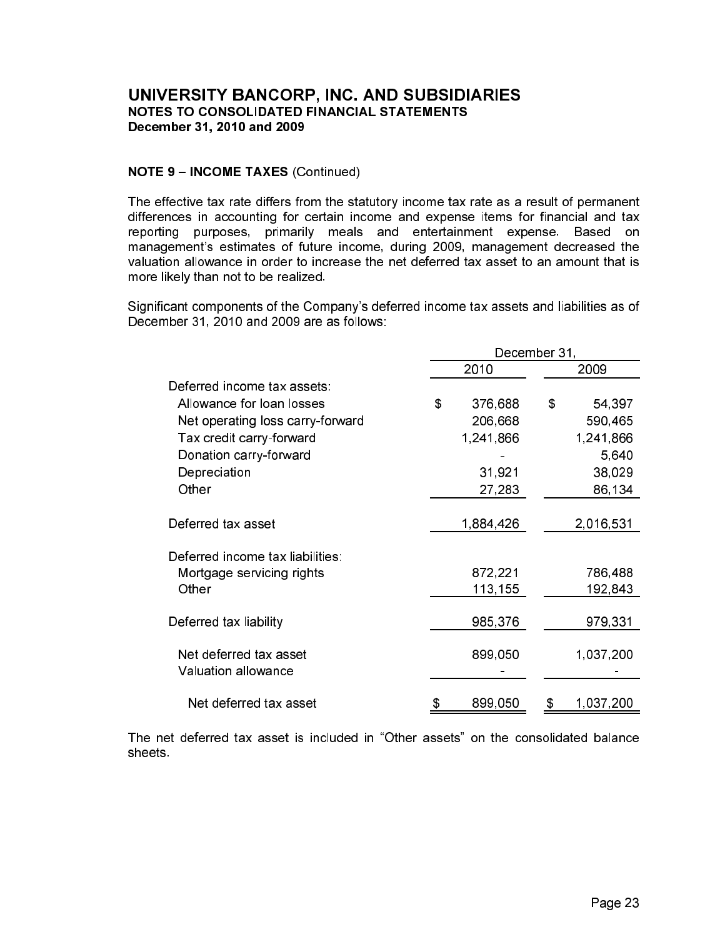#### **NOTE 9 - INCOME TAXES (Continued)**

The effective tax rate differs from the statutory income tax rate as a result of permanent differences in accounting for certain income and expense items for financial and tax reporting purposes, primarily meals and entertainment expense. Based on management's estimates of future income, during 2009, management decreased the valuation allowance in order to increase the net deferred tax asset to an amount that is more likely than not to be realized.

Significant components of the Company's deferred income tax assets and liabilities as of December 31, 2010 and 2009 are as follows:

|                                               | December 31   |    |           |  |  |
|-----------------------------------------------|---------------|----|-----------|--|--|
|                                               | 2010          |    | 2009      |  |  |
| Deferred income tax assets:                   |               |    |           |  |  |
| Allowance for loan losses                     | \$<br>376,688 | \$ | 54,397    |  |  |
| Net operating loss carry-forward              | 206,668       |    | 590,465   |  |  |
| Tax credit carry-forward                      | 1,241,866     |    | 1,241,866 |  |  |
| Donation carry-forward                        |               |    | 5,640     |  |  |
| Depreciation                                  | 31,921        |    | 38,029    |  |  |
| Other                                         | 27,283        |    | 86,134    |  |  |
| Deferred tax asset                            | 1,884,426     |    | 2,016,531 |  |  |
| Deferred income tax liabilities               |               |    |           |  |  |
| Mortgage servicing rights                     | 872,221       |    | 786,488   |  |  |
| Other                                         | 113,155       |    | 192,843   |  |  |
| Deferred tax liability                        | 985,376       |    | 979,331   |  |  |
| Net deferred tax asset<br>Valuation allowance | 899,050       |    | 1,037,200 |  |  |
| Net deferred tax asset                        | \$<br>899,050 | \$ | 1,037,200 |  |  |

The net deferred tax asset is included in "Other assets" on the consolidated balance sheets.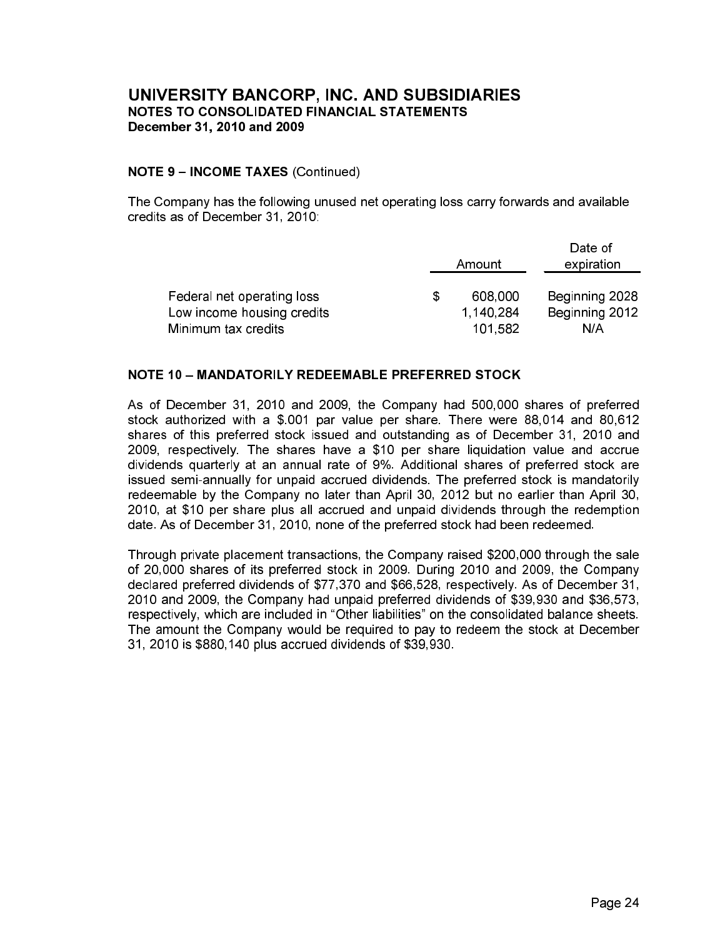#### **NOTE 9 - INCOME TAXES (Continued)**

The Company has the following unused net operating loss carry forwards and available credits as of December 31, 2010;

|                            |   |           | Date of        |  |  |
|----------------------------|---|-----------|----------------|--|--|
|                            |   | Amount    | expiration     |  |  |
| Federal net operating loss | S | 608,000   | Beginning 2028 |  |  |
| Low income housing credits |   | 1.140.284 | Beginning 2012 |  |  |
| Minimum tax credits        |   | 101 582   | N/A            |  |  |

#### **NOTE 10 - MANDATORILY REDEEMABLE PREFERRED STOCK**

As of December 31, 2010 and 2009, the Company had 500,000 shares of preferred stock authorized with a \$.001 par value per share. There were 88,014 and 80,612 shares of this preferred stock issued and outstanding as of December 31, 2010 and 2009, respectively. The shares have a \$10 per share liquidation value and accrue dividends quarterly at an annual rate of 9%. Additional shares of preferred stock are issued semi-annually for unpaid accrued dividends. The preferred stock is mandatorily redeemable by the Company no later than April 30, 2012 but no earlier than April 30, 2010, at \$10 per share plus all accrued and unpaid dividends through the redemption date. As of December 31, 2010, none of the preferred stock had been redeemed.

Through private placement transactions, the Company raised \$200,000 through the sale of 20,000 shares of its preferred stock in 2009. During 2010 and 2009, the Company declared preferred dividends of \$77,370 and \$66,528, respectively. As of December 31, 2010 and 2009, the Company had unpaid preferred dividends of \$39,930 and \$36,573, respectively, which are included in "Other liabilities" on the consolidated balance sheets. The amount the Company would be required to pay to redeem the stock at December 31, 2010 is \$880,140 plus accrued dividends of \$39,930.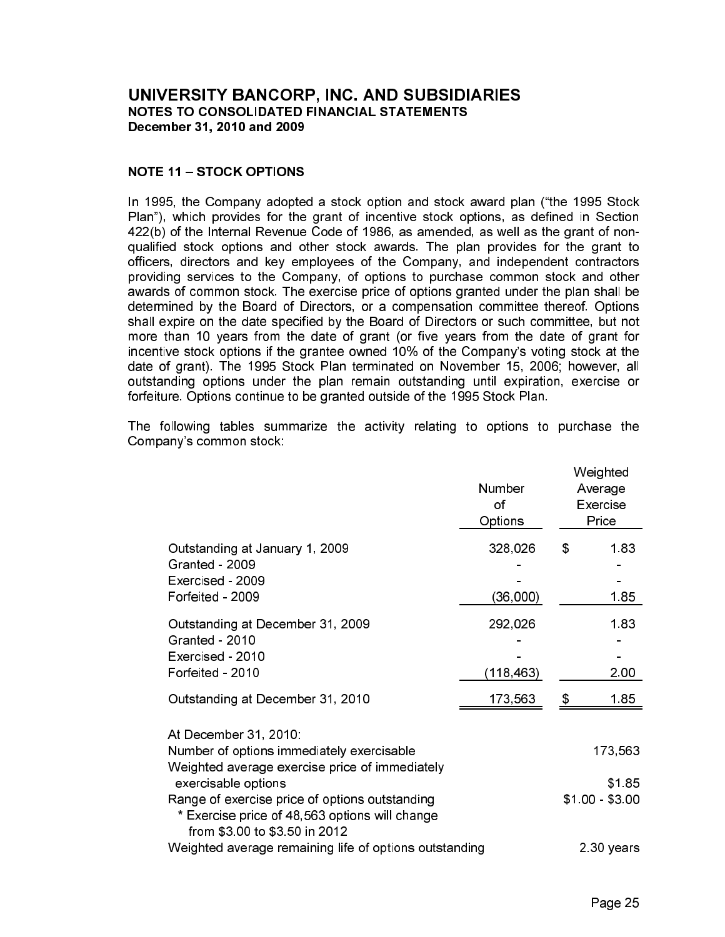#### **NOTE 11 - STOCK OPTIONS**

In 1995, the Company adopted a stock option and stock award plan ("the 1995 Stock Plan"), which provides for the grant of incentive stock options, as defined in Section 422(b) of the Internal Revenue Code of 1986, as amended, as well as the grant of nonqualified stock options and other stock awards. The plan provides for the grant to officers, directors and key employees of the Company, and independent contractors providing services to the Company, of options to purchase common stock and other awards of common stock. The exercise price of options granted under the plan shall be determined by the Board of Directors, or a compensation committee thereof. Options shall expire on the date specified by the Board of Directors or such committee, but not more than 10 years from the date of grant (or five years from the date of grant for incentive stock options if the grantee owned 10% of the Company's voting stock at the date of grant). The 1995 Stock Plan terminated on November 15, 2006; however, all outstanding options under the plan remain outstanding until expiration, exercise or forfeiture. Options continue to be granted outside of the 1995 Stock Plan.

The following tables summarize the activity relating to options to purchase the Company's common stock:

|                                                                                                                                                                                                                                                 | Number<br>of<br>Options | Weighted<br>Average<br>Exercise<br>Price |                                     |  |  |
|-------------------------------------------------------------------------------------------------------------------------------------------------------------------------------------------------------------------------------------------------|-------------------------|------------------------------------------|-------------------------------------|--|--|
| Outstanding at January 1, 2009<br>Granted - 2009<br>Exercised - 2009<br>Forfeited 2009                                                                                                                                                          | 328,026<br>(36,000)     | \$                                       | 1.83<br>1.85                        |  |  |
| Outstanding at December 31, 2009<br>Granted - 2010<br>Exercised - 2010<br>Forfeited 2010                                                                                                                                                        | 292,026<br>(118, 463)   |                                          | 1.83<br>2.00                        |  |  |
| Outstanding at December 31, 2010                                                                                                                                                                                                                | 173,563                 |                                          | 1.85                                |  |  |
| At December 31, 2010:<br>Number of options immediately exercisable<br>Weighted average exercise price of immediately<br>exercisable options<br>Range of exercise price of options outstanding<br>* Exercise price of 48,563 options will change |                         |                                          | 173,563<br>\$185<br>$$1.00 - $3.00$ |  |  |
| from \$3 00 to \$3.50 in 2012<br>Weighted average remaining life of options outstanding                                                                                                                                                         |                         |                                          | 2.30 years                          |  |  |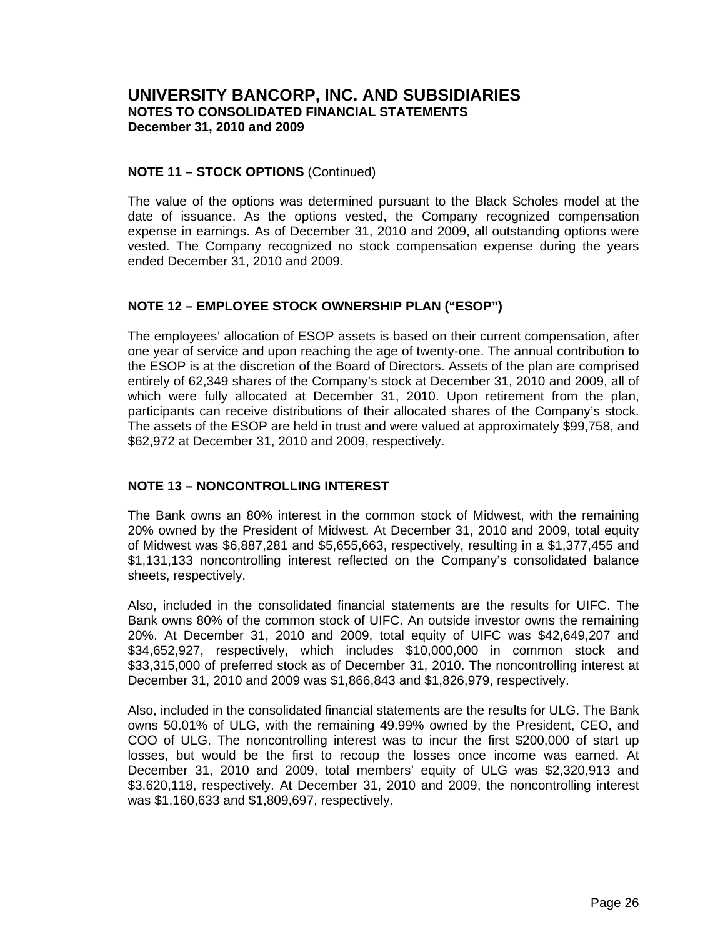#### **NOTE 11 – STOCK OPTIONS** (Continued)

The value of the options was determined pursuant to the Black Scholes model at the date of issuance. As the options vested, the Company recognized compensation expense in earnings. As of December 31, 2010 and 2009, all outstanding options were vested. The Company recognized no stock compensation expense during the years ended December 31, 2010 and 2009.

#### **NOTE 12 – EMPLOYEE STOCK OWNERSHIP PLAN ("ESOP")**

The employees' allocation of ESOP assets is based on their current compensation, after one year of service and upon reaching the age of twenty-one. The annual contribution to the ESOP is at the discretion of the Board of Directors. Assets of the plan are comprised entirely of 62,349 shares of the Company's stock at December 31, 2010 and 2009, all of which were fully allocated at December 31, 2010. Upon retirement from the plan, participants can receive distributions of their allocated shares of the Company's stock. The assets of the ESOP are held in trust and were valued at approximately \$99,758, and \$62,972 at December 31, 2010 and 2009, respectively.

#### **NOTE 13 – NONCONTROLLING INTEREST**

The Bank owns an 80% interest in the common stock of Midwest, with the remaining 20% owned by the President of Midwest. At December 31, 2010 and 2009, total equity of Midwest was \$6,887,281 and \$5,655,663, respectively, resulting in a \$1,377,455 and \$1,131,133 noncontrolling interest reflected on the Company's consolidated balance sheets, respectively.

Also, included in the consolidated financial statements are the results for UIFC. The Bank owns 80% of the common stock of UIFC. An outside investor owns the remaining 20%. At December 31, 2010 and 2009, total equity of UIFC was \$42,649,207 and \$34,652,927, respectively, which includes \$10,000,000 in common stock and \$33,315,000 of preferred stock as of December 31, 2010. The noncontrolling interest at December 31, 2010 and 2009 was \$1,866,843 and \$1,826,979, respectively.

Also, included in the consolidated financial statements are the results for ULG. The Bank owns 50.01% of ULG, with the remaining 49.99% owned by the President, CEO, and COO of ULG. The noncontrolling interest was to incur the first \$200,000 of start up losses, but would be the first to recoup the losses once income was earned. At December 31, 2010 and 2009, total members' equity of ULG was \$2,320,913 and \$3,620,118, respectively. At December 31, 2010 and 2009, the noncontrolling interest was \$1,160,633 and \$1,809,697, respectively.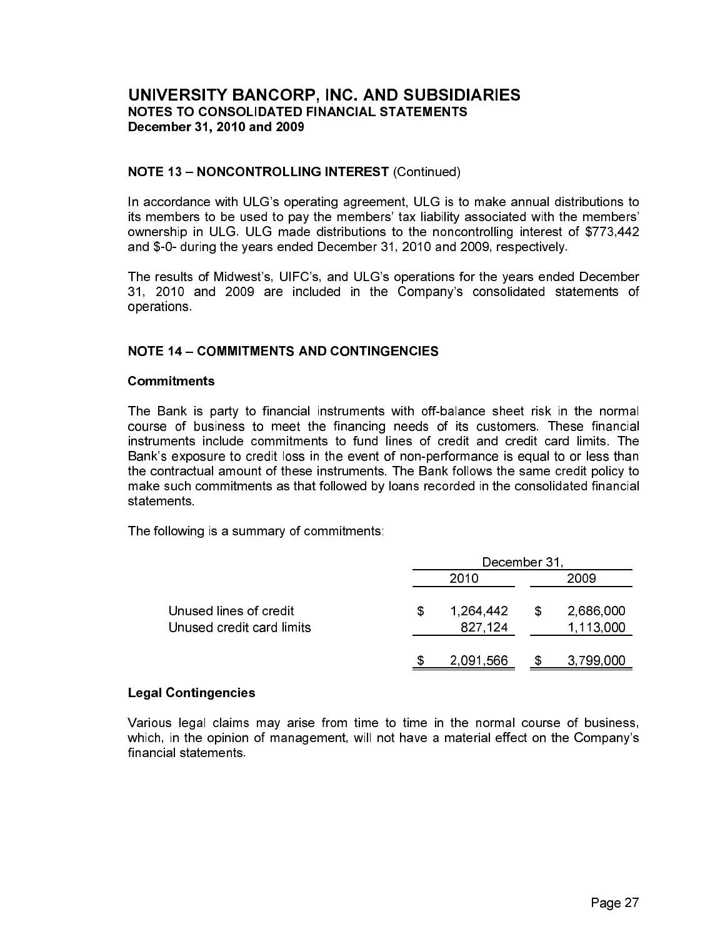#### **NOTE 13 - NONCONTROLLING INTEREST (Continued)**

In accordance with ULG's operating agreement, ULG is to make annual distributions to its members to be used to pay the members' tax liability associated with the members' ownership in ULG. ULG made distributions to the noncontrolling interest of \$773,442 and \$-0- during the years ended December 31, 2010 and 2009, respectively.

The results of Midwest's, UIFC's, and ULG's operations for the years ended December 31, 2010 and 2009 are included in the Company's consolidated statements of operations

#### **NOTE 14 - COMMITMENTS AND CONTINGENCIES**

#### **Commitments**

The Bank is party to financial instruments with off-balance sheet risk in the normal course of business to meet the financing needs of its customers. These financial instruments include commitments to fund lines of credit and credit card limits. The Bank's exposure to credit loss in the event of non-performance is equal to or less than the contractual amount of these instruments. The Bank follows the same credit policy to make such commitments as that followed by loans recorded in the consolidated financial statements

The following is a summary of commitments:

|                                                     |   | December 31          |      |                        |  |  |  |  |  |
|-----------------------------------------------------|---|----------------------|------|------------------------|--|--|--|--|--|
|                                                     |   | 2010                 | 2009 |                        |  |  |  |  |  |
| Unused lines of credit<br>Unused credit card limits | S | 1 264 442<br>827,124 | S    | 2,686,000<br>1,113,000 |  |  |  |  |  |
|                                                     |   | 2.091.566            |      | 3,799,000              |  |  |  |  |  |

#### **Legal Contingencies**

Various legal claims may arise from time to time in the normal course of business, which, in the opinion of management, will not have a material effect on the Company's financial statements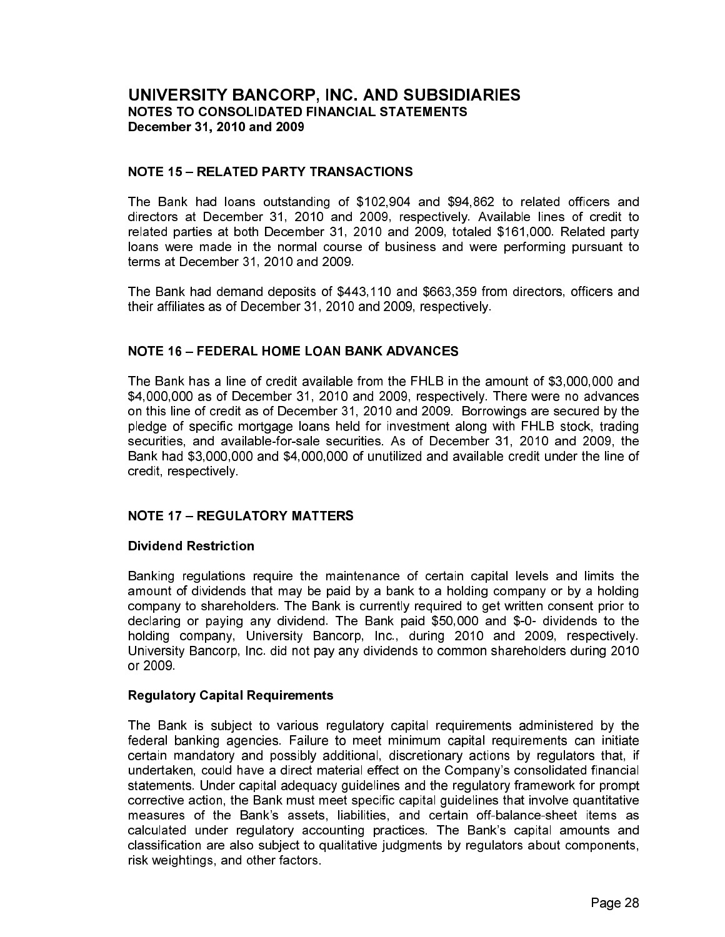#### **NOTE 15 - RELATED PARTY TRANSACTIONS**

The Bank had loans outstanding of \$102,904 and \$94,862 to related officers and directors at December 31, 2010 and 2009, respectively. Available lines of credit to related parties at both December 31, 2010 and 2009, totaled \$161,000. Related party loans were made in the normal course of business and were performing pursuant to terms at December 31, 2010 and 2009.

The Bank had demand deposits of \$443,110 and \$663,359 from directors, officers and their affiliates as of December 31, 2010 and 2009, respectively.

#### **NOTE 16 - FEDERAL HOME LOAN BANK ADVANCES**

The Bank has a line of credit available from the FHLB in the amount of \$3,000,000 and \$4,000,000 as of December 31, 2010 and 2009, respectively. There were no advances on this line of credit as of December 31, 2010 and 2009. Borrowings are secured by the pledge of specific mortgage loans held for investment along with FHLB stock, trading securities, and available-for-sale securities. As of December 31, 2010 and 2009, the Bank had \$3,000,000 and \$4,000,000 of unutilized and available credit under the line of credit respectively.

#### **NOTE 17 - REGULATORY MATTERS**

#### **Dividend Restriction**

Banking regulations require the maintenance of certain capital levels and limits the amount of dividends that may be paid by a bank to a holding company or by a holding company to shareholders. The Bank is currently required to get written consent prior to declaring or paying any dividend. The Bank paid \$50,000 and \$-0- dividends to the holding company, University Bancorp, Inc., during 2010 and 2009, respectively. University Bancorp, Inc. did not pay any dividends to common shareholders during 2010 or 2009.

#### **Regulatory Capital Requirements**

The Bank is subject to various regulatory capital requirements administered by the federal banking agencies. Failure to meet minimum capital requirements can initiate certain mandatory and possibly additional, discretionary actions by regulators that, if undertaken, could have a direct material effect on the Company's consolidated financial statements. Under capital adequacy guidelines and the regulatory framework for prompt corrective action, the Bank must meet specific capital guidelines that involve quantitative measures of the Bank's assets, liabilities, and certain off-balance-sheet items as calculated under regulatory accounting practices. The Bank's capital amounts and classification are also subject to qualitative judgments by regulators about components, risk weightings, and other factors.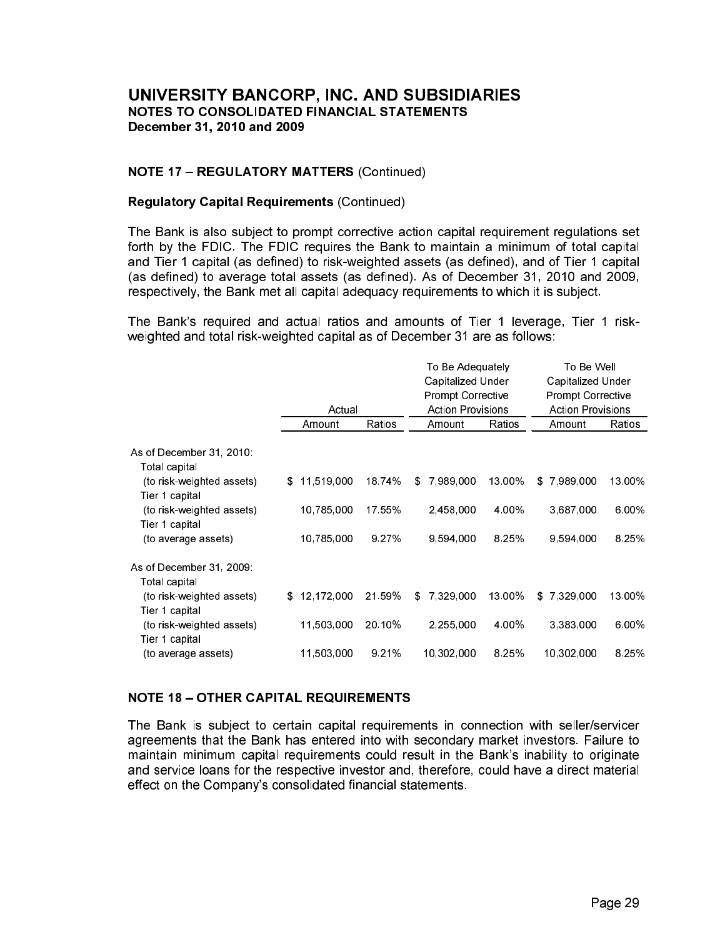#### **NOTE 17 - REGULATORY MATTERS (Continued)**

#### **Regulatory Capital Requirements (Continued)**

The Bank is also subject to prompt corrective action capital requirement regulations set forth by the FDIC. The FDIC requires the Bank to maintain a minimum of total capital and Tier 1 capital (as defined) to risk-weighted assets (as defined), and of Tier 1 capital (as defined) to average total assets (as defined). As of December 31, 2010 and 2009, respectively, the Bank met all capital adequacy requirements to which it is subject.

The Bank's required and actual ratios and amounts of Tier 1 leverage. Tier 1 riskweighted and total risk-weighted capital as of December 31 are as follows:

|                                                  |    |            |        |                          | To Be Adequately<br>Capitalized Under<br><b>Prompt Corrective</b> |        | To Be Well<br>Capitalized Under<br><b>Prompt Corrective</b> |                          |        |  |
|--------------------------------------------------|----|------------|--------|--------------------------|-------------------------------------------------------------------|--------|-------------------------------------------------------------|--------------------------|--------|--|
|                                                  |    | Actual     |        | <b>Action Provisions</b> |                                                                   |        |                                                             | <b>Action Provisions</b> |        |  |
|                                                  |    | Amount     | Ratios |                          | Ratios<br>Amount                                                  |        |                                                             | Amount                   | Ratios |  |
| As of December 31, 2010.<br>Total capital        |    |            |        |                          |                                                                   |        |                                                             |                          |        |  |
| (to risk-weighted assets)<br>Tier 1 capital      | S. | 11 519 000 | 18 74% | \$                       | 7,989,000                                                         | 13.00% | \$                                                          | 7,989,000                | 13 00% |  |
| (to risk-weighted assets)<br>Tier 1 capital      |    | 10,785,000 | 17.55% |                          | 2,458,000                                                         | 4.00%  |                                                             | 3,687,000                | 6.00%  |  |
| (to average assets)                              |    | 10,785,000 | 9.27%  |                          | 9,594,000                                                         | 8.25%  |                                                             | 9,594,000                | 8 25%  |  |
| As of December 31, 2009.<br><b>Total capital</b> |    |            |        |                          |                                                                   |        |                                                             |                          |        |  |
| (to risk-weighted assets)<br>Tier 1 capital      | \$ | 12,172,000 | 21 59% | \$                       | 7 329 000                                                         | 13 00% | \$                                                          | 7 329 000                | 13.00% |  |
| (to risk-weighted assets)<br>Tier 1 capital      |    | 11,503,000 | 20.10% |                          | 2,255,000                                                         | 4.00%  |                                                             | 3,383,000                | 6.00%  |  |
| (to average assets)                              |    | 11,503,000 | 9 2 1% |                          | 10,302,000                                                        | 8.25%  |                                                             | 10,302,000               | 8 25%  |  |

#### **NOTE 18 - OTHER CAPITAL REQUIREMENTS**

The Bank is subject to certain capital requirements in connection with seller/servicer agreements that the Bank has entered into with secondary market investors. Failure to maintain minimum capital requirements could result in the Bank's inability to originate and service loans for the respective investor and, therefore, could have a direct material effect on the Company's consolidated financial statements.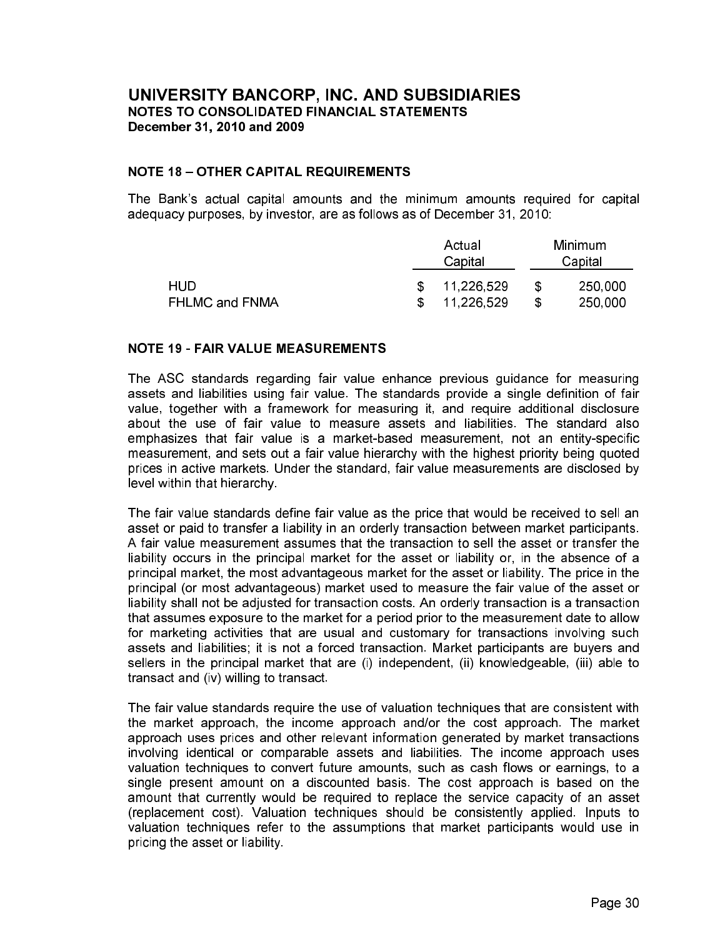#### **NOTE 18 - OTHER CAPITAL REQUIREMENTS**

The Bank's actual capital amounts and the minimum amounts required for capital adequacy purposes, by investor, are as follows as of December 31, 2010:

|                       | Actual<br>Capital |     | Minimum<br>Capital |  |  |  |
|-----------------------|-------------------|-----|--------------------|--|--|--|
| <b>HUD</b>            | \$ 11,226,529     | S.  | 250,000            |  |  |  |
| <b>FHLMC and FNMA</b> | 11 226 529        | \$. | 250,000            |  |  |  |

#### **NOTE 19 - FAIR VALUE MEASUREMENTS**

The ASC standards regarding fair value enhance previous quidance for measuring assets and liabilities using fair value. The standards provide a single definition of fair value, together with a framework for measuring it, and require additional disclosure about the use of fair value to measure assets and liabilities. The standard also emphasizes that fair value is a market-based measurement, not an entity-specific measurement, and sets out a fair value hierarchy with the highest priority being quoted prices in active markets. Under the standard, fair value measurements are disclosed by level within that hierarchy.

The fair value standards define fair value as the price that would be received to sell an asset or paid to transfer a liability in an orderly transaction between market participants. A fair value measurement assumes that the transaction to sell the asset or transfer the liability occurs in the principal market for the asset or liability or, in the absence of a principal market, the most advantageous market for the asset or liability. The price in the principal (or most advantageous) market used to measure the fair value of the asset or liability shall not be adjusted for transaction costs. An orderly transaction is a transaction that assumes exposure to the market for a period prior to the measurement date to allow for marketing activities that are usual and customary for transactions involving such assets and liabilities; it is not a forced transaction. Market participants are buyers and sellers in the principal market that are (i) independent, (ii) knowledgeable, (iii) able to transact and (iv) willing to transact.

The fair value standards require the use of valuation techniques that are consistent with the market approach, the income approach and/or the cost approach. The market approach uses prices and other relevant information generated by market transactions involving identical or comparable assets and liabilities. The income approach uses valuation techniques to convert future amounts, such as cash flows or earnings, to a single present amount on a discounted basis. The cost approach is based on the amount that currently would be required to replace the service capacity of an asset (replacement cost). Valuation techniques should be consistently applied. Inputs to valuation techniques refer to the assumptions that market participants would use in pricing the asset or liability.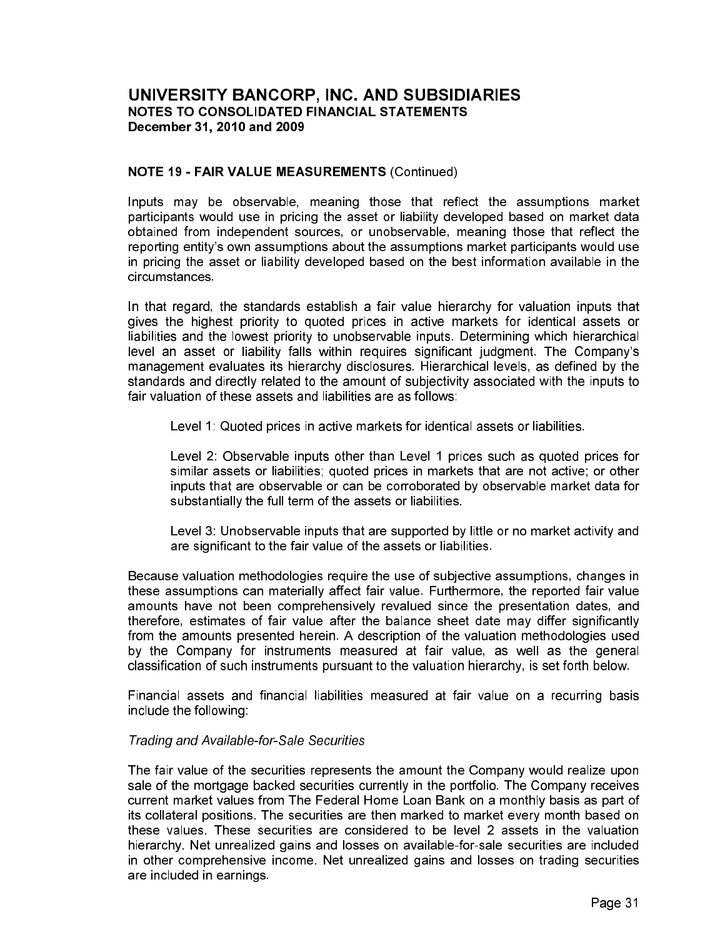#### **NOTE 19 - FAIR VALUE MEASUREMENTS (Continued)**

Inputs may be observable, meaning those that reflect the assumptions market participants would use in pricing the asset or liability developed based on market data obtained from independent sources, or unobservable, meaning those that reflect the reporting entity's own assumptions about the assumptions market participants would use in pricing the asset or liability developed based on the best information available in the circumstances

In that regard, the standards establish a fair value hierarchy for valuation inputs that gives the highest priority to quoted prices in active markets for identical assets or liabilities and the lowest priority to unobservable inputs. Determining which hierarchical level an asset or liability falls within requires significant judgment. The Company's management evaluates its hierarchy disclosures. Hierarchical levels, as defined by the standards and directly related to the amount of subjectivity associated with the inputs to fair valuation of these assets and liabilities are as follows:

Level 1: Quoted prices in active markets for identical assets or liabilities.

Level 2: Observable inputs other than Level 1 prices such as quoted prices for similar assets or liabilities; quoted prices in markets that are not active; or other inputs that are observable or can be corroborated by observable market data for substantially the full term of the assets or liabilities.

Level 3: Unobservable inputs that are supported by little or no market activity and are significant to the fair value of the assets or liabilities.

Because valuation methodologies require the use of subjective assumptions, changes in these assumptions can materially affect fair value. Furthermore, the reported fair value amounts have not been comprehensively revalued since the presentation dates, and therefore, estimates of fair value after the balance sheet date may differ significantly from the amounts presented herein. A description of the valuation methodologies used by the Company for instruments measured at fair value, as well as the general classification of such instruments pursuant to the valuation hierarchy, is set forth below.

Financial assets and financial liabilities measured at fair value on a recurring basis include the following:

#### **Trading and Available-for-Sale Securities**

The fair value of the securities represents the amount the Company would realize upon sale of the mortgage backed securities currently in the portfolio. The Company receives current market values from The Federal Home Loan Bank on a monthly basis as part of its collateral positions. The securities are then marked to market every month based on these values. These securities are considered to be level 2 assets in the valuation hierarchy. Net unrealized gains and losses on available-for-sale securities are included in other comprehensive income. Net unrealized gains and losses on trading securities are included in earnings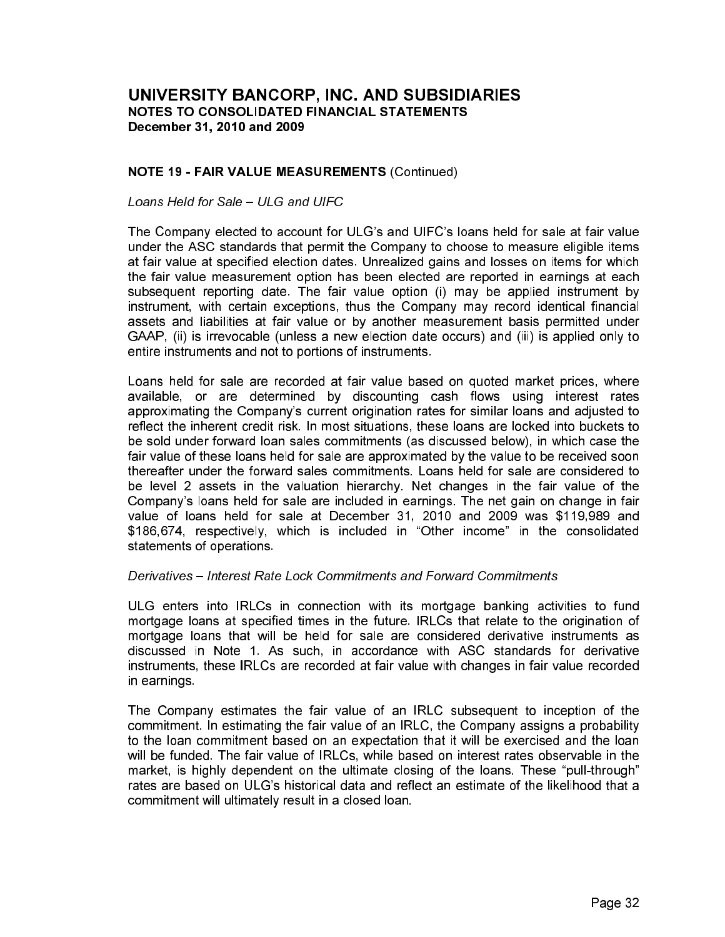#### **NOTE 19 - FAIR VALUE MEASUREMENTS (Continued)**

#### Loans Held for Sale - ULG and UIFC

The Company elected to account for ULG's and UIFC's loans held for sale at fair value under the ASC standards that permit the Company to choose to measure eligible items at fair value at specified election dates. Unrealized gains and losses on items for which the fair value measurement option has been elected are reported in earnings at each subsequent reporting date. The fair value option (i) may be applied instrument by instrument, with certain exceptions, thus the Company may record identical financial assets and liabilities at fair value or by another measurement basis permitted under GAAP, (ii) is irrevocable (unless a new election date occurs) and (iii) is applied only to entire instruments and not to portions of instruments.

Loans held for sale are recorded at fair value based on quoted market prices, where available, or are determined by discounting cash flows using interest rates approximating the Company's current origination rates for similar loans and adjusted to reflect the inherent credit risk. In most situations, these loans are locked into buckets to be sold under forward loan sales commitments (as discussed below), in which case the fair value of these loans held for sale are approximated by the value to be received soon thereafter under the forward sales commitments. Loans held for sale are considered to be level 2 assets in the valuation hierarchy. Net changes in the fair value of the Company's loans held for sale are included in earnings. The net gain on change in fair value of loans held for sale at December 31, 2010 and 2009 was \$119,989 and \$186,674, respectively, which is included in "Other income" in the consolidated statements of operations.

#### Derivatives – Interest Rate Lock Commitments and Forward Commitments

ULG enters into IRLCs in connection with its mortgage banking activities to fund mortgage loans at specified times in the future. IRLCs that relate to the origination of mortgage loans that will be held for sale are considered derivative instruments as discussed in Note 1. As such, in accordance with ASC standards for derivative instruments, these IRLCs are recorded at fair value with changes in fair value recorded in earnings

The Company estimates the fair value of an IRLC subsequent to inception of the commitment. In estimating the fair value of an IRLC, the Company assigns a probability to the loan commitment based on an expectation that it will be exercised and the loan will be funded. The fair value of IRLCs, while based on interest rates observable in the market, is highly dependent on the ultimate closing of the loans. These "pull-through" rates are based on ULG's historical data and reflect an estimate of the likelihood that a commitment will ultimately result in a closed loan.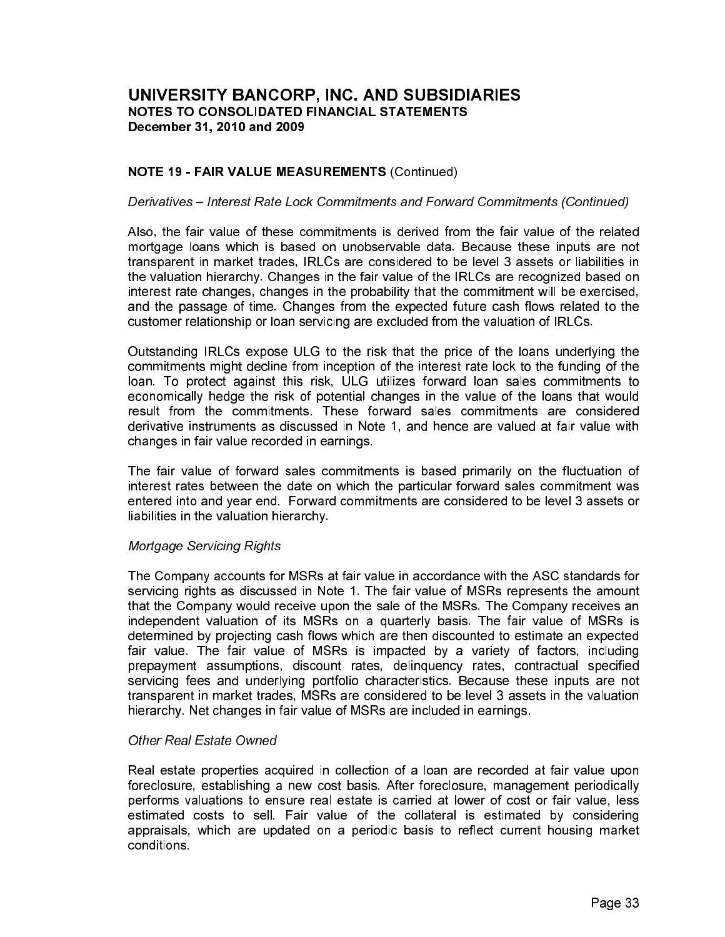#### **NOTE 19 - FAIR VALUE MEASUREMENTS (Continued)**

#### Derivatives - Interest Rate Lock Commitments and Forward Commitments (Continued)

Also, the fair value of these commitments is derived from the fair value of the related mortgage loans which is based on unobservable data. Because these inputs are not transparent in market trades. IRLCs are considered to be level 3 assets or liabilities in the valuation hierarchy. Changes in the fair value of the IRLCs are recognized based on interest rate changes, changes in the probability that the commitment will be exercised, and the passage of time. Changes from the expected future cash flows related to the customer relationship or loan servicing are excluded from the valuation of IRLCs.

Outstanding IRLCs expose ULG to the risk that the price of the loans underlying the commitments might decline from inception of the interest rate lock to the funding of the loan. To protect against this risk, ULG utilizes forward loan sales commitments to economically hedge the risk of potential changes in the value of the loans that would result from the commitments. These forward sales commitments are considered derivative instruments as discussed in Note 1, and hence are valued at fair value with changes in fair value recorded in earnings.

The fair value of forward sales commitments is based primarily on the fluctuation of interest rates between the date on which the particular forward sales commitment was entered into and year end. Forward commitments are considered to be level 3 assets or liabilities in the valuation hierarchy.

#### **Mortgage Servicing Rights**

The Company accounts for MSRs at fair value in accordance with the ASC standards for servicing rights as discussed in Note 1. The fair value of MSRs represents the amount that the Company would receive upon the sale of the MSRs. The Company receives an independent valuation of its MSRs on a quarterly basis. The fair value of MSRs is determined by projecting cash flows which are then discounted to estimate an expected fair value. The fair value of MSRs is impacted by a variety of factors, including prepayment assumptions, discount rates, delinguency rates, contractual specified servicing fees and underlying portfolio characteristics. Because these inputs are not transparent in market trades, MSRs are considered to be level 3 assets in the valuation hierarchy. Net changes in fair value of MSRs are included in earnings.

#### Other Real Estate Owned

Real estate properties acquired in collection of a loan are recorded at fair value upon foreclosure, establishing a new cost basis. After foreclosure, management periodically performs valuations to ensure real estate is carried at lower of cost or fair value, less estimated costs to sell. Fair value of the collateral is estimated by considering appraisals, which are updated on a periodic basis to reflect current housing market conditions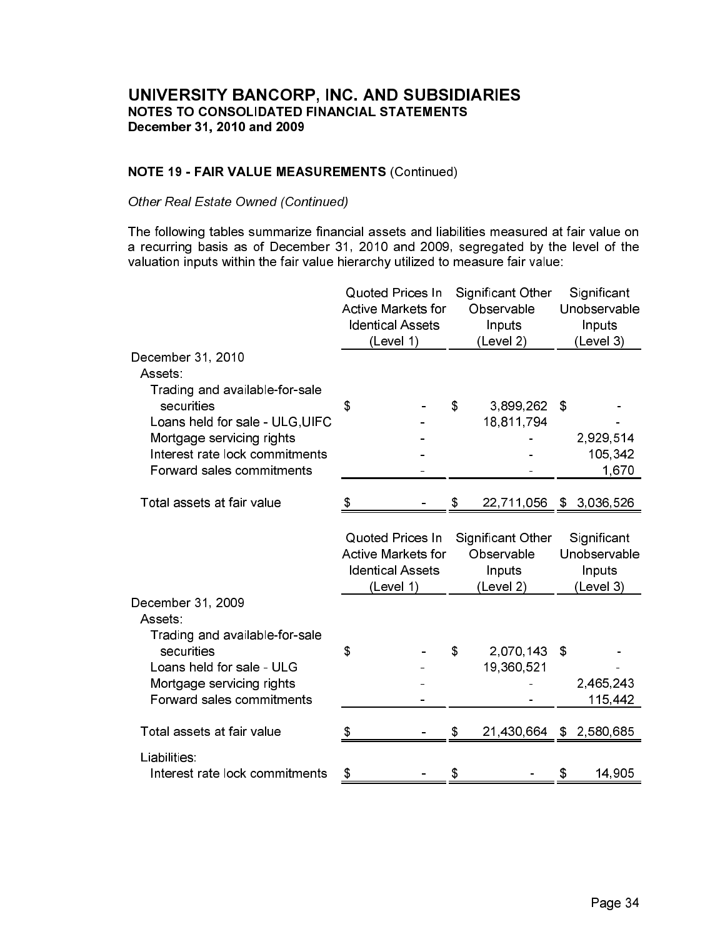#### **NOTE 19 - FAIR VALUE MEASUREMENTS (Continued)**

#### **Other Real Estate Owned (Continued)**

The following tables summarize financial assets and liabilities measured at fair value on a recurring basis as of December 31, 2010 and 2009, segregated by the level of the valuation inputs within the fair value hierarchy utilized to measure fair value:

|                                              | <b>Quoted Prices In</b><br><b>Active Markets for</b><br><b>Identical Assets</b><br>(Level 1) |    | <b>Significant Other</b><br>Observable<br>Inputs<br>(Level 2) |                | Significant<br>Unobservable<br>Inputs<br>(Level 3) |
|----------------------------------------------|----------------------------------------------------------------------------------------------|----|---------------------------------------------------------------|----------------|----------------------------------------------------|
| December 31, 2010                            |                                                                                              |    |                                                               |                |                                                    |
| Assets:                                      |                                                                                              |    |                                                               |                |                                                    |
| Trading and available-for-sale<br>securities | S                                                                                            | \$ | 3,899,262                                                     | \$             |                                                    |
| Loans held for sale - ULG, UIFC              |                                                                                              |    | 18,811,794                                                    |                |                                                    |
| Mortgage servicing rights                    |                                                                                              |    |                                                               |                | 2,929,514                                          |
| Interest rate lock commitments               |                                                                                              |    |                                                               |                | 105,342                                            |
| Forward sales commitments                    |                                                                                              |    |                                                               |                | 1,670                                              |
|                                              |                                                                                              |    |                                                               |                |                                                    |
| Total assets at fair value                   | \$                                                                                           | \$ | 22,711,056                                                    | \$             | 3,036,526                                          |
|                                              | <b>Quoted Prices In</b><br><b>Active Markets for</b><br><b>Identical Assets</b><br>(Level 1) |    | Significant Other<br>Observable<br>Inputs<br>(Level 2)        |                | Significant<br>Unobservable<br>Inputs<br>(Level 3) |
| December 31, 2009                            |                                                                                              |    |                                                               |                |                                                    |
| Assets:                                      |                                                                                              |    |                                                               |                |                                                    |
| Trading and available-for-sale<br>securities | \$                                                                                           | \$ | 2,070,143                                                     | \$             |                                                    |
| Loans held for sale - ULG                    |                                                                                              |    | 19,360,521                                                    |                |                                                    |
| Mortgage servicing rights                    |                                                                                              |    |                                                               |                | 2,465,243                                          |
| Forward sales commitments                    |                                                                                              |    |                                                               |                | 115,442                                            |
| Total assets at fair value                   | S                                                                                            | \$ | 21,430,664                                                    | $\mathfrak{S}$ | 2,580,685                                          |
| Liabilities:                                 |                                                                                              |    |                                                               |                |                                                    |
| Interest rate lock commitments               | \$                                                                                           | \$ |                                                               | \$             | 14,905                                             |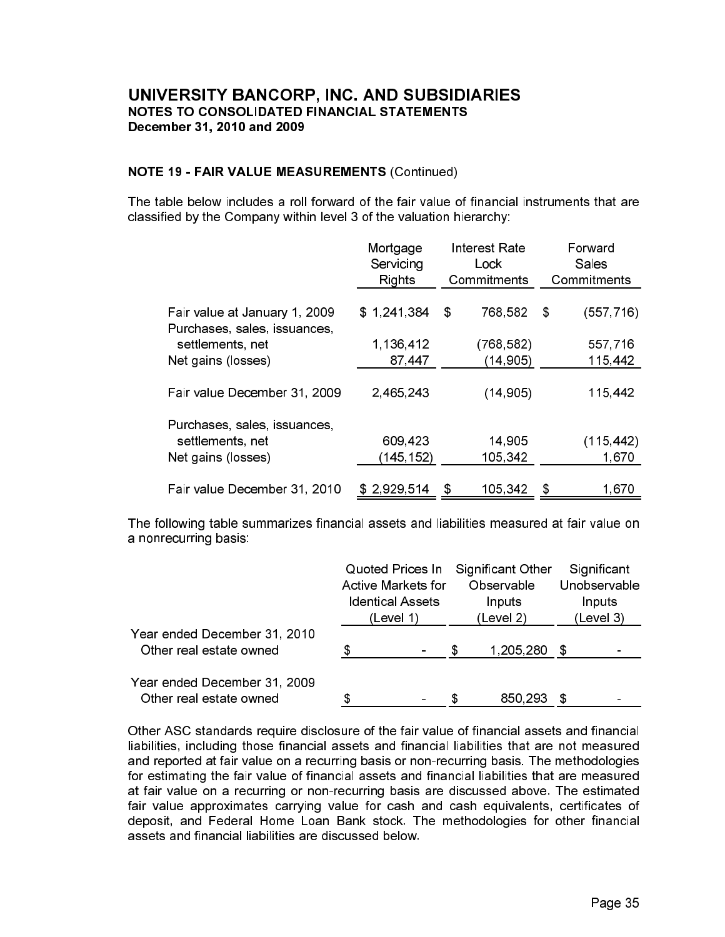#### **NOTE 19 - FAIR VALUE MEASUREMENTS (Continued)**

The table below includes a roll forward of the fair value of financial instruments that are classified by the Company within level 3 of the valuation hierarchy:

|                                                               | Mortgage<br>Servicing<br>Rights | Interest Rate<br>Lock<br>Commitments |    | Forward<br>Sales<br>Commitments |
|---------------------------------------------------------------|---------------------------------|--------------------------------------|----|---------------------------------|
| Fair value at January 1, 2009<br>Purchases, sales, issuances, | \$1,241,384                     | \$<br>768,582                        | \$ | (557, 716)                      |
| settlements, net                                              | 1,136,412                       | (768, 582)                           |    | 557,716                         |
| Net gains (losses)                                            | 87 447                          | (14, 905)                            |    | 115,442                         |
| Fair value December 31, 2009                                  | 2.465,243                       | (14, 905)                            |    | 115,442                         |
| Purchases, sales, issuances,                                  |                                 |                                      |    |                                 |
| settlements, net                                              | 609 423                         | 14,905                               |    | (115, 442)                      |
| Net gains (losses)                                            | (145, 152)                      | 105,342                              |    | 1,670                           |
|                                                               |                                 |                                      |    |                                 |
| Fair value December 31, 2010                                  | \$2,929,514                     | \$<br>105 342                        | S  | 1,670                           |

The following table summarizes financial assets and liabilities measured at fair value on a nonrecurring basis:

|                                                         | Quoted Prices In Significant Other<br><b>Active Markets for</b><br><b>Identical Assets</b><br>(Level 1) |                | Observable<br>Inputs<br>(Level 2) | Significant<br>Unobservable<br>Inputs<br>(Level 3) |  |  |
|---------------------------------------------------------|---------------------------------------------------------------------------------------------------------|----------------|-----------------------------------|----------------------------------------------------|--|--|
| Year ended December 31, 2010<br>Other real estate owned |                                                                                                         | $\blacksquare$ | 1,205,280                         | - \$                                               |  |  |
| Year ended December 31, 2009<br>Other real estate owned |                                                                                                         |                | 850,293                           |                                                    |  |  |

Other ASC standards require disclosure of the fair value of financial assets and financial liabilities, including those financial assets and financial liabilities that are not measured and reported at fair value on a recurring basis or non-recurring basis. The methodologies for estimating the fair value of financial assets and financial liabilities that are measured at fair value on a recurring or non-recurring basis are discussed above. The estimated fair value approximates carrying value for cash and cash equivalents, certificates of deposit, and Federal Home Loan Bank stock. The methodologies for other financial assets and financial liabilities are discussed below.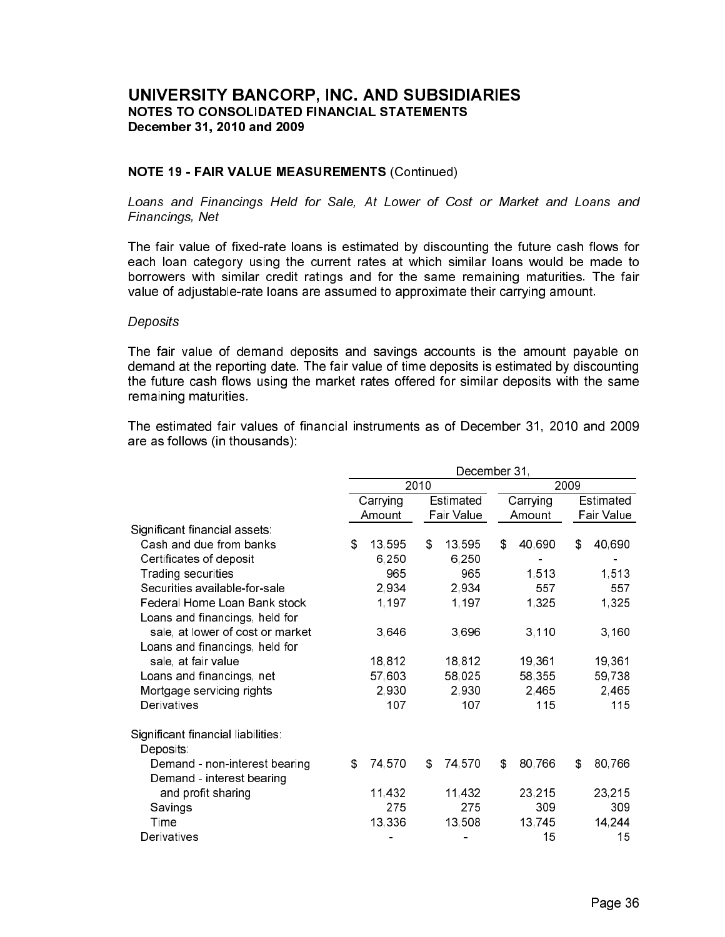#### **NOTE 19 - FAIR VALUE MEASUREMENTS (Continued)**

Loans and Financings Held for Sale, At Lower of Cost or Market and Loans and Financings, Net

The fair value of fixed-rate loans is estimated by discounting the future cash flows for each loan category using the current rates at which similar loans would be made to borrowers with similar credit ratings and for the same remaining maturities. The fair value of adjustable-rate loans are assumed to approximate their carrying amount.

#### Deposits

The fair value of demand deposits and savings accounts is the amount payable on demand at the reporting date. The fair value of time deposits is estimated by discounting the future cash flows using the market rates offered for similar deposits with the same remaining maturities.

The estimated fair values of financial instruments as of December 31, 2010 and 2009 are as follows (in thousands):

|                                                 | December 31, |        |    |            |    |          |    |            |  |  |
|-------------------------------------------------|--------------|--------|----|------------|----|----------|----|------------|--|--|
|                                                 | 2010         |        |    |            |    | 2009     |    |            |  |  |
|                                                 | Carrying     |        |    | Estimated  |    | Carrying |    | Estimated  |  |  |
|                                                 |              | Amount |    | Fair Value |    | Amount   |    | Fair Value |  |  |
| Significant financial assets                    |              |        |    |            |    |          |    |            |  |  |
| Cash and due from banks                         | \$           | 13,595 | \$ | 13,595     | S. | 40,690   | S. | 40,690     |  |  |
| Certificates of deposit                         |              | 6,250  |    | 6,250      |    |          |    |            |  |  |
| Trading securities                              |              | 965    |    | 965        |    | 1,513    |    | 1,513      |  |  |
| Securities available-for-sale                   |              | 2,934  |    | 2,934      |    | 557      |    | 557        |  |  |
| Federal Home Loan Bank stock                    |              | 1,197  |    | 1,197      |    | 1,325    |    | 1,325      |  |  |
| Loans and financings, held for                  |              |        |    |            |    |          |    |            |  |  |
| sale, at lower of cost or market                |              | 3,646  |    | 3,696      |    | 3,110    |    | 3,160      |  |  |
| Loans and financings, held for                  |              |        |    |            |    |          |    |            |  |  |
| sale, at fair value                             |              | 18,812 |    | 18,812     |    | 19,361   |    | 19,361     |  |  |
| Loans and financings, net                       |              | 57,603 |    | 58,025     |    | 58,355   |    | 59,738     |  |  |
| Mortgage servicing rights                       |              | 2,930  |    | 2,930      |    | 2,465    |    | 2,465      |  |  |
| Derivatives                                     |              | 107    |    | 107        |    | 115      |    | 115        |  |  |
|                                                 |              |        |    |            |    |          |    |            |  |  |
| Significant financial liabilities:<br>Deposits: |              |        |    |            |    |          |    |            |  |  |
| Demand - non-interest bearing                   | \$           | 74,570 | \$ | 74,570     | \$ | 80,766   | \$ | 80,766     |  |  |
| Demand - interest bearing                       |              |        |    |            |    |          |    |            |  |  |
| and profit sharing                              |              | 11,432 |    | 11,432     |    | 23,215   |    | 23,215     |  |  |
| Savings                                         |              | 275    |    | 275        |    | 309      |    | 309        |  |  |
| Time                                            |              | 13,336 |    | 13,508     |    | 13,745   |    | 14,244     |  |  |
| Derivatives                                     |              |        |    |            |    | 15       |    | 15         |  |  |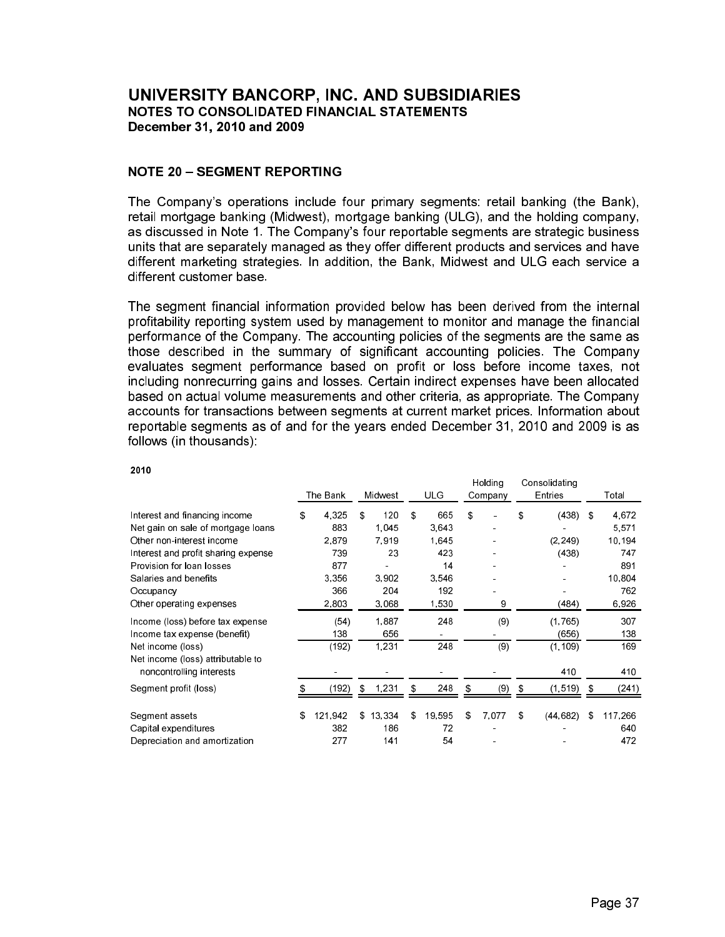#### **NOTE 20 - SEGMENT REPORTING**

The Company's operations include four primary segments: retail banking (the Bank), retail mortgage banking (Midwest), mortgage banking (ULG), and the holding company, as discussed in Note 1. The Company's four reportable segments are strategic business units that are separately managed as they offer different products and services and have different marketing strategies. In addition, the Bank, Midwest and ULG each service a different customer base.

The segment financial information provided below has been derived from the internal profitability reporting system used by management to monitor and manage the financial performance of the Company. The accounting policies of the segments are the same as those described in the summary of significant accounting policies. The Company evaluates segment performance based on profit or loss before income taxes, not including nonrecurring gains and losses. Certain indirect expenses have been allocated based on actual volume measurements and other criteria, as appropriate. The Company accounts for transactions between segments at current market prices. Information about reportable segments as of and for the years ended December 31, 2010 and 2009 is as follows (in thousands):

|                                     | The Bank      | Midwest     | ULG          | Holding<br>Company | Consolidating<br>Entries | Total         |
|-------------------------------------|---------------|-------------|--------------|--------------------|--------------------------|---------------|
| Interest and financing income       | \$<br>4.325   | \$<br>120   | \$<br>665    | \$                 | \$<br>(438)              | \$<br>4.672   |
| Net gain on sale of mortgage loans  | 883           | 1.045       | 3.643        |                    |                          | 5.571         |
| Other non-interest income           | 2.879         | 7.919       | 1.645        |                    | (2.249)                  | 10.194        |
| Interest and profit sharing expense | 739           | 23          | 423          |                    | (438)                    | 747           |
| Provision for loan losses           | 877           |             | 14           |                    |                          | 891           |
| Salaries and benefits               | 3.356         | 3.902       | 3.546        |                    |                          | 10.804        |
| Occupancy                           | 366           | 204         | 192          |                    |                          | 762           |
| Other operating expenses            | 2.803         | 3,068       | 1,530        | 9                  | (484)                    | 6,926         |
| Income (loss) before tax expense    | (54)          | 1,887       | 248          | (9)                | (1.765)                  | 307           |
| Income tax expense (benefit)        | 138           | 656         |              |                    | (656)                    | 138           |
| Net income (loss)                   | (192)         | 1.231       | 248          | (9)                | (1, 109)                 | 169           |
| Net income (loss) attributable to   |               |             |              |                    |                          |               |
| noncontrolling interests            |               |             |              |                    | 410                      | 410           |
| Segment profit (loss)               | (192)         | \$<br>1,231 | \$<br>248    | \$<br>(9)          | \$<br>(1, 519)           | \$<br>(241)   |
| Segment assets                      | \$<br>121.942 | \$13.334    | \$<br>19,595 | \$<br>7.077        | \$<br>(44.682)           | \$<br>117,266 |
| Capital expenditures                | 382           | 186         | 72           |                    |                          | 640           |
| Depreciation and amortization       | 277           | 141         | 54           |                    |                          | 472           |

2010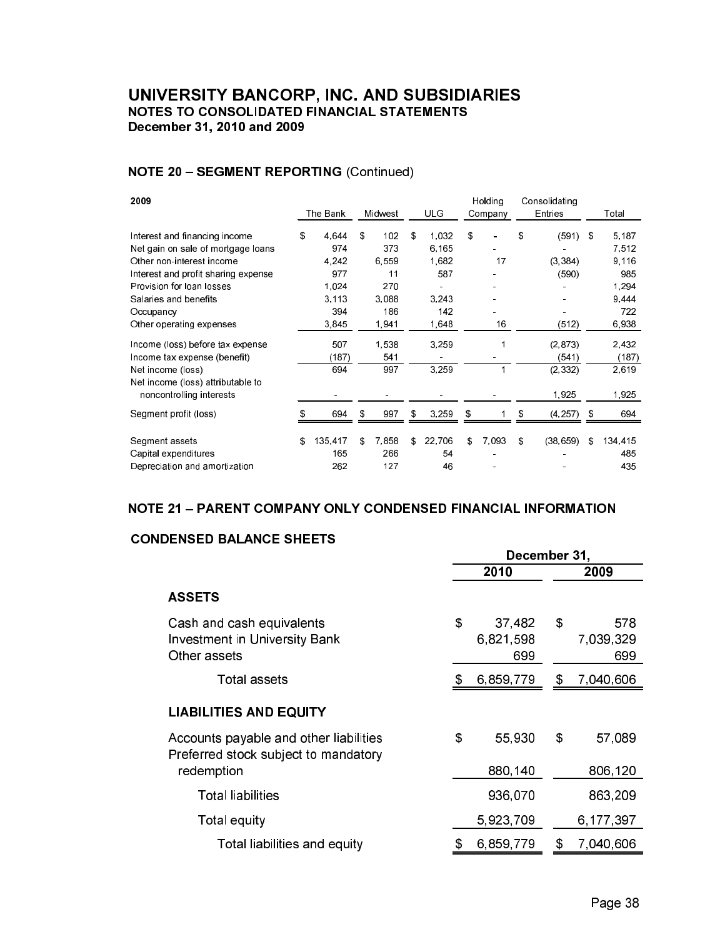# **NOTE 20 - SEGMENT REPORTING (Continued)**

| 2009                                |               |             |              |    | Holding | Consolidating  |    |         |
|-------------------------------------|---------------|-------------|--------------|----|---------|----------------|----|---------|
|                                     | The Bank      | Midwest     | ULG          |    | Company | Entries        |    | Total   |
| Interest and financing income       | \$<br>4.644   | \$<br>102   | \$<br>1.032  | \$ |         | \$<br>(591)    | \$ | 5.187   |
| Net gain on sale of mortgage loans  | 974           | 373         | 6.165        |    |         |                |    | 7.512   |
| Other non-interest income           | 4.242         | 6.559       | 1.682        |    | 17      | (3.384)        |    | 9.116   |
| Interest and profit sharing expense | 977           | 11          | 587          |    |         | (590)          |    | 985     |
| Provision for loan losses           | 1.024         | 270         |              |    |         |                |    | 1,294   |
| Salaries and benefits               | 3.113         | 3.088       | 3.243        |    |         |                |    | 9.444   |
| Occupancy                           | 394           | 186         | 142          |    |         |                |    | 722     |
| Other operating expenses            | 3.845         | 1.941       | 1.648        |    | 16      | (512)          |    | 6,938   |
| Income (loss) before tax expense    | 507           | 1.538       | 3.259        |    |         | (2, 873)       |    | 2.432   |
| Income tax expense (benefit)        | (187)         | 541         |              |    |         | (541)          |    | (187)   |
| Net income (loss)                   | 694           | 997         | 3.259        |    |         | (2.332)        |    | 2,619   |
| Net income (loss) attributable to   |               |             |              |    |         |                |    |         |
| noncontrolling interests            |               |             |              |    |         | 1.925          |    | 1,925   |
| Segment profit (loss)               | 694           | \$<br>997   | \$<br>3.259  | \$ |         | \$<br>(4, 257) | S  | 694     |
| Segment assets                      | \$<br>135.417 | \$<br>7.858 | \$<br>22 706 | S  | 7.093   | \$<br>(38.659) | \$ | 134,415 |
| Capital expenditures                | 165           | 266         | 54           |    |         |                |    | 485     |
| Depreciation and amortization       | 262           | 127         | 46           |    |         |                |    | 435     |

#### NOTE 21 - PARENT COMPANY ONLY CONDENSED FINANCIAL INFORMATION

#### **CONDENSED BALANCE SHEETS**

|                                                                                   | December 31,                     |                               |  |  |  |  |  |
|-----------------------------------------------------------------------------------|----------------------------------|-------------------------------|--|--|--|--|--|
|                                                                                   | 2010                             | 2009                          |  |  |  |  |  |
| <b>ASSETS</b>                                                                     |                                  |                               |  |  |  |  |  |
| Cash and cash equivalents<br><b>Investment in University Bank</b><br>Other assets | \$<br>37,482<br>6,821,598<br>699 | \$<br>578<br>7,039,329<br>699 |  |  |  |  |  |
| Total assets                                                                      | 6,859,779                        | 7,040,606<br>\$               |  |  |  |  |  |
| <b>LIABILITIES AND EQUITY</b>                                                     |                                  |                               |  |  |  |  |  |
| Accounts payable and other liabilities<br>Preferred stock subject to mandatory    | \$<br>55,930                     | \$<br>57,089                  |  |  |  |  |  |
| redemption                                                                        | 880,140                          | 806,120                       |  |  |  |  |  |
| <b>Total liabilities</b>                                                          | 936,070                          | 863,209                       |  |  |  |  |  |
| Total equity                                                                      | 5,923,709                        | 6,177,397                     |  |  |  |  |  |
| Total liabilities and equity                                                      | 6,859,779<br>\$                  | 7,040,606<br>S                |  |  |  |  |  |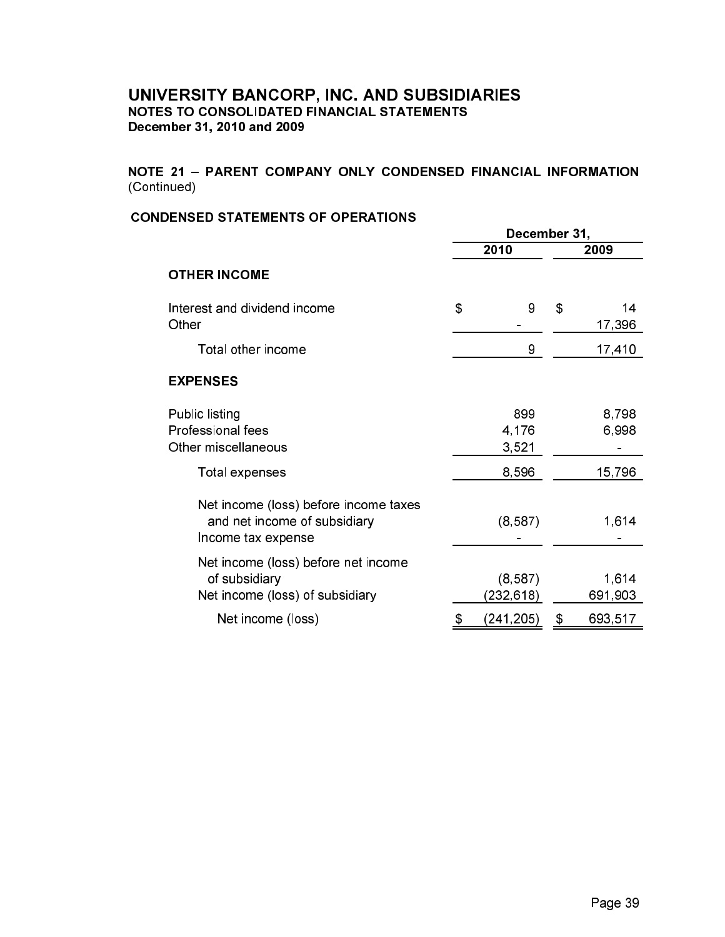NOTE 21 - PARENT COMPANY ONLY CONDENSED FINANCIAL INFORMATION (Continued)

## **CONDENSED STATEMENTS OF OPERATIONS**

|                                                                                             | December 31, |                       |     |                  |
|---------------------------------------------------------------------------------------------|--------------|-----------------------|-----|------------------|
|                                                                                             |              | 2010                  |     | 2009             |
| <b>OTHER INCOME</b>                                                                         |              |                       |     |                  |
| Interest and dividend income<br>Other                                                       | \$           | 9                     | \$. | 14<br>17,396     |
| Total other income                                                                          |              | 9                     |     | 17,410           |
| <b>EXPENSES</b>                                                                             |              |                       |     |                  |
| Public listing<br><b>Professional fees</b><br>Other miscellaneous                           |              | 899<br>4,176<br>3,521 |     | 8,798<br>6,998   |
| Total expenses                                                                              |              | 8,596                 |     | 15,796           |
| Net income (loss) before income taxes<br>and net income of subsidiary<br>Income tax expense |              | (8, 587)              |     | 1,614            |
| Net income (loss) before net income<br>of subsidiary<br>Net income (loss) of subsidiary     |              | (8, 587)<br>(232,618) |     | 1,614<br>691,903 |
| Net income (loss)                                                                           | \$           | (241, 205)            | \$  | 693,517          |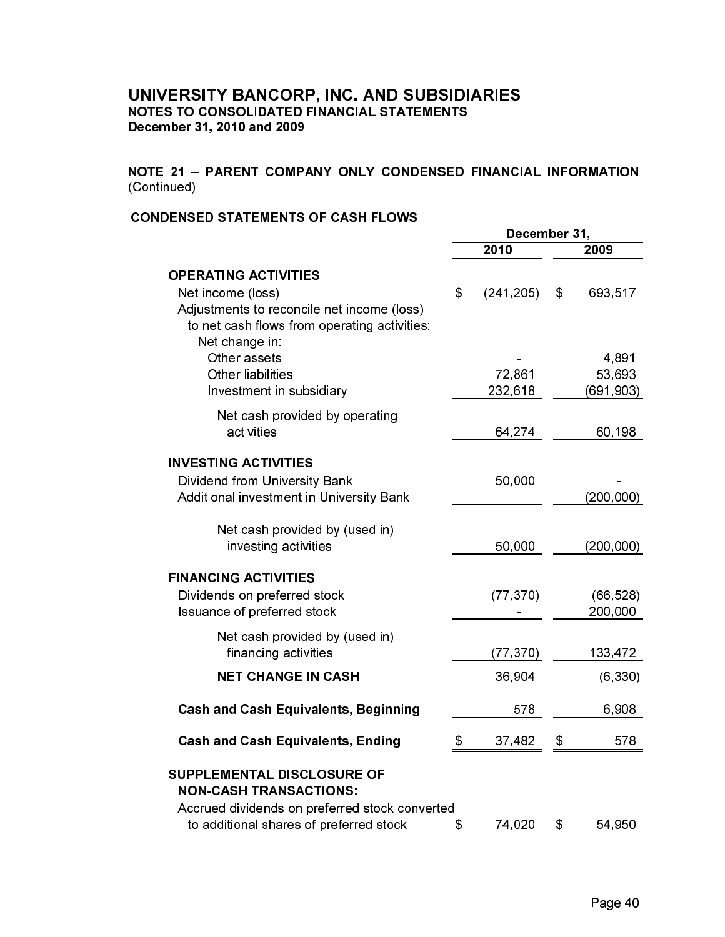## NOTE 21 - PARENT COMPANY ONLY CONDENSED FINANCIAL INFORMATION (Continued)

## **CONDENSED STATEMENTS OF CASH FLOWS**

|                                                | December 31,          |            |    |            |
|------------------------------------------------|-----------------------|------------|----|------------|
|                                                |                       | 2010       |    | 2009       |
| <b>OPERATING ACTIVITIES</b>                    |                       |            |    |            |
| Net income (loss)                              | \$                    | (241, 205) | \$ | 693,517    |
| Adjustments to reconcile net income (loss)     |                       |            |    |            |
| to net cash flows from operating activities:   |                       |            |    |            |
| Net change in:<br>Other assets                 |                       |            |    | 4.891      |
| <b>Other liabilities</b>                       |                       | 72,861     |    | 53,693     |
| Investment in subsidiary                       |                       | 232,618    |    | (691, 903) |
|                                                |                       |            |    |            |
| Net cash provided by operating<br>activities   |                       | 64,274     |    | 60,198     |
|                                                |                       |            |    |            |
| <b>INVESTING ACTIVITIES</b>                    |                       |            |    |            |
| <b>Dividend from University Bank</b>           |                       | 50,000     |    |            |
| Additional investment in University Bank       |                       |            |    | (200, 000) |
| Net cash provided by (used in)                 |                       |            |    |            |
| investing activities                           |                       | 50,000     |    | (200, 000) |
| <b>FINANCING ACTIVITIES</b>                    |                       |            |    |            |
| Dividends on preferred stock                   |                       | (77, 370)  |    | (66, 528)  |
| Issuance of preferred stock                    |                       |            |    | 200,000    |
| Net cash provided by (used in)                 |                       |            |    |            |
| financing activities                           |                       | (77, 370)  |    | 133,472    |
| <b>NET CHANGE IN CASH</b>                      |                       | 36,904     |    | (6, 330)   |
| <b>Cash and Cash Equivalents, Beginning</b>    |                       | 578        |    | 6,908      |
| <b>Cash and Cash Equivalents, Ending</b>       | $\boldsymbol{\theta}$ | 37,482     | \$ | 578        |
| <b>SUPPLEMENTAL DISCLOSURE OF</b>              |                       |            |    |            |
| <b>NON-CASH TRANSACTIONS:</b>                  |                       |            |    |            |
| Accrued dividends on preferred stock converted |                       |            |    |            |
| to additional shares of preferred stock        | \$                    | 74,020     | \$ | 54,950     |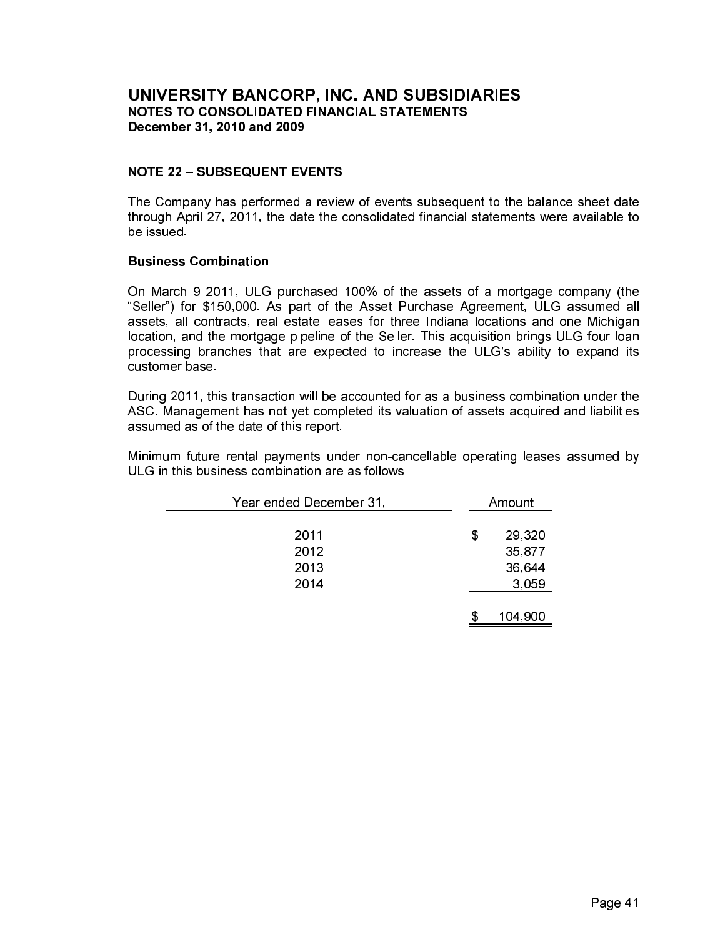#### **NOTE 22 - SUBSEQUENT EVENTS**

The Company has performed a review of events subsequent to the balance sheet date through April 27, 2011, the date the consolidated financial statements were available to be issued.

#### **Business Combination**

On March 9 2011, ULG purchased 100% of the assets of a mortgage company (the "Seller") for \$150,000. As part of the Asset Purchase Agreement, ULG assumed all assets, all contracts, real estate leases for three Indiana locations and one Michigan location, and the mortgage pipeline of the Seller. This acquisition brings ULG four loan processing branches that are expected to increase the ULG's ability to expand its customer base

During 2011, this transaction will be accounted for as a business combination under the ASC. Management has not yet completed its valuation of assets acquired and liabilities assumed as of the date of this report.

Minimum future rental payments under non-cancellable operating leases assumed by ULG in this business combination are as follows:

| Year ended December 31, | Amount |         |
|-------------------------|--------|---------|
| 2011                    | \$     | 29,320  |
| 2012                    |        | 35,877  |
| 2013                    |        | 36,644  |
| 2014                    |        | 3.059   |
|                         | S.     | 104,900 |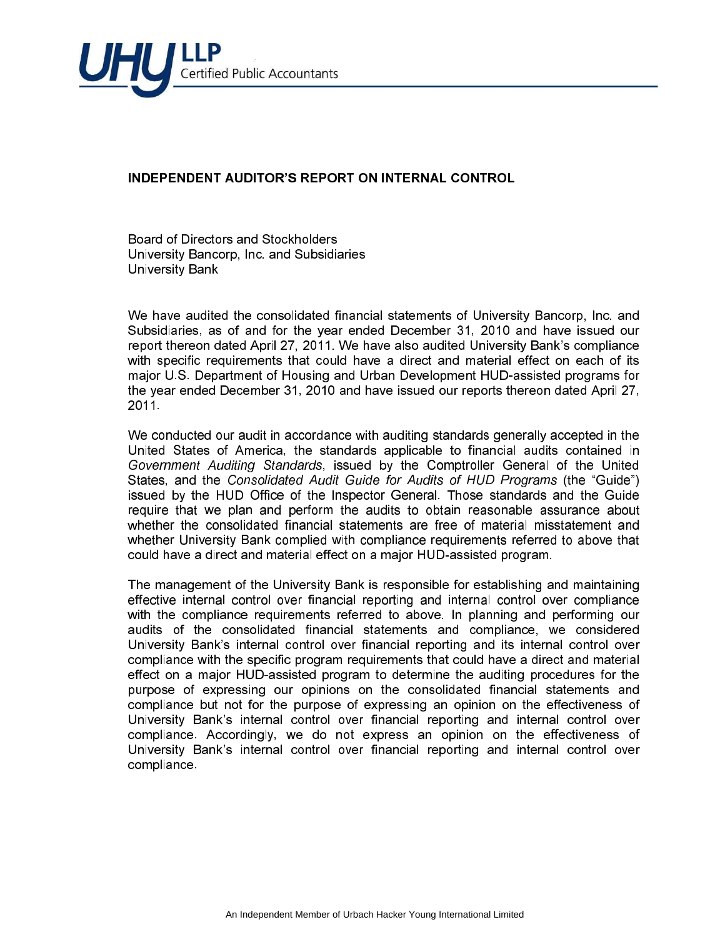

#### **INDEPENDENT AUDITOR'S REPORT ON INTERNAL CONTROL**

Board of Directors and Stockholders University Bancorp, Inc. and Subsidiaries University Bank

We have audited the consolidated financial statements of University Bancorp. Inc. and Subsidiaries, as of and for the year ended December 31, 2010 and have issued our report thereon dated April 27, 2011. We have also audited University Bank's compliance with specific requirements that could have a direct and material effect on each of its major U.S. Department of Housing and Urban Development HUD-assisted programs for the year ended December 31, 2010 and have issued our reports thereon dated April 27, 2011

We conducted our audit in accordance with auditing standards generally accepted in the United States of America, the standards applicable to financial audits contained in Government Auditing Standards, issued by the Comptroller General of the United States, and the Consolidated Audit Guide for Audits of HUD Programs (the "Guide") issued by the HUD Office of the Inspector General. Those standards and the Guide require that we plan and perform the audits to obtain reasonable assurance about whether the consolidated financial statements are free of material misstatement and whether University Bank complied with compliance requirements referred to above that could have a direct and material effect on a major HUD-assisted program.

The management of the University Bank is responsible for establishing and maintaining effective internal control over financial reporting and internal control over compliance with the compliance requirements referred to above. In planning and performing our audits of the consolidated financial statements and compliance, we considered University Bank's internal control over financial reporting and its internal control over compliance with the specific program reguirements that could have a direct and material effect on a major HUD-assisted program to determine the auditing procedures for the purpose of expressing our opinions on the consolidated financial statements and compliance but not for the purpose of expressing an opinion on the effectiveness of University Bank's internal control over financial reporting and internal control over compliance. Accordingly, we do not express an opinion on the effectiveness of University Bank's internal control over financial reporting and internal control over compliance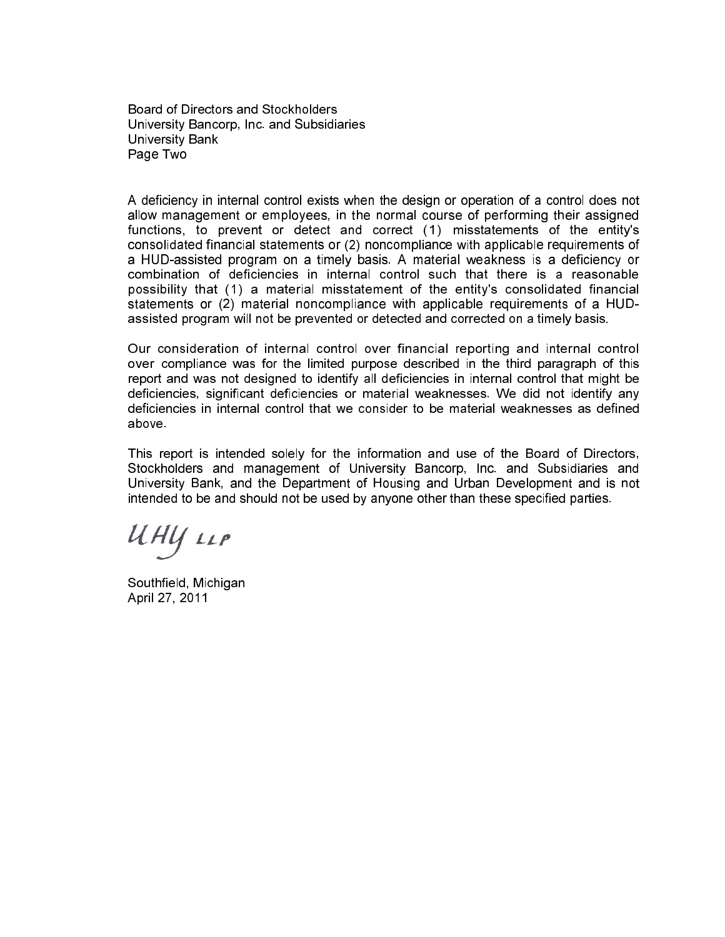Board of Directors and Stockholders University Bancorp, Inc. and Subsidiaries University Bank Page Two

A deficiency in internal control exists when the design or operation of a control does not allow management or employees, in the normal course of performing their assigned functions, to prevent or detect and correct (1) misstatements of the entity's consolidated financial statements or (2) noncompliance with applicable requirements of a HUD-assisted program on a timely basis. A material weakness is a deficiency or combination of deficiencies in internal control such that there is a reasonable possibility that (1) a material misstatement of the entity's consolidated financial statements or (2) material noncompliance with applicable requirements of a HUDassisted program will not be prevented or detected and corrected on a timely basis.

Our consideration of internal control over financial reporting and internal control over compliance was for the limited purpose described in the third paragraph of this report and was not designed to identify all deficiencies in internal control that might be deficiencies, significant deficiencies or material weaknesses. We did not identify any deficiencies in internal control that we consider to be material weaknesses as defined above

This report is intended solely for the information and use of the Board of Directors, Stockholders and management of University Bancorp, Inc. and Subsidiaries and University Bank, and the Department of Housing and Urban Development and is not intended to be and should not be used by anyone other than these specified parties.

ИНУ 11

Southfield, Michigan April 27, 2011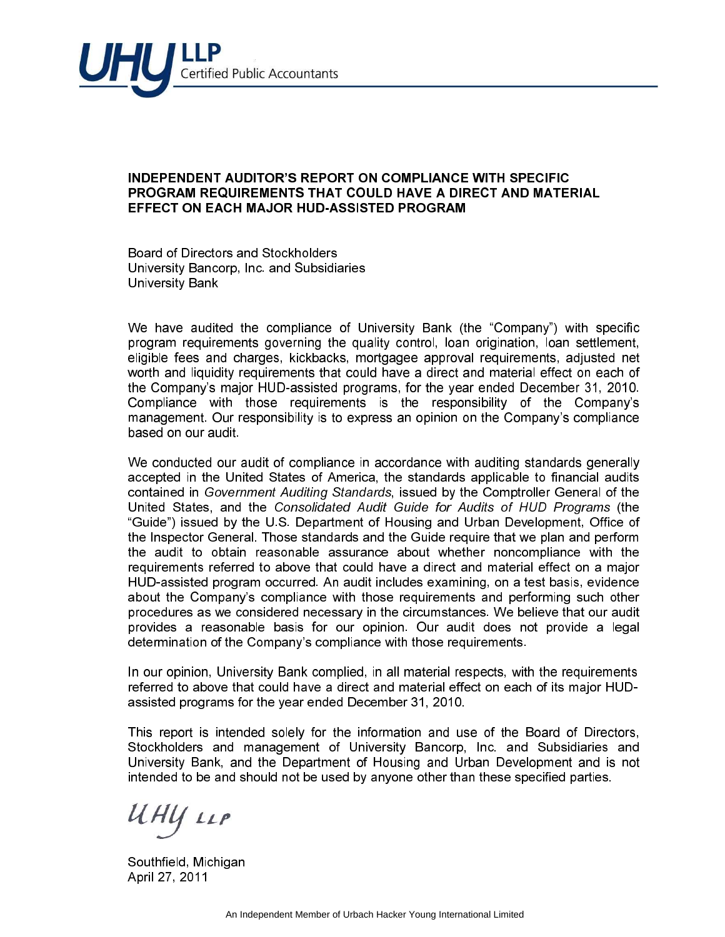

#### **INDEPENDENT AUDITOR'S REPORT ON COMPLIANCE WITH SPECIFIC** PROGRAM REQUIREMENTS THAT COULD HAVE A DIRECT AND MATERIAL **EFFECT ON EACH MAJOR HUD-ASSISTED PROGRAM**

Board of Directors and Stockholders University Bancorp, Inc. and Subsidiaries **University Bank** 

We have audited the compliance of University Bank (the "Company") with specific program requirements governing the quality control, loan origination, loan settlement, eligible fees and charges, kickbacks, mortgagee approval requirements, adjusted net worth and liquidity requirements that could have a direct and material effect on each of the Company's major HUD-assisted programs, for the year ended December 31, 2010. Compliance with those requirements is the responsibility of the Company's management. Our responsibility is to express an opinion on the Company's compliance based on our audit

We conducted our audit of compliance in accordance with auditing standards generally accepted in the United States of America, the standards applicable to financial audits contained in Government Auditing Standards, issued by the Comptroller General of the United States, and the Consolidated Audit Guide for Audits of HUD Programs (the "Guide") issued by the U.S. Department of Housing and Urban Development, Office of the Inspector General. Those standards and the Guide require that we plan and perform the audit to obtain reasonable assurance about whether noncompliance with the requirements referred to above that could have a direct and material effect on a major HUD-assisted program occurred. An audit includes examining, on a test basis, evidence about the Company's compliance with those requirements and performing such other procedures as we considered necessary in the circumstances. We believe that our audit provides a reasonable basis for our opinion. Our audit does not provide a legal determination of the Company's compliance with those requirements.

In our opinion, University Bank complied, in all material respects, with the requirements referred to above that could have a direct and material effect on each of its major HUDassisted programs for the year ended December 31, 2010.

This report is intended solely for the information and use of the Board of Directors, Stockholders and management of University Bancorp, Inc. and Subsidiaries and University Bank, and the Department of Housing and Urban Development and is not intended to be and should not be used by anyone other than these specified parties.

UHY LLP

Southfield, Michigan April 27, 2011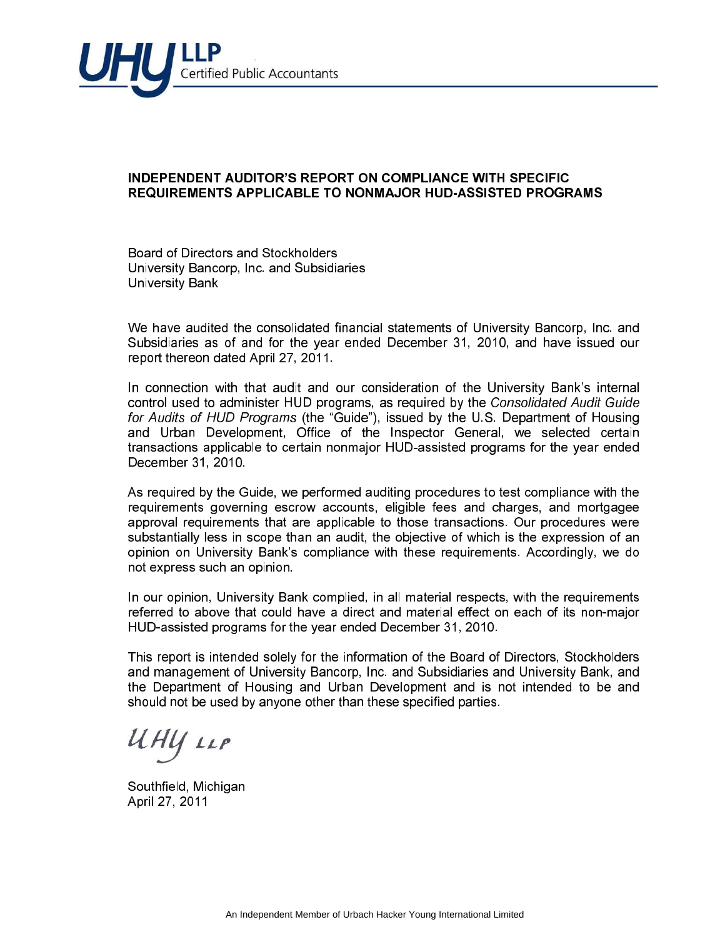

#### **INDEPENDENT AUDITOR'S REPORT ON COMPLIANCE WITH SPECIFIC** REQUIREMENTS APPLICABLE TO NONMAJOR HUD-ASSISTED PROGRAMS

Board of Directors and Stockholders University Bancorp, Inc. and Subsidiaries **University Bank** 

We have audited the consolidated financial statements of University Bancorp, Inc. and Subsidiaries as of and for the year ended December 31, 2010, and have issued our report thereon dated April 27, 2011.

In connection with that audit and our consideration of the University Bank's internal control used to administer HUD programs, as required by the Consolidated Audit Guide for Audits of HUD Programs (the "Guide"), issued by the U.S. Department of Housing and Urban Development, Office of the Inspector General, we selected certain transactions applicable to certain nonmajor HUD-assisted programs for the year ended December 31, 2010.

As required by the Guide, we performed auditing procedures to test compliance with the requirements governing escrow accounts, eligible fees and charges, and mortgagee approval requirements that are applicable to those transactions. Our procedures were substantially less in scope than an audit, the objective of which is the expression of an opinion on University Bank's compliance with these requirements. Accordingly, we do not express such an opinion.

In our opinion, University Bank complied, in all material respects, with the requirements referred to above that could have a direct and material effect on each of its non-major HUD-assisted programs for the year ended December 31, 2010.

This report is intended solely for the information of the Board of Directors, Stockholders and management of University Bancorp, Inc. and Subsidiaries and University Bank, and the Department of Housing and Urban Development and is not intended to be and should not be used by anyone other than these specified parties.

ИНУ 11Р

Southfield, Michigan April 27, 2011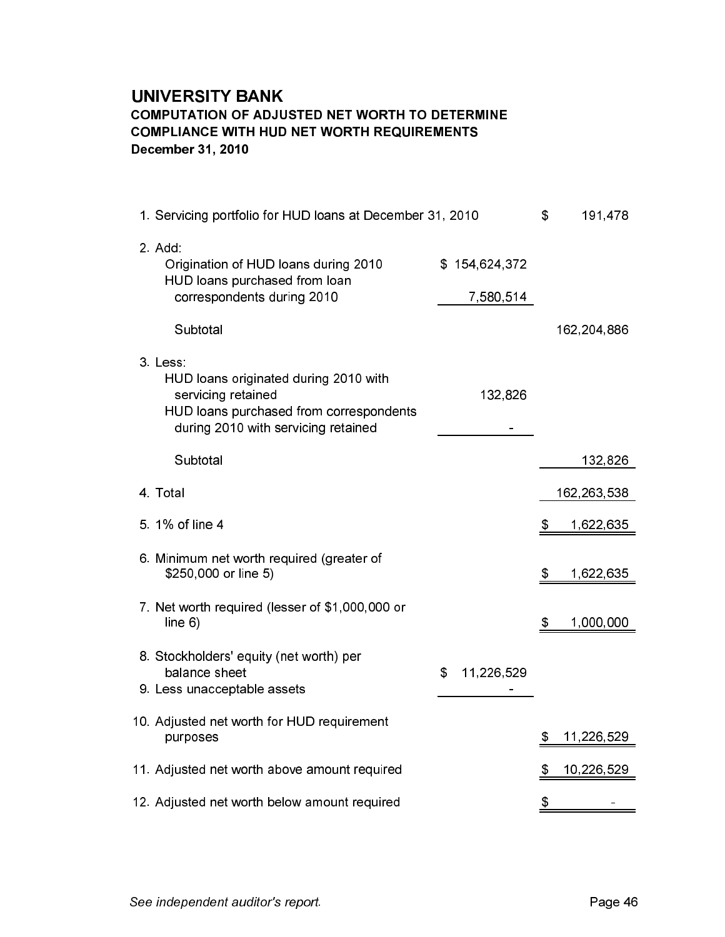# **UNIVERSITY BANK COMPUTATION OF ADJUSTED NET WORTH TO DETERMINE COMPLIANCE WITH HUD NET WORTH REQUIREMENTS December 31, 2010**

| 1. Servicing portfolio for HUD loans at December 31, 2010                                                                                               |                            | \$<br>191,478   |
|---------------------------------------------------------------------------------------------------------------------------------------------------------|----------------------------|-----------------|
| 2 Add<br>Origination of HUD loans during 2010<br>HUD loans purchased from loan<br>correspondents during 2010                                            | \$154,624,372<br>7,580,514 |                 |
| Subtotal                                                                                                                                                |                            | 162,204,886     |
| 3 Less<br>HUD loans originated during 2010 with<br>servicing retained<br>HUD loans purchased from correspondents<br>during 2010 with servicing retained | 132,826                    |                 |
| Subtotal                                                                                                                                                |                            | 132,826         |
| 4 Total                                                                                                                                                 |                            | 162,263,538     |
| 5 1% of line 4                                                                                                                                          |                            | \$<br>1,622,635 |
| 6. Minimum net worth required (greater of<br>\$250,000 or line 5)                                                                                       |                            | \$<br>1,622,635 |
| 7. Net worth required (lesser of \$1,000,000 or<br>line $6)$                                                                                            |                            | \$<br>1,000,000 |
| 8. Stockholders' equity (net worth) per<br>balance sheet<br>9. Less unacceptable assets                                                                 | \$<br>11,226,529           |                 |
| 10. Adjusted net worth for HUD requirement<br>purposes                                                                                                  |                            | 11,226,529      |
| 11. Adjusted net worth above amount required                                                                                                            |                            | 10,226,529      |
| 12. Adjusted net worth below amount required                                                                                                            |                            | \$              |